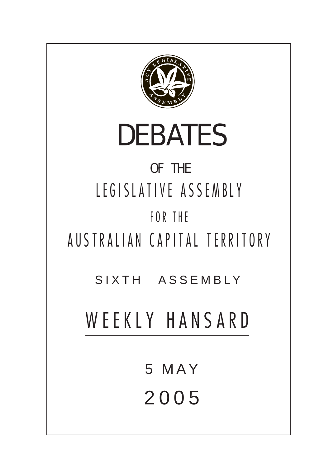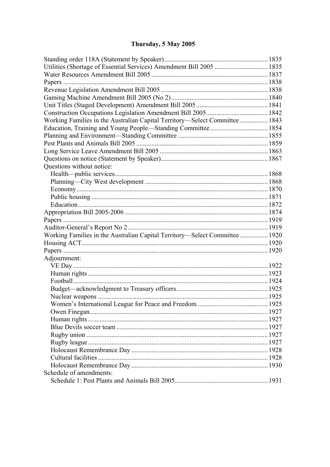# Thursday, 5 May 2005

| Utilities (Shortage of Essential Services) Amendment Bill 2005  1835        |  |  |  |
|-----------------------------------------------------------------------------|--|--|--|
|                                                                             |  |  |  |
|                                                                             |  |  |  |
|                                                                             |  |  |  |
|                                                                             |  |  |  |
|                                                                             |  |  |  |
|                                                                             |  |  |  |
| Working Families in the Australian Capital Territory—Select Committee  1843 |  |  |  |
|                                                                             |  |  |  |
|                                                                             |  |  |  |
|                                                                             |  |  |  |
|                                                                             |  |  |  |
|                                                                             |  |  |  |
| Questions without notice:                                                   |  |  |  |
|                                                                             |  |  |  |
|                                                                             |  |  |  |
|                                                                             |  |  |  |
|                                                                             |  |  |  |
|                                                                             |  |  |  |
|                                                                             |  |  |  |
|                                                                             |  |  |  |
|                                                                             |  |  |  |
| Working Families in the Australian Capital Territory—Select Committee 1920  |  |  |  |
|                                                                             |  |  |  |
|                                                                             |  |  |  |
| Adjournment:                                                                |  |  |  |
|                                                                             |  |  |  |
|                                                                             |  |  |  |
|                                                                             |  |  |  |
|                                                                             |  |  |  |
|                                                                             |  |  |  |
|                                                                             |  |  |  |
|                                                                             |  |  |  |
|                                                                             |  |  |  |
|                                                                             |  |  |  |
|                                                                             |  |  |  |
|                                                                             |  |  |  |
|                                                                             |  |  |  |
|                                                                             |  |  |  |
|                                                                             |  |  |  |
| Schedule of amendments:                                                     |  |  |  |
|                                                                             |  |  |  |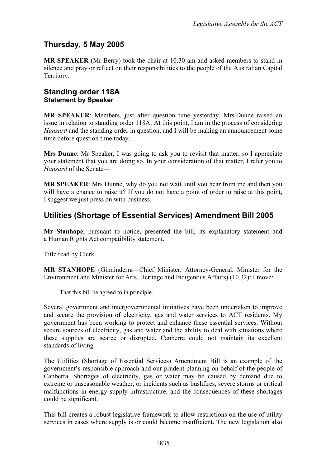## **Thursday, 5 May 2005**

**MR SPEAKER** (Mr Berry) took the chair at 10.30 am and asked members to stand in silence and pray or reflect on their responsibilities to the people of the Australian Capital Territory.

### <span id="page-2-0"></span>**Standing order 118A Statement by Speaker**

**MR SPEAKER**: Members, just after question time yesterday, Mrs Dunne raised an issue in relation to standing order 118A. At this point, I am in the process of considering *Hansard* and the standing order in question, and I will be making an announcement some time before question time today.

**Mrs Dunne**: Mr Speaker, I was going to ask you to revisit that matter, so I appreciate your statement that you are doing so. In your consideration of that matter, I refer you to *Hansard* of the Senate—

**MR SPEAKER**: Mrs Dunne, why do you not wait until you hear from me and then you will have a chance to raise it? If you do not have a point of order to raise at this point, I suggest we just press on with business.

## <span id="page-2-1"></span>**Utilities (Shortage of Essential Services) Amendment Bill 2005**

**Mr Stanhope**, pursuant to notice, presented the bill, its explanatory statement and a Human Rights Act compatibility statement.

Title read by Clerk.

**MR STANHOPE** (Ginninderra—Chief Minister, Attorney-General, Minister for the Environment and Minister for Arts, Heritage and Indigenous Affairs) (10.32): I move:

That this bill be agreed to in principle.

Several government and intergovernmental initiatives have been undertaken to improve and secure the provision of electricity, gas and water services to ACT residents. My government has been working to protect and enhance these essential services. Without secure sources of electricity, gas and water and the ability to deal with situations where these supplies are scarce or disrupted, Canberra could not maintain its excellent standards of living.

The Utilities (Shortage of Essential Services) Amendment Bill is an example of the government's responsible approach and our prudent planning on behalf of the people of Canberra. Shortages of electricity, gas or water may be caused by demand due to extreme or unseasonable weather, or incidents such as bushfires, severe storms or critical malfunctions in energy supply infrastructure, and the consequences of these shortages could be significant.

This bill creates a robust legislative framework to allow restrictions on the use of utility services in cases where supply is or could become insufficient. The new legislation also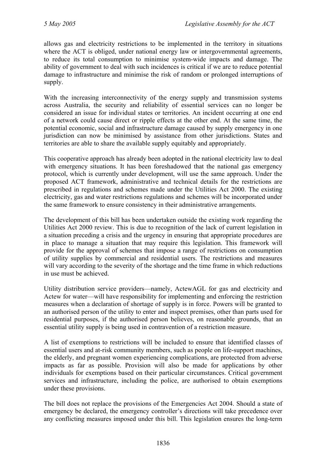allows gas and electricity restrictions to be implemented in the territory in situations where the ACT is obliged, under national energy law or intergovernmental agreements, to reduce its total consumption to minimise system-wide impacts and damage. The ability of government to deal with such incidences is critical if we are to reduce potential damage to infrastructure and minimise the risk of random or prolonged interruptions of supply.

With the increasing interconnectivity of the energy supply and transmission systems across Australia, the security and reliability of essential services can no longer be considered an issue for individual states or territories. An incident occurring at one end of a network could cause direct or ripple effects at the other end. At the same time, the potential economic, social and infrastructure damage caused by supply emergency in one jurisdiction can now be minimised by assistance from other jurisdictions. States and territories are able to share the available supply equitably and appropriately.

This cooperative approach has already been adopted in the national electricity law to deal with emergency situations. It has been foreshadowed that the national gas emergency protocol, which is currently under development, will use the same approach. Under the proposed ACT framework, administrative and technical details for the restrictions are prescribed in regulations and schemes made under the Utilities Act 2000. The existing electricity, gas and water restrictions regulations and schemes will be incorporated under the same framework to ensure consistency in their administrative arrangements.

The development of this bill has been undertaken outside the existing work regarding the Utilities Act 2000 review. This is due to recognition of the lack of current legislation in a situation preceding a crisis and the urgency in ensuring that appropriate procedures are in place to manage a situation that may require this legislation. This framework will provide for the approval of schemes that impose a range of restrictions on consumption of utility supplies by commercial and residential users. The restrictions and measures will vary according to the severity of the shortage and the time frame in which reductions in use must be achieved.

Utility distribution service providers—namely, ActewAGL for gas and electricity and Actew for water—will have responsibility for implementing and enforcing the restriction measures when a declaration of shortage of supply is in force. Powers will be granted to an authorised person of the utility to enter and inspect premises, other than parts used for residential purposes, if the authorised person believes, on reasonable grounds, that an essential utility supply is being used in contravention of a restriction measure.

A list of exemptions to restrictions will be included to ensure that identified classes of essential users and at-risk community members, such as people on life-support machines, the elderly, and pregnant women experiencing complications, are protected from adverse impacts as far as possible. Provision will also be made for applications by other individuals for exemptions based on their particular circumstances. Critical government services and infrastructure, including the police, are authorised to obtain exemptions under these provisions.

The bill does not replace the provisions of the Emergencies Act 2004. Should a state of emergency be declared, the emergency controller's directions will take precedence over any conflicting measures imposed under this bill. This legislation ensures the long-term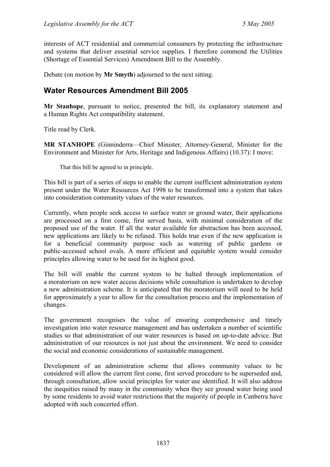interests of ACT residential and commercial consumers by protecting the infrastructure and systems that deliver essential service supplies. I therefore commend the Utilities (Shortage of Essential Services) Amendment Bill to the Assembly.

Debate (on motion by **Mr Smyth**) adjourned to the next sitting.

## <span id="page-4-0"></span>**Water Resources Amendment Bill 2005**

**Mr Stanhope**, pursuant to notice, presented the bill, its explanatory statement and a Human Rights Act compatibility statement.

Title read by Clerk.

**MR STANHOPE** (Ginninderra—Chief Minister, Attorney-General, Minister for the Environment and Minister for Arts, Heritage and Indigenous Affairs) (10.37): I move:

That this bill be agreed to in principle.

This bill is part of a series of steps to enable the current inefficient administration system present under the Water Resources Act 1998 to be transformed into a system that takes into consideration community values of the water resources.

Currently, when people seek access to surface water or ground water, their applications are processed on a first come, first served basis, with minimal consideration of the proposed use of the water. If all the water available for abstraction has been accessed, new applications are likely to be refused. This holds true even if the new application is for a beneficial community purpose such as watering of public gardens or public-accessed school ovals. A more efficient and equitable system would consider principles allowing water to be used for its highest good.

The bill will enable the current system to be halted through implementation of a moratorium on new water access decisions while consultation is undertaken to develop a new administration scheme. It is anticipated that the moratorium will need to be held for approximately a year to allow for the consultation process and the implementation of changes.

The government recognises the value of ensuring comprehensive and timely investigation into water resource management and has undertaken a number of scientific studies so that administration of our water resources is based on up-to-date advice. But administration of our resources is not just about the environment. We need to consider the social and economic considerations of sustainable management.

Development of an administration scheme that allows community values to be considered will allow the current first come, first served procedure to be superseded and, through consultation, allow social principles for water use identified. It will also address the inequities raised by many in the community when they see ground water being used by some residents to avoid water restrictions that the majority of people in Canberra have adopted with such concerted effort.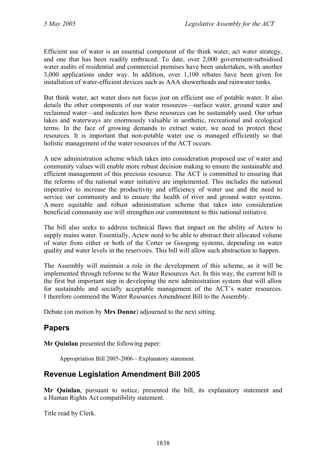Efficient use of water is an essential component of the think water, act water strategy, and one that has been readily embraced. To date, over 2,000 government-subsidised water audits of residential and commercial premises have been undertaken, with another 3,000 applications under way. In addition, over 1,100 rebates have been given for installation of water-efficient devices such as AAA showerheads and rainwater tanks.

But think water, act water does not focus just on efficient use of potable water. It also details the other components of our water resources—surface water, ground water and reclaimed water—and indicates how these resources can be sustainably used. Our urban lakes and waterways are enormously valuable in aesthetic, recreational and ecological terms. In the face of growing demands to extract water, we need to protect these resources. It is important that non-potable water use is managed efficiently so that holistic management of the water resources of the ACT occurs.

A new administration scheme which takes into consideration proposed use of water and community values will enable more robust decision making to ensure the sustainable and efficient management of this precious resource. The ACT is committed to ensuring that the reforms of the national water initiative are implemented. This includes the national imperative to increase the productivity and efficiency of water use and the need to service our community and to ensure the health of river and ground water systems. A more equitable and robust administration scheme that takes into consideration beneficial community use will strengthen our commitment to this national initiative.

The bill also seeks to address technical flaws that impact on the ability of Actew to supply mains water. Essentially, Actew need to be able to abstract their allocated volume of water from either or both of the Cotter or Googong systems, depending on water quality and water levels in the reservoirs. This bill will allow such abstraction to happen.

The Assembly will maintain a role in the development of this scheme, as it will be implemented through reforms to the Water Resources Act. In this way, the current bill is the first but important step in developing the new administration system that will allow for sustainable and socially acceptable management of the ACT's water resources. I therefore commend the Water Resources Amendment Bill to the Assembly.

Debate (on motion by **Mrs Dunne**) adjourned to the next sitting.

## <span id="page-5-0"></span>**Papers**

**Mr Quinlan** presented the following paper:

Appropriation Bill 2005-2006—Explanatory statement.

## <span id="page-5-1"></span>**Revenue Legislation Amendment Bill 2005**

**Mr Quinlan**, pursuant to notice, presented the bill, its explanatory statement and a Human Rights Act compatibility statement.

Title read by Clerk.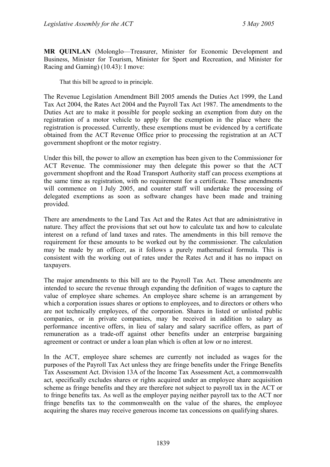**MR QUINLAN** (Molonglo—Treasurer, Minister for Economic Development and Business, Minister for Tourism, Minister for Sport and Recreation, and Minister for Racing and Gaming) (10.43): I move:

That this bill be agreed to in principle.

The Revenue Legislation Amendment Bill 2005 amends the Duties Act 1999, the Land Tax Act 2004, the Rates Act 2004 and the Payroll Tax Act 1987. The amendments to the Duties Act are to make it possible for people seeking an exemption from duty on the registration of a motor vehicle to apply for the exemption in the place where the registration is processed. Currently, these exemptions must be evidenced by a certificate obtained from the ACT Revenue Office prior to processing the registration at an ACT government shopfront or the motor registry.

Under this bill, the power to allow an exemption has been given to the Commissioner for ACT Revenue. The commissioner may then delegate this power so that the ACT government shopfront and the Road Transport Authority staff can process exemptions at the same time as registration, with no requirement for a certificate. These amendments will commence on 1 July 2005, and counter staff will undertake the processing of delegated exemptions as soon as software changes have been made and training provided.

There are amendments to the Land Tax Act and the Rates Act that are administrative in nature. They affect the provisions that set out how to calculate tax and how to calculate interest on a refund of land taxes and rates. The amendments in this bill remove the requirement for these amounts to be worked out by the commissioner. The calculation may be made by an officer, as it follows a purely mathematical formula. This is consistent with the working out of rates under the Rates Act and it has no impact on taxpayers.

The major amendments to this bill are to the Payroll Tax Act. These amendments are intended to secure the revenue through expanding the definition of wages to capture the value of employee share schemes. An employee share scheme is an arrangement by which a corporation issues shares or options to employees, and to directors or others who are not technically employees, of the corporation. Shares in listed or unlisted public companies, or in private companies, may be received in addition to salary as performance incentive offers, in lieu of salary and salary sacrifice offers, as part of remuneration as a trade-off against other benefits under an enterprise bargaining agreement or contract or under a loan plan which is often at low or no interest.

In the ACT, employee share schemes are currently not included as wages for the purposes of the Payroll Tax Act unless they are fringe benefits under the Fringe Benefits Tax Assessment Act. Division 13A of the Income Tax Assessment Act, a commonwealth act, specifically excludes shares or rights acquired under an employee share acquisition scheme as fringe benefits and they are therefore not subject to payroll tax in the ACT or to fringe benefits tax. As well as the employer paying neither payroll tax to the ACT nor fringe benefits tax to the commonwealth on the value of the shares, the employee acquiring the shares may receive generous income tax concessions on qualifying shares.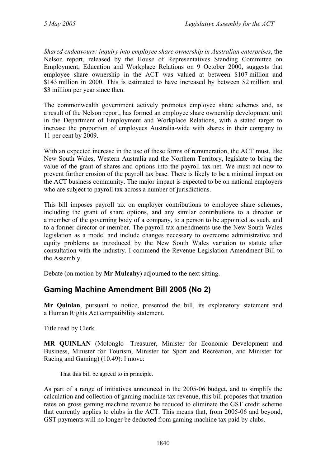*Shared endeavours: inquiry into employee share ownership in Australian enterprises*, the Nelson report, released by the House of Representatives Standing Committee on Employment, Education and Workplace Relations on 9 October 2000, suggests that employee share ownership in the ACT was valued at between \$107 million and \$143 million in 2000. This is estimated to have increased by between \$2 million and \$3 million per year since then.

The commonwealth government actively promotes employee share schemes and, as a result of the Nelson report, has formed an employee share ownership development unit in the Department of Employment and Workplace Relations, with a stated target to increase the proportion of employees Australia-wide with shares in their company to 11 per cent by 2009.

With an expected increase in the use of these forms of remuneration, the ACT must, like New South Wales, Western Australia and the Northern Territory, legislate to bring the value of the grant of shares and options into the payroll tax net. We must act now to prevent further erosion of the payroll tax base. There is likely to be a minimal impact on the ACT business community. The major impact is expected to be on national employers who are subject to payroll tax across a number of jurisdictions.

This bill imposes payroll tax on employer contributions to employee share schemes, including the grant of share options, and any similar contributions to a director or a member of the governing body of a company, to a person to be appointed as such, and to a former director or member. The payroll tax amendments use the New South Wales legislation as a model and include changes necessary to overcome administrative and equity problems as introduced by the New South Wales variation to statute after consultation with the industry. I commend the Revenue Legislation Amendment Bill to the Assembly.

Debate (on motion by **Mr Mulcahy**) adjourned to the next sitting.

## <span id="page-7-0"></span>**Gaming Machine Amendment Bill 2005 (No 2)**

**Mr Quinlan**, pursuant to notice, presented the bill, its explanatory statement and a Human Rights Act compatibility statement.

Title read by Clerk.

**MR QUINLAN** (Molonglo—Treasurer, Minister for Economic Development and Business, Minister for Tourism, Minister for Sport and Recreation, and Minister for Racing and Gaming) (10.49): I move:

That this bill be agreed to in principle.

As part of a range of initiatives announced in the 2005-06 budget, and to simplify the calculation and collection of gaming machine tax revenue, this bill proposes that taxation rates on gross gaming machine revenue be reduced to eliminate the GST credit scheme that currently applies to clubs in the ACT. This means that, from 2005-06 and beyond, GST payments will no longer be deducted from gaming machine tax paid by clubs.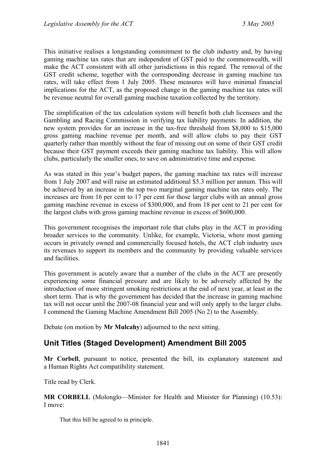This initiative realises a longstanding commitment to the club industry and, by having gaming machine tax rates that are independent of GST paid to the commonwealth, will make the ACT consistent with all other jurisdictions in this regard. The removal of the GST credit scheme, together with the corresponding decrease in gaming machine tax rates, will take effect from 1 July 2005. These measures will have minimal financial implications for the ACT, as the proposed change in the gaming machine tax rates will be revenue neutral for overall gaming machine taxation collected by the territory.

The simplification of the tax calculation system will benefit both club licensees and the Gambling and Racing Commission in verifying tax liability payments. In addition, the new system provides for an increase in the tax-free threshold from \$8,000 to \$15,000 gross gaming machine revenue per month, and will allow clubs to pay their GST quarterly rather than monthly without the fear of missing out on some of their GST credit because their GST payment exceeds their gaming machine tax liability. This will allow clubs, particularly the smaller ones, to save on administrative time and expense.

As was stated in this year's budget papers, the gaming machine tax rates will increase from 1 July 2007 and will raise an estimated additional \$5.3 million per annum. This will be achieved by an increase in the top two marginal gaming machine tax rates only. The increases are from 16 per cent to 17 per cent for those larger clubs with an annual gross gaming machine revenue in excess of \$300,000, and from 18 per cent to 21 per cent for the largest clubs with gross gaming machine revenue in excess of \$600,000.

This government recognises the important role that clubs play in the ACT in providing broader services to the community. Unlike, for example, Victoria, where most gaming occurs in privately owned and commercially focused hotels, the ACT club industry uses its revenues to support its members and the community by providing valuable services and facilities.

This government is acutely aware that a number of the clubs in the ACT are presently experiencing some financial pressure and are likely to be adversely affected by the introduction of more stringent smoking restrictions at the end of next year, at least in the short term. That is why the government has decided that the increase in gaming machine tax will not occur until the 2007-08 financial year and will only apply to the larger clubs. I commend the Gaming Machine Amendment Bill 2005 (No 2) to the Assembly.

Debate (on motion by **Mr Mulcahy**) adjourned to the next sitting.

## <span id="page-8-0"></span>**Unit Titles (Staged Development) Amendment Bill 2005**

**Mr Corbell**, pursuant to notice, presented the bill, its explanatory statement and a Human Rights Act compatibility statement.

Title read by Clerk.

**MR CORBELL** (Molonglo—Minister for Health and Minister for Planning) (10.53): I move:

That this bill be agreed to in principle.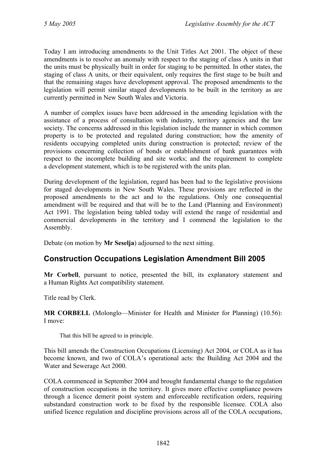Today I am introducing amendments to the Unit Titles Act 2001. The object of these amendments is to resolve an anomaly with respect to the staging of class A units in that the units must be physically built in order for staging to be permitted. In other states, the staging of class A units, or their equivalent, only requires the first stage to be built and that the remaining stages have development approval. The proposed amendments to the legislation will permit similar staged developments to be built in the territory as are currently permitted in New South Wales and Victoria.

A number of complex issues have been addressed in the amending legislation with the assistance of a process of consultation with industry, territory agencies and the law society. The concerns addressed in this legislation include the manner in which common property is to be protected and regulated during construction; how the amenity of residents occupying completed units during construction is protected; review of the provisions concerning collection of bonds or establishment of bank guarantees with respect to the incomplete building and site works; and the requirement to complete a development statement, which is to be registered with the units plan.

During development of the legislation, regard has been had to the legislative provisions for staged developments in New South Wales. These provisions are reflected in the proposed amendments to the act and to the regulations. Only one consequential amendment will be required and that will be to the Land (Planning and Environment) Act 1991. The legislation being tabled today will extend the range of residential and commercial developments in the territory and I commend the legislation to the Assembly.

Debate (on motion by **Mr Seselja**) adjourned to the next sitting.

## <span id="page-9-0"></span>**Construction Occupations Legislation Amendment Bill 2005**

**Mr Corbell**, pursuant to notice, presented the bill, its explanatory statement and a Human Rights Act compatibility statement.

Title read by Clerk.

**MR CORBELL** (Molonglo—Minister for Health and Minister for Planning) (10.56): I move:

That this bill be agreed to in principle.

This bill amends the Construction Occupations (Licensing) Act 2004, or COLA as it has become known, and two of COLA's operational acts: the Building Act 2004 and the Water and Sewerage Act 2000.

COLA commenced in September 2004 and brought fundamental change to the regulation of construction occupations in the territory. It gives more effective compliance powers through a licence demerit point system and enforceable rectification orders, requiring substandard construction work to be fixed by the responsible licensee. COLA also unified licence regulation and discipline provisions across all of the COLA occupations,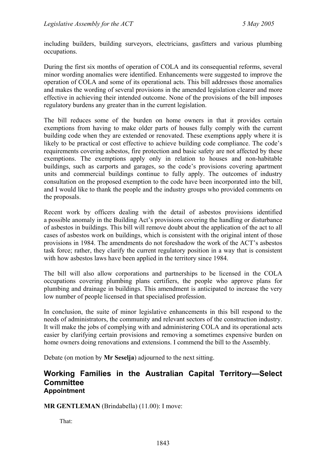including builders, building surveyors, electricians, gasfitters and various plumbing occupations.

During the first six months of operation of COLA and its consequential reforms, several minor wording anomalies were identified. Enhancements were suggested to improve the operation of COLA and some of its operational acts. This bill addresses those anomalies and makes the wording of several provisions in the amended legislation clearer and more effective in achieving their intended outcome. None of the provisions of the bill imposes regulatory burdens any greater than in the current legislation.

The bill reduces some of the burden on home owners in that it provides certain exemptions from having to make older parts of houses fully comply with the current building code when they are extended or renovated. These exemptions apply where it is likely to be practical or cost effective to achieve building code compliance. The code's requirements covering asbestos, fire protection and basic safety are not affected by these exemptions. The exemptions apply only in relation to houses and non-habitable buildings, such as carports and garages, so the code's provisions covering apartment units and commercial buildings continue to fully apply. The outcomes of industry consultation on the proposed exemption to the code have been incorporated into the bill, and I would like to thank the people and the industry groups who provided comments on the proposals.

Recent work by officers dealing with the detail of asbestos provisions identified a possible anomaly in the Building Act's provisions covering the handling or disturbance of asbestos in buildings. This bill will remove doubt about the application of the act to all cases of asbestos work on buildings, which is consistent with the original intent of those provisions in 1984. The amendments do not foreshadow the work of the ACT's asbestos task force; rather, they clarify the current regulatory position in a way that is consistent with how asbestos laws have been applied in the territory since 1984.

The bill will also allow corporations and partnerships to be licensed in the COLA occupations covering plumbing plans certifiers, the people who approve plans for plumbing and drainage in buildings. This amendment is anticipated to increase the very low number of people licensed in that specialised profession.

In conclusion, the suite of minor legislative enhancements in this bill respond to the needs of administrators, the community and relevant sectors of the construction industry. It will make the jobs of complying with and administering COLA and its operational acts easier by clarifying certain provisions and removing a sometimes expensive burden on home owners doing renovations and extensions. I commend the bill to the Assembly.

Debate (on motion by **Mr Seselja**) adjourned to the next sitting.

#### <span id="page-10-0"></span>**Working Families in the Australian Capital Territory—Select Committee Appointment**

**MR GENTLEMAN** (Brindabella) (11.00): I move:

That: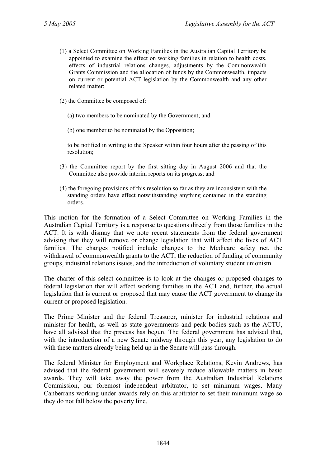- (1) a Select Committee on Working Families in the Australian Capital Territory be appointed to examine the effect on working families in relation to health costs, effects of industrial relations changes, adjustments by the Commonwealth Grants Commission and the allocation of funds by the Commonwealth, impacts on current or potential ACT legislation by the Commonwealth and any other related matter;
- (2) the Committee be composed of:
	- (a) two members to be nominated by the Government; and
	- (b) one member to be nominated by the Opposition;

to be notified in writing to the Speaker within four hours after the passing of this resolution;

- (3) the Committee report by the first sitting day in August 2006 and that the Committee also provide interim reports on its progress; and
- (4) the foregoing provisions of this resolution so far as they are inconsistent with the standing orders have effect notwithstanding anything contained in the standing orders.

This motion for the formation of a Select Committee on Working Families in the Australian Capital Territory is a response to questions directly from those families in the ACT. It is with dismay that we note recent statements from the federal government advising that they will remove or change legislation that will affect the lives of ACT families. The changes notified include changes to the Medicare safety net, the withdrawal of commonwealth grants to the ACT, the reduction of funding of community groups, industrial relations issues, and the introduction of voluntary student unionism.

The charter of this select committee is to look at the changes or proposed changes to federal legislation that will affect working families in the ACT and, further, the actual legislation that is current or proposed that may cause the ACT government to change its current or proposed legislation.

The Prime Minister and the federal Treasurer, minister for industrial relations and minister for health, as well as state governments and peak bodies such as the ACTU, have all advised that the process has begun. The federal government has advised that, with the introduction of a new Senate midway through this year, any legislation to do with these matters already being held up in the Senate will pass through.

The federal Minister for Employment and Workplace Relations, Kevin Andrews, has advised that the federal government will severely reduce allowable matters in basic awards. They will take away the power from the Australian Industrial Relations Commission, our foremost independent arbitrator, to set minimum wages. Many Canberrans working under awards rely on this arbitrator to set their minimum wage so they do not fall below the poverty line.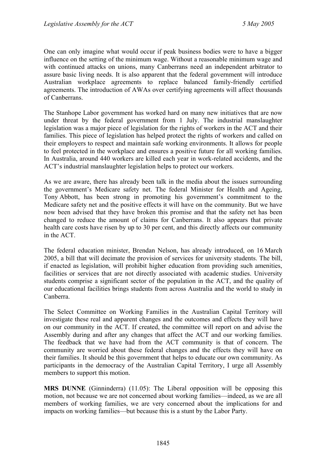One can only imagine what would occur if peak business bodies were to have a bigger influence on the setting of the minimum wage. Without a reasonable minimum wage and with continued attacks on unions, many Canberrans need an independent arbitrator to assure basic living needs. It is also apparent that the federal government will introduce Australian workplace agreements to replace balanced family-friendly certified agreements. The introduction of AWAs over certifying agreements will affect thousands of Canberrans.

The Stanhope Labor government has worked hard on many new initiatives that are now under threat by the federal government from 1 July. The industrial manslaughter legislation was a major piece of legislation for the rights of workers in the ACT and their families. This piece of legislation has helped protect the rights of workers and called on their employers to respect and maintain safe working environments. It allows for people to feel protected in the workplace and ensures a positive future for all working families. In Australia, around 440 workers are killed each year in work-related accidents, and the ACT's industrial manslaughter legislation helps to protect our workers.

As we are aware, there has already been talk in the media about the issues surrounding the government's Medicare safety net. The federal Minister for Health and Ageing, Tony Abbott, has been strong in promoting his government's commitment to the Medicare safety net and the positive effects it will have on the community. But we have now been advised that they have broken this promise and that the safety net has been changed to reduce the amount of claims for Canberrans. It also appears that private health care costs have risen by up to 30 per cent, and this directly affects our community in the ACT.

The federal education minister, Brendan Nelson, has already introduced, on 16 March 2005, a bill that will decimate the provision of services for university students. The bill, if enacted as legislation, will prohibit higher education from providing such amenities, facilities or services that are not directly associated with academic studies. University students comprise a significant sector of the population in the ACT, and the quality of our educational facilities brings students from across Australia and the world to study in Canberra.

The Select Committee on Working Families in the Australian Capital Territory will investigate these real and apparent changes and the outcomes and effects they will have on our community in the ACT. If created, the committee will report on and advise the Assembly during and after any changes that affect the ACT and our working families. The feedback that we have had from the ACT community is that of concern. The community are worried about these federal changes and the effects they will have on their families. It should be this government that helps to educate our own community. As participants in the democracy of the Australian Capital Territory, I urge all Assembly members to support this motion.

**MRS DUNNE** (Ginninderra) (11.05): The Liberal opposition will be opposing this motion, not because we are not concerned about working families—indeed, as we are all members of working families, we are very concerned about the implications for and impacts on working families—but because this is a stunt by the Labor Party.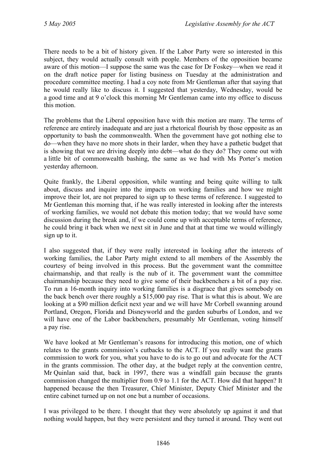There needs to be a bit of history given. If the Labor Party were so interested in this subject, they would actually consult with people. Members of the opposition became aware of this motion—I suppose the same was the case for Dr Foskey—when we read it on the draft notice paper for listing business on Tuesday at the administration and procedure committee meeting. I had a coy note from Mr Gentleman after that saying that he would really like to discuss it. I suggested that yesterday, Wednesday, would be a good time and at 9 o'clock this morning Mr Gentleman came into my office to discuss this motion.

The problems that the Liberal opposition have with this motion are many. The terms of reference are entirely inadequate and are just a rhetorical flourish by those opposite as an opportunity to bash the commonwealth. When the government have got nothing else to do—when they have no more shots in their larder, when they have a pathetic budget that is showing that we are driving deeply into debt—what do they do? They come out with a little bit of commonwealth bashing, the same as we had with Ms Porter's motion yesterday afternoon.

Quite frankly, the Liberal opposition, while wanting and being quite willing to talk about, discuss and inquire into the impacts on working families and how we might improve their lot, are not prepared to sign up to these terms of reference. I suggested to Mr Gentleman this morning that, if he was really interested in looking after the interests of working families, we would not debate this motion today; that we would have some discussion during the break and, if we could come up with acceptable terms of reference, he could bring it back when we next sit in June and that at that time we would willingly sign up to it.

I also suggested that, if they were really interested in looking after the interests of working families, the Labor Party might extend to all members of the Assembly the courtesy of being involved in this process. But the government want the committee chairmanship, and that really is the nub of it. The government want the committee chairmanship because they need to give some of their backbenchers a bit of a pay rise. To run a 16-month inquiry into working families is a disgrace that gives somebody on the back bench over there roughly a \$15,000 pay rise. That is what this is about. We are looking at a \$90 million deficit next year and we will have Mr Corbell swanning around Portland, Oregon, Florida and Disneyworld and the garden suburbs of London, and we will have one of the Labor backbenchers, presumably Mr Gentleman, voting himself a pay rise.

We have looked at Mr Gentleman's reasons for introducing this motion, one of which relates to the grants commission's cutbacks to the ACT. If you really want the grants commission to work for you, what you have to do is to go out and advocate for the ACT in the grants commission. The other day, at the budget reply at the convention centre, Mr Quinlan said that, back in 1997, there was a windfall gain because the grants commission changed the multiplier from 0.9 to 1.1 for the ACT. How did that happen? It happened because the then Treasurer, Chief Minister, Deputy Chief Minister and the entire cabinet turned up on not one but a number of occasions.

I was privileged to be there. I thought that they were absolutely up against it and that nothing would happen, but they were persistent and they turned it around. They went out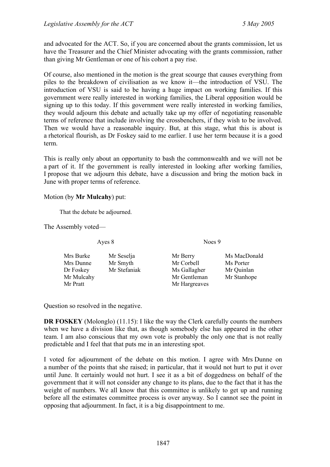and advocated for the ACT. So, if you are concerned about the grants commission, let us have the Treasurer and the Chief Minister advocating with the grants commission, rather than giving Mr Gentleman or one of his cohort a pay rise.

Of course, also mentioned in the motion is the great scourge that causes everything from piles to the breakdown of civilisation as we know it—the introduction of VSU. The introduction of VSU is said to be having a huge impact on working families. If this government were really interested in working families, the Liberal opposition would be signing up to this today. If this government were really interested in working families, they would adjourn this debate and actually take up my offer of negotiating reasonable terms of reference that include involving the crossbenchers, if they wish to be involved. Then we would have a reasonable inquiry. But, at this stage, what this is about is a rhetorical flourish, as Dr Foskey said to me earlier. I use her term because it is a good term.

This is really only about an opportunity to bash the commonwealth and we will not be a part of it. If the government is really interested in looking after working families, I propose that we adjourn this debate, have a discussion and bring the motion back in June with proper terms of reference.

#### Motion (by **Mr Mulcahy**) put:

That the debate be adjourned.

The Assembly voted—

Ayes 8 Noes 9

| Mrs Burke  | Mr Seselja   | Mr Berry      | Ms MacDonald |
|------------|--------------|---------------|--------------|
| Mrs Dunne  | Mr Smyth     | Mr Corbell    | Ms Porter    |
| Dr Foskey  | Mr Stefaniak | Ms Gallagher  | Mr Quinlan   |
| Mr Mulcahy |              | Mr Gentleman  | Mr Stanhope  |
| Mr Pratt   |              | Mr Hargreaves |              |
|            |              |               |              |

Question so resolved in the negative.

**DR FOSKEY** (Molonglo) (11.15): I like the way the Clerk carefully counts the numbers when we have a division like that, as though somebody else has appeared in the other team. I am also conscious that my own vote is probably the only one that is not really predictable and I feel that that puts me in an interesting spot.

I voted for adjournment of the debate on this motion. I agree with Mrs Dunne on a number of the points that she raised; in particular, that it would not hurt to put it over until June. It certainly would not hurt. I see it as a bit of doggedness on behalf of the government that it will not consider any change to its plans, due to the fact that it has the weight of numbers. We all know that this committee is unlikely to get up and running before all the estimates committee process is over anyway. So I cannot see the point in opposing that adjournment. In fact, it is a big disappointment to me.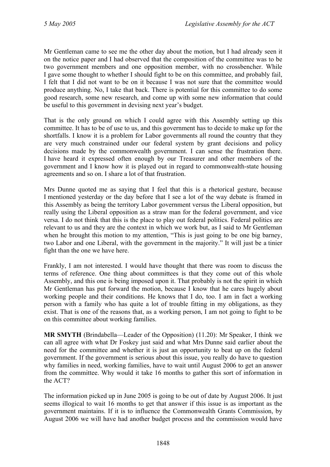Mr Gentleman came to see me the other day about the motion, but I had already seen it on the notice paper and I had observed that the composition of the committee was to be two government members and one opposition member, with no crossbencher. While I gave some thought to whether I should fight to be on this committee, and probably fail, I felt that I did not want to be on it because I was not sure that the committee would produce anything. No, I take that back. There is potential for this committee to do some good research, some new research, and come up with some new information that could be useful to this government in devising next year's budget.

That is the only ground on which I could agree with this Assembly setting up this committee. It has to be of use to us, and this government has to decide to make up for the shortfalls. I know it is a problem for Labor governments all round the country that they are very much constrained under our federal system by grant decisions and policy decisions made by the commonwealth government. I can sense the frustration there. I have heard it expressed often enough by our Treasurer and other members of the government and I know how it is played out in regard to commonwealth-state housing agreements and so on. I share a lot of that frustration.

Mrs Dunne quoted me as saying that I feel that this is a rhetorical gesture, because I mentioned yesterday or the day before that I see a lot of the way debate is framed in this Assembly as being the territory Labor government versus the Liberal opposition, but really using the Liberal opposition as a straw man for the federal government, and vice versa. I do not think that this is the place to play out federal politics. Federal politics are relevant to us and they are the context in which we work but, as I said to Mr Gentleman when he brought this motion to my attention, "This is just going to be one big barney, two Labor and one Liberal, with the government in the majority." It will just be a tinier fight than the one we have here.

Frankly, I am not interested. I would have thought that there was room to discuss the terms of reference. One thing about committees is that they come out of this whole Assembly, and this one is being imposed upon it. That probably is not the spirit in which Mr Gentleman has put forward the motion, because I know that he cares hugely about working people and their conditions. He knows that I do, too. I am in fact a working person with a family who has quite a lot of trouble fitting in my obligations, as they exist. That is one of the reasons that, as a working person, I am not going to fight to be on this committee about working families.

**MR SMYTH** (Brindabella—Leader of the Opposition) (11.20): Mr Speaker, I think we can all agree with what Dr Foskey just said and what Mrs Dunne said earlier about the need for the committee and whether it is just an opportunity to beat up on the federal government. If the government is serious about this issue, you really do have to question why families in need, working families, have to wait until August 2006 to get an answer from the committee. Why would it take 16 months to gather this sort of information in the ACT?

The information picked up in June 2005 is going to be out of date by August 2006. It just seems illogical to wait 16 months to get that answer if this issue is as important as the government maintains. If it is to influence the Commonwealth Grants Commission, by August 2006 we will have had another budget process and the commission would have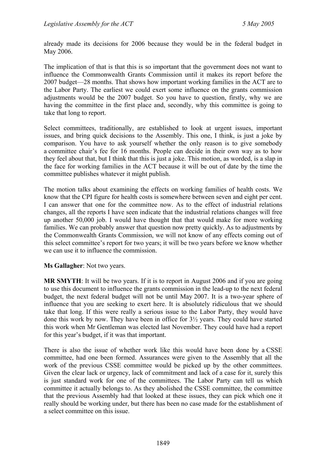already made its decisions for 2006 because they would be in the federal budget in May 2006.

The implication of that is that this is so important that the government does not want to influence the Commonwealth Grants Commission until it makes its report before the 2007 budget—28 months. That shows how important working families in the ACT are to the Labor Party. The earliest we could exert some influence on the grants commission adjustments would be the 2007 budget. So you have to question, firstly, why we are having the committee in the first place and, secondly, why this committee is going to take that long to report.

Select committees, traditionally, are established to look at urgent issues, important issues, and bring quick decisions to the Assembly. This one, I think, is just a joke by comparison. You have to ask yourself whether the only reason is to give somebody a committee chair's fee for 16 months. People can decide in their own way as to how they feel about that, but I think that this is just a joke. This motion, as worded, is a slap in the face for working families in the ACT because it will be out of date by the time the committee publishes whatever it might publish.

The motion talks about examining the effects on working families of health costs. We know that the CPI figure for health costs is somewhere between seven and eight per cent. I can answer that one for the committee now. As to the effect of industrial relations changes, all the reports I have seen indicate that the industrial relations changes will free up another 50,000 job. I would have thought that that would make for more working families. We can probably answer that question now pretty quickly. As to adjustments by the Commonwealth Grants Commission, we will not know of any effects coming out of this select committee's report for two years; it will be two years before we know whether we can use it to influence the commission.

**Ms Gallagher**: Not two years.

**MR SMYTH**: It will be two years. If it is to report in August 2006 and if you are going to use this document to influence the grants commission in the lead-up to the next federal budget, the next federal budget will not be until May 2007. It is a two-year sphere of influence that you are seeking to exert here. It is absolutely ridiculous that we should take that long. If this were really a serious issue to the Labor Party, they would have done this work by now. They have been in office for 3½ years. They could have started this work when Mr Gentleman was elected last November. They could have had a report for this year's budget, if it was that important.

There is also the issue of whether work like this would have been done by a CSSE committee, had one been formed. Assurances were given to the Assembly that all the work of the previous CSSE committee would be picked up by the other committees. Given the clear lack or urgency, lack of commitment and lack of a case for it, surely this is just standard work for one of the committees. The Labor Party can tell us which committee it actually belongs to. As they abolished the CSSE committee, the committee that the previous Assembly had that looked at these issues, they can pick which one it really should be working under, but there has been no case made for the establishment of a select committee on this issue.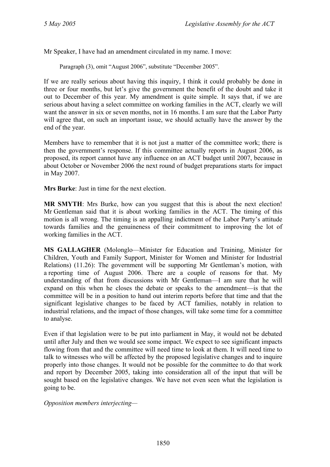Mr Speaker, I have had an amendment circulated in my name. I move:

Paragraph (3), omit "August 2006", substitute "December 2005".

If we are really serious about having this inquiry, I think it could probably be done in three or four months, but let's give the government the benefit of the doubt and take it out to December of this year. My amendment is quite simple. It says that, if we are serious about having a select committee on working families in the ACT, clearly we will want the answer in six or seven months, not in 16 months. I am sure that the Labor Party will agree that, on such an important issue, we should actually have the answer by the end of the year.

Members have to remember that it is not just a matter of the committee work; there is then the government's response. If this committee actually reports in August 2006, as proposed, its report cannot have any influence on an ACT budget until 2007, because in about October or November 2006 the next round of budget preparations starts for impact in May 2007.

**Mrs Burke**: Just in time for the next election.

**MR SMYTH**: Mrs Burke, how can you suggest that this is about the next election! Mr Gentleman said that it is about working families in the ACT. The timing of this motion is all wrong. The timing is an appalling indictment of the Labor Party's attitude towards families and the genuineness of their commitment to improving the lot of working families in the ACT.

**MS GALLAGHER** (Molonglo—Minister for Education and Training, Minister for Children, Youth and Family Support, Minister for Women and Minister for Industrial Relations) (11.26): The government will be supporting Mr Gentleman's motion, with a reporting time of August 2006. There are a couple of reasons for that. My understanding of that from discussions with Mr Gentleman—I am sure that he will expand on this when he closes the debate or speaks to the amendment—is that the committee will be in a position to hand out interim reports before that time and that the significant legislative changes to be faced by ACT families, notably in relation to industrial relations, and the impact of those changes, will take some time for a committee to analyse.

Even if that legislation were to be put into parliament in May, it would not be debated until after July and then we would see some impact. We expect to see significant impacts flowing from that and the committee will need time to look at them. It will need time to talk to witnesses who will be affected by the proposed legislative changes and to inquire properly into those changes. It would not be possible for the committee to do that work and report by December 2005, taking into consideration all of the input that will be sought based on the legislative changes. We have not even seen what the legislation is going to be.

*Opposition members interjecting—*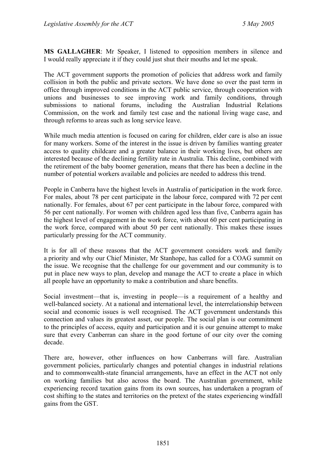**MS GALLAGHER**: Mr Speaker, I listened to opposition members in silence and I would really appreciate it if they could just shut their mouths and let me speak.

The ACT government supports the promotion of policies that address work and family collision in both the public and private sectors. We have done so over the past term in office through improved conditions in the ACT public service, through cooperation with unions and businesses to see improving work and family conditions, through submissions to national forums, including the Australian Industrial Relations Commission, on the work and family test case and the national living wage case, and through reforms to areas such as long service leave.

While much media attention is focused on caring for children, elder care is also an issue for many workers. Some of the interest in the issue is driven by families wanting greater access to quality childcare and a greater balance in their working lives, but others are interested because of the declining fertility rate in Australia. This decline, combined with the retirement of the baby boomer generation, means that there has been a decline in the number of potential workers available and policies are needed to address this trend.

People in Canberra have the highest levels in Australia of participation in the work force. For males, about 78 per cent participate in the labour force, compared with 72 per cent nationally. For females, about 67 per cent participate in the labour force, compared with 56 per cent nationally. For women with children aged less than five, Canberra again has the highest level of engagement in the work force, with about 60 per cent participating in the work force, compared with about 50 per cent nationally. This makes these issues particularly pressing for the ACT community.

It is for all of these reasons that the ACT government considers work and family a priority and why our Chief Minister, Mr Stanhope, has called for a COAG summit on the issue. We recognise that the challenge for our government and our community is to put in place new ways to plan, develop and manage the ACT to create a place in which all people have an opportunity to make a contribution and share benefits.

Social investment—that is, investing in people—is a requirement of a healthy and well-balanced society. At a national and international level, the interrelationship between social and economic issues is well recognised. The ACT government understands this connection and values its greatest asset, our people. The social plan is our commitment to the principles of access, equity and participation and it is our genuine attempt to make sure that every Canberran can share in the good fortune of our city over the coming decade.

There are, however, other influences on how Canberrans will fare. Australian government policies, particularly changes and potential changes in industrial relations and to commonwealth-state financial arrangements, have an effect in the ACT not only on working families but also across the board. The Australian government, while experiencing record taxation gains from its own sources, has undertaken a program of cost shifting to the states and territories on the pretext of the states experiencing windfall gains from the GST.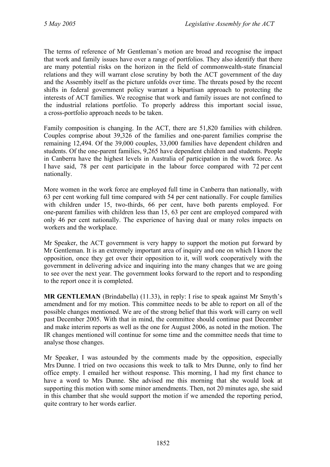The terms of reference of Mr Gentleman's motion are broad and recognise the impact that work and family issues have over a range of portfolios. They also identify that there are many potential risks on the horizon in the field of commonwealth-state financial relations and they will warrant close scrutiny by both the ACT government of the day and the Assembly itself as the picture unfolds over time. The threats posed by the recent shifts in federal government policy warrant a bipartisan approach to protecting the interests of ACT families. We recognise that work and family issues are not confined to the industrial relations portfolio. To properly address this important social issue, a cross-portfolio approach needs to be taken.

Family composition is changing. In the ACT, there are 51,820 families with children. Couples comprise about 39,326 of the families and one-parent families comprise the remaining 12,494. Of the 39,000 couples, 33,000 families have dependent children and students. Of the one-parent families, 9,265 have dependent children and students. People in Canberra have the highest levels in Australia of participation in the work force. As I have said, 78 per cent participate in the labour force compared with 72 per cent nationally.

More women in the work force are employed full time in Canberra than nationally, with 63 per cent working full time compared with 54 per cent nationally. For couple families with children under 15, two-thirds, 66 per cent, have both parents employed. For one-parent families with children less than 15, 63 per cent are employed compared with only 46 per cent nationally. The experience of having dual or many roles impacts on workers and the workplace.

Mr Speaker, the ACT government is very happy to support the motion put forward by Mr Gentleman. It is an extremely important area of inquiry and one on which I know the opposition, once they get over their opposition to it, will work cooperatively with the government in delivering advice and inquiring into the many changes that we are going to see over the next year. The government looks forward to the report and to responding to the report once it is completed.

**MR GENTLEMAN** (Brindabella) (11.33), in reply: I rise to speak against Mr Smyth's amendment and for my motion. This committee needs to be able to report on all of the possible changes mentioned. We are of the strong belief that this work will carry on well past December 2005. With that in mind, the committee should continue past December and make interim reports as well as the one for August 2006, as noted in the motion. The IR changes mentioned will continue for some time and the committee needs that time to analyse those changes.

Mr Speaker, I was astounded by the comments made by the opposition, especially Mrs Dunne. I tried on two occasions this week to talk to Mrs Dunne, only to find her office empty. I emailed her without response. This morning, I had my first chance to have a word to Mrs Dunne. She advised me this morning that she would look at supporting this motion with some minor amendments. Then, not 20 minutes ago, she said in this chamber that she would support the motion if we amended the reporting period, quite contrary to her words earlier.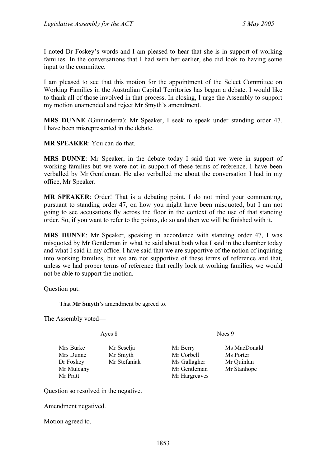I noted Dr Foskey's words and I am pleased to hear that she is in support of working families. In the conversations that I had with her earlier, she did look to having some input to the committee.

I am pleased to see that this motion for the appointment of the Select Committee on Working Families in the Australian Capital Territories has begun a debate. I would like to thank all of those involved in that process. In closing, I urge the Assembly to support my motion unamended and reject Mr Smyth's amendment.

**MRS DUNNE** (Ginninderra): Mr Speaker, I seek to speak under standing order 47. I have been misrepresented in the debate.

**MR SPEAKER**: You can do that.

**MRS DUNNE**: Mr Speaker, in the debate today I said that we were in support of working families but we were not in support of these terms of reference. I have been verballed by Mr Gentleman. He also verballed me about the conversation I had in my office, Mr Speaker.

**MR SPEAKER**: Order! That is a debating point. I do not mind your commenting, pursuant to standing order 47, on how you might have been misquoted, but I am not going to see accusations fly across the floor in the context of the use of that standing order. So, if you want to refer to the points, do so and then we will be finished with it.

**MRS DUNNE**: Mr Speaker, speaking in accordance with standing order 47, I was misquoted by Mr Gentleman in what he said about both what I said in the chamber today and what I said in my office. I have said that we are supportive of the notion of inquiring into working families, but we are not supportive of these terms of reference and that, unless we had proper terms of reference that really look at working families, we would not be able to support the motion.

Question put:

That **Mr Smyth's** amendment be agreed to.

The Assembly voted—

Mrs Burke Mr Seselja Mr Berry Ms MacDonald Mrs Dunne Mr Smyth Mr Corbell Ms Porter Dr Foskey Mr Stefaniak Ms Gallagher Mr Quinlan Mr Mulcahy Mr Gentleman Mr Stanhope Mr Pratt Mr Hargreaves

Question so resolved in the negative.

Amendment negatived.

Motion agreed to.

Ayes 8 Noes 9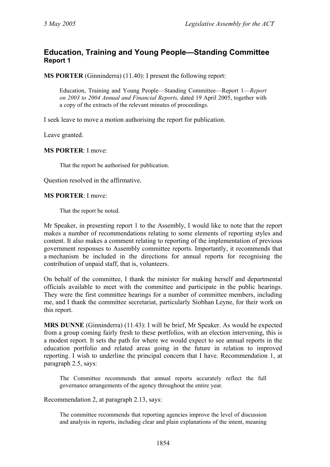### <span id="page-21-0"></span>**Education, Training and Young People—Standing Committee Report 1**

**MS PORTER** (Ginninderra) (11.40): I present the following report:

Education, Training and Young People—Standing Committee—Report 1—*Report on 2003 to 2004 Annual and Financial Reports,* dated 19 April 2005, together with a copy of the extracts of the relevant minutes of proceedings.

I seek leave to move a motion authorising the report for publication.

Leave granted.

**MS PORTER**: I move:

That the report be authorised for publication.

Question resolved in the affirmative.

#### **MS PORTER**: I move:

That the report be noted.

Mr Speaker, in presenting report 1 to the Assembly, I would like to note that the report makes a number of recommendations relating to some elements of reporting styles and content. It also makes a comment relating to reporting of the implementation of previous government responses to Assembly committee reports. Importantly, it recommends that a mechanism be included in the directions for annual reports for recognising the contribution of unpaid staff, that is, volunteers.

On behalf of the committee, I thank the minister for making herself and departmental officials available to meet with the committee and participate in the public hearings. They were the first committee hearings for a number of committee members, including me, and I thank the committee secretariat, particularly Siobhan Leyne, for their work on this report.

**MRS DUNNE** (Ginninderra) (11.43): I will be brief, Mr Speaker. As would be expected from a group coming fairly fresh to these portfolios, with an election intervening, this is a modest report. It sets the path for where we would expect to see annual reports in the education portfolio and related areas going in the future in relation to improved reporting. I wish to underline the principal concern that I have. Recommendation 1, at paragraph 2.5, says:

The Committee recommends that annual reports accurately reflect the full governance arrangements of the agency throughout the entire year.

Recommendation 2, at paragraph 2.13, says:

The committee recommends that reporting agencies improve the level of discussion and analysis in reports, including clear and plain explanations of the intent, meaning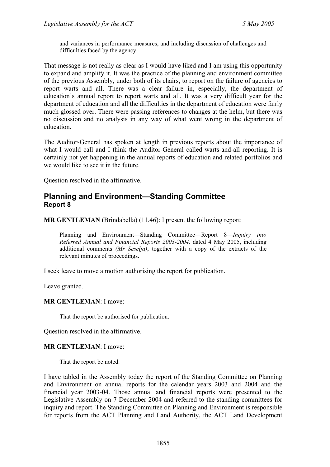and variances in performance measures, and including discussion of challenges and difficulties faced by the agency.

That message is not really as clear as I would have liked and I am using this opportunity to expand and amplify it. It was the practice of the planning and environment committee of the previous Assembly, under both of its chairs, to report on the failure of agencies to report warts and all. There was a clear failure in, especially, the department of education's annual report to report warts and all. It was a very difficult year for the department of education and all the difficulties in the department of education were fairly much glossed over. There were passing references to changes at the helm, but there was no discussion and no analysis in any way of what went wrong in the department of education.

The Auditor-General has spoken at length in previous reports about the importance of what I would call and I think the Auditor-General called warts-and-all reporting. It is certainly not yet happening in the annual reports of education and related portfolios and we would like to see it in the future.

Question resolved in the affirmative.

### <span id="page-22-0"></span>**Planning and Environment—Standing Committee Report 8**

**MR GENTLEMAN** (Brindabella) (11.46): I present the following report:

Planning and Environment—Standing Committee—Report 8—*Inquiry into Referred Annual and Financial Reports 2003-2004,* dated 4 May 2005, including additional comments *(Mr Seselja)*, together with a copy of the extracts of the relevant minutes of proceedings.

I seek leave to move a motion authorising the report for publication.

Leave granted.

**MR GENTLEMAN**: I move:

That the report be authorised for publication.

Question resolved in the affirmative.

#### **MR GENTLEMAN**: I move:

That the report be noted.

I have tabled in the Assembly today the report of the Standing Committee on Planning and Environment on annual reports for the calendar years 2003 and 2004 and the financial year 2003-04. Those annual and financial reports were presented to the Legislative Assembly on 7 December 2004 and referred to the standing committees for inquiry and report. The Standing Committee on Planning and Environment is responsible for reports from the ACT Planning and Land Authority, the ACT Land Development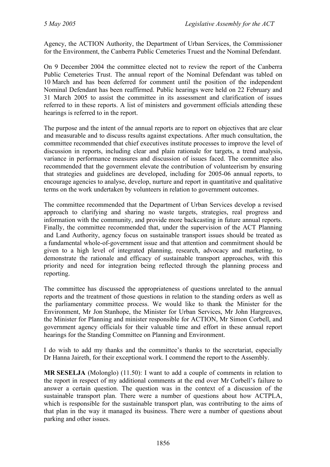Agency, the ACTION Authority, the Department of Urban Services, the Commissioner for the Environment, the Canberra Public Cemeteries Truest and the Nominal Defendant.

On 9 December 2004 the committee elected not to review the report of the Canberra Public Cemeteries Trust. The annual report of the Nominal Defendant was tabled on 10 March and has been deferred for comment until the position of the independent Nominal Defendant has been reaffirmed. Public hearings were held on 22 February and 31 March 2005 to assist the committee in its assessment and clarification of issues referred to in these reports. A list of ministers and government officials attending these hearings is referred to in the report.

The purpose and the intent of the annual reports are to report on objectives that are clear and measurable and to discuss results against expectations. After much consultation, the committee recommended that chief executives institute processes to improve the level of discussion in reports, including clear and plain rationale for targets, a trend analysis, variance in performance measures and discussion of issues faced. The committee also recommended that the government elevate the contribution of volunteerism by ensuring that strategies and guidelines are developed, including for 2005-06 annual reports, to encourage agencies to analyse, develop, nurture and report in quantitative and qualitative terms on the work undertaken by volunteers in relation to government outcomes.

The committee recommended that the Department of Urban Services develop a revised approach to clarifying and sharing no waste targets, strategies, real progress and information with the community, and provide more backcasting in future annual reports. Finally, the committee recommended that, under the supervision of the ACT Planning and Land Authority, agency focus on sustainable transport issues should be treated as a fundamental whole-of-government issue and that attention and commitment should be given to a high level of integrated planning, research, advocacy and marketing, to demonstrate the rationale and efficacy of sustainable transport approaches, with this priority and need for integration being reflected through the planning process and reporting.

The committee has discussed the appropriateness of questions unrelated to the annual reports and the treatment of those questions in relation to the standing orders as well as the parliamentary committee process. We would like to thank the Minister for the Environment, Mr Jon Stanhope, the Minister for Urban Services, Mr John Hargreaves, the Minister for Planning and minister responsible for ACTION, Mr Simon Corbell, and government agency officials for their valuable time and effort in these annual report hearings for the Standing Committee on Planning and Environment.

I do wish to add my thanks and the committee's thanks to the secretariat, especially Dr Hanna Jaireth, for their exceptional work. I commend the report to the Assembly.

**MR SESELJA** (Molonglo) (11.50): I want to add a couple of comments in relation to the report in respect of my additional comments at the end over Mr Corbell's failure to answer a certain question. The question was in the context of a discussion of the sustainable transport plan. There were a number of questions about how ACTPLA, which is responsible for the sustainable transport plan, was contributing to the aims of that plan in the way it managed its business. There were a number of questions about parking and other issues.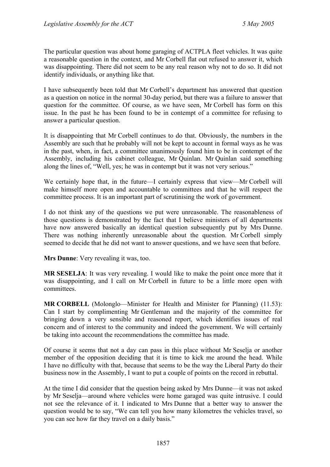The particular question was about home garaging of ACTPLA fleet vehicles. It was quite a reasonable question in the context, and Mr Corbell flat out refused to answer it, which was disappointing. There did not seem to be any real reason why not to do so. It did not identify individuals, or anything like that.

I have subsequently been told that Mr Corbell's department has answered that question as a question on notice in the normal 30-day period, but there was a failure to answer that question for the committee. Of course, as we have seen, Mr Corbell has form on this issue. In the past he has been found to be in contempt of a committee for refusing to answer a particular question.

It is disappointing that Mr Corbell continues to do that. Obviously, the numbers in the Assembly are such that he probably will not be kept to account in formal ways as he was in the past, when, in fact, a committee unanimously found him to be in contempt of the Assembly, including his cabinet colleague, Mr Quinlan. Mr Quinlan said something along the lines of, "Well, yes; he was in contempt but it was not very serious."

We certainly hope that, in the future—I certainly express that view—Mr Corbell will make himself more open and accountable to committees and that he will respect the committee process. It is an important part of scrutinising the work of government.

I do not think any of the questions we put were unreasonable. The reasonableness of those questions is demonstrated by the fact that I believe ministers of all departments have now answered basically an identical question subsequently put by Mrs Dunne. There was nothing inherently unreasonable about the question. Mr Corbell simply seemed to decide that he did not want to answer questions, and we have seen that before.

**Mrs Dunne**: Very revealing it was, too.

**MR SESELJA**: It was very revealing. I would like to make the point once more that it was disappointing, and I call on Mr Corbell in future to be a little more open with committees.

**MR CORBELL** (Molonglo—Minister for Health and Minister for Planning) (11.53): Can I start by complimenting Mr Gentleman and the majority of the committee for bringing down a very sensible and reasoned report, which identifies issues of real concern and of interest to the community and indeed the government. We will certainly be taking into account the recommendations the committee has made.

Of course it seems that not a day can pass in this place without Mr Seselja or another member of the opposition deciding that it is time to kick me around the head. While I have no difficulty with that, because that seems to be the way the Liberal Party do their business now in the Assembly, I want to put a couple of points on the record in rebuttal.

At the time I did consider that the question being asked by Mrs Dunne—it was not asked by Mr Seselja—around where vehicles were home garaged was quite intrusive. I could not see the relevance of it. I indicated to Mrs Dunne that a better way to answer the question would be to say, "We can tell you how many kilometres the vehicles travel, so you can see how far they travel on a daily basis."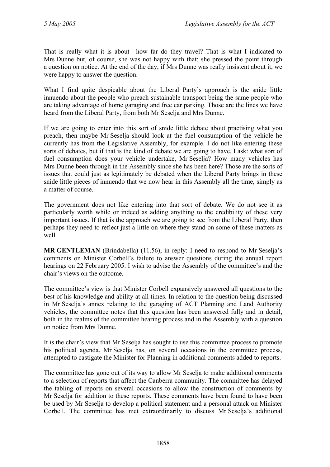That is really what it is about—how far do they travel? That is what I indicated to Mrs Dunne but, of course, she was not happy with that; she pressed the point through a question on notice. At the end of the day, if Mrs Dunne was really insistent about it, we were happy to answer the question.

What I find quite despicable about the Liberal Party's approach is the snide little innuendo about the people who preach sustainable transport being the same people who are taking advantage of home garaging and free car parking. Those are the lines we have heard from the Liberal Party, from both Mr Seselja and Mrs Dunne.

If we are going to enter into this sort of snide little debate about practising what you preach, then maybe Mr Seselja should look at the fuel consumption of the vehicle he currently has from the Legislative Assembly, for example. I do not like entering these sorts of debates, but if that is the kind of debate we are going to have, I ask: what sort of fuel consumption does your vehicle undertake, Mr Seselja? How many vehicles has Mrs Dunne been through in the Assembly since she has been here? Those are the sorts of issues that could just as legitimately be debated when the Liberal Party brings in these snide little pieces of innuendo that we now hear in this Assembly all the time, simply as a matter of course.

The government does not like entering into that sort of debate. We do not see it as particularly worth while or indeed as adding anything to the credibility of these very important issues. If that is the approach we are going to see from the Liberal Party, then perhaps they need to reflect just a little on where they stand on some of these matters as well.

**MR GENTLEMAN** (Brindabella) (11.56), in reply: I need to respond to Mr Seselja's comments on Minister Corbell's failure to answer questions during the annual report hearings on 22 February 2005. I wish to advise the Assembly of the committee's and the chair's views on the outcome.

The committee's view is that Minister Corbell expansively answered all questions to the best of his knowledge and ability at all times. In relation to the question being discussed in Mr Seselja's annex relating to the garaging of ACT Planning and Land Authority vehicles, the committee notes that this question has been answered fully and in detail, both in the realms of the committee hearing process and in the Assembly with a question on notice from Mrs Dunne.

It is the chair's view that Mr Seselja has sought to use this committee process to promote his political agenda. Mr Seselja has, on several occasions in the committee process, attempted to castigate the Minister for Planning in additional comments added to reports.

The committee has gone out of its way to allow Mr Seselja to make additional comments to a selection of reports that affect the Canberra community. The committee has delayed the tabling of reports on several occasions to allow the construction of comments by Mr Seselja for addition to these reports. These comments have been found to have been be used by Mr Seselja to develop a political statement and a personal attack on Minister Corbell. The committee has met extraordinarily to discuss Mr Seselja's additional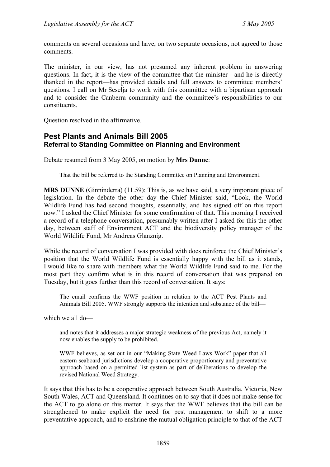comments on several occasions and have, on two separate occasions, not agreed to those comments.

The minister, in our view, has not presumed any inherent problem in answering questions. In fact, it is the view of the committee that the minister—and he is directly thanked in the report—has provided details and full answers to committee members' questions. I call on Mr Seselja to work with this committee with a bipartisan approach and to consider the Canberra community and the committee's responsibilities to our constituents.

Question resolved in the affirmative.

### <span id="page-26-0"></span>**Pest Plants and Animals Bill 2005 Referral to Standing Committee on Planning and Environment**

Debate resumed from 3 May 2005, on motion by **Mrs Dunne**:

That the bill be referred to the Standing Committee on Planning and Environment.

**MRS DUNNE** (Ginninderra) (11.59): This is, as we have said, a very important piece of legislation. In the debate the other day the Chief Minister said, "Look, the World Wildlife Fund has had second thoughts, essentially, and has signed off on this report now." I asked the Chief Minister for some confirmation of that. This morning I received a record of a telephone conversation, presumably written after I asked for this the other day, between staff of Environment ACT and the biodiversity policy manager of the World Wildlife Fund, Mr Andreas Glanznig.

While the record of conversation I was provided with does reinforce the Chief Minister's position that the World Wildlife Fund is essentially happy with the bill as it stands, I would like to share with members what the World Wildlife Fund said to me. For the most part they confirm what is in this record of conversation that was prepared on Tuesday, but it goes further than this record of conversation. It says:

The email confirms the WWF position in relation to the ACT Pest Plants and Animals Bill 2005. WWF strongly supports the intention and substance of the bill—

which we all do—

and notes that it addresses a major strategic weakness of the previous Act, namely it now enables the supply to be prohibited.

WWF believes, as set out in our "Making State Weed Laws Work" paper that all eastern seaboard jurisdictions develop a cooperative proportionary and preventative approach based on a permitted list system as part of deliberations to develop the revised National Weed Strategy.

It says that this has to be a cooperative approach between South Australia, Victoria, New South Wales, ACT and Queensland. It continues on to say that it does not make sense for the ACT to go alone on this matter. It says that the WWF believes that the bill can be strengthened to make explicit the need for pest management to shift to a more preventative approach, and to enshrine the mutual obligation principle to that of the ACT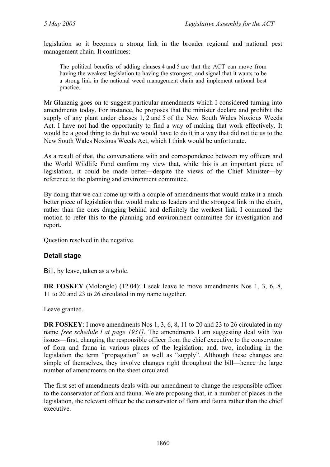legislation so it becomes a strong link in the broader regional and national pest management chain. It continues:

The political benefits of adding clauses 4 and 5 are that the ACT can move from having the weakest legislation to having the strongest, and signal that it wants to be a strong link in the national weed management chain and implement national best practice.

Mr Glanznig goes on to suggest particular amendments which I considered turning into amendments today. For instance, he proposes that the minister declare and prohibit the supply of any plant under classes 1, 2 and 5 of the New South Wales Noxious Weeds Act. I have not had the opportunity to find a way of making that work effectively. It would be a good thing to do but we would have to do it in a way that did not tie us to the New South Wales Noxious Weeds Act, which I think would be unfortunate.

As a result of that, the conversations with and correspondence between my officers and the World Wildlife Fund confirm my view that, while this is an important piece of legislation, it could be made better—despite the views of the Chief Minister—by reference to the planning and environment committee.

By doing that we can come up with a couple of amendments that would make it a much better piece of legislation that would make us leaders and the strongest link in the chain, rather than the ones dragging behind and definitely the weakest link. I commend the motion to refer this to the planning and environment committee for investigation and report.

Question resolved in the negative.

#### **Detail stage**

Bill, by leave, taken as a whole.

**DR FOSKEY** (Molonglo) (12.04): I seek leave to move amendments Nos 1, 3, 6, 8, 11 to 20 and 23 to 26 circulated in my name together.

Leave granted.

**DR FOSKEY**: I move amendments Nos 1, 3, 6, 8, 11 to 20 and 23 to 26 circulated in my name *[see schedule 1 at page 1931].* The amendments I am suggesting deal with two issues—first, changing the responsible officer from the chief executive to the conservator of flora and fauna in various places of the legislation; and, two, including in the legislation the term "propagation" as well as "supply". Although these changes are simple of themselves, they involve changes right throughout the bill—hence the large number of amendments on the sheet circulated.

The first set of amendments deals with our amendment to change the responsible officer to the conservator of flora and fauna. We are proposing that, in a number of places in the legislation, the relevant officer be the conservator of flora and fauna rather than the chief executive.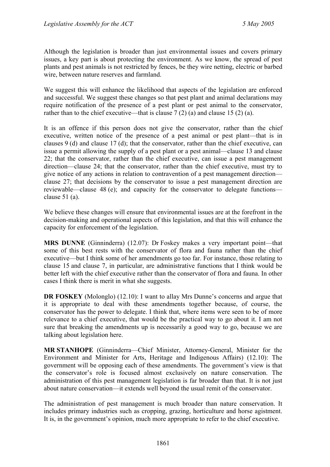Although the legislation is broader than just environmental issues and covers primary issues, a key part is about protecting the environment. As we know, the spread of pest plants and pest animals is not restricted by fences, be they wire netting, electric or barbed wire, between nature reserves and farmland.

We suggest this will enhance the likelihood that aspects of the legislation are enforced and successful. We suggest these changes so that pest plant and animal declarations may require notification of the presence of a pest plant or pest animal to the conservator, rather than to the chief executive—that is clause  $7(2)$  (a) and clause 15 (2) (a).

It is an offence if this person does not give the conservator, rather than the chief executive, written notice of the presence of a pest animal or pest plant—that is in clauses 9 (d) and clause 17 (d); that the conservator, rather than the chief executive, can issue a permit allowing the supply of a pest plant or a pest animal—clause 13 and clause 22; that the conservator, rather than the chief executive, can issue a pest management direction—clause 24; that the conservator, rather than the chief executive, must try to give notice of any actions in relation to contravention of a pest management direction clause 27; that decisions by the conservator to issue a pest management direction are reviewable—clause 48 (e); and capacity for the conservator to delegate functions clause 51 (a).

We believe these changes will ensure that environmental issues are at the forefront in the decision-making and operational aspects of this legislation, and that this will enhance the capacity for enforcement of the legislation.

**MRS DUNNE** (Ginninderra) (12.07): Dr Foskey makes a very important point—that some of this best rests with the conservator of flora and fauna rather than the chief executive—but I think some of her amendments go too far. For instance, those relating to clause 15 and clause 7, in particular, are administrative functions that I think would be better left with the chief executive rather than the conservator of flora and fauna. In other cases I think there is merit in what she suggests.

**DR FOSKEY** (Molonglo) (12.10): I want to allay Mrs Dunne's concerns and argue that it is appropriate to deal with these amendments together because, of course, the conservator has the power to delegate. I think that, where items were seen to be of more relevance to a chief executive, that would be the practical way to go about it. I am not sure that breaking the amendments up is necessarily a good way to go, because we are talking about legislation here.

**MR STANHOPE** (Ginninderra—Chief Minister, Attorney-General, Minister for the Environment and Minister for Arts, Heritage and Indigenous Affairs) (12.10): The government will be opposing each of these amendments. The government's view is that the conservator's role is focused almost exclusively on nature conservation. The administration of this pest management legislation is far broader than that. It is not just about nature conservation—it extends well beyond the usual remit of the conservator.

The administration of pest management is much broader than nature conservation. It includes primary industries such as cropping, grazing, horticulture and horse agistment. It is, in the government's opinion, much more appropriate to refer to the chief executive.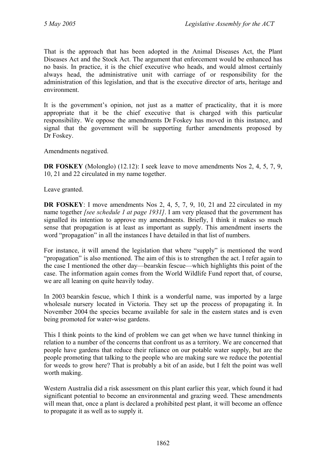That is the approach that has been adopted in the Animal Diseases Act, the Plant Diseases Act and the Stock Act. The argument that enforcement would be enhanced has no basis. In practice, it is the chief executive who heads, and would almost certainly always head, the administrative unit with carriage of or responsibility for the administration of this legislation, and that is the executive director of arts, heritage and environment.

It is the government's opinion, not just as a matter of practicality, that it is more appropriate that it be the chief executive that is charged with this particular responsibility. We oppose the amendments Dr Foskey has moved in this instance, and signal that the government will be supporting further amendments proposed by Dr Foskey.

Amendments negatived.

**DR FOSKEY** (Molonglo) (12.12): I seek leave to move amendments Nos 2, 4, 5, 7, 9, 10, 21 and 22 circulated in my name together.

Leave granted.

**DR FOSKEY**: I move amendments Nos 2, 4, 5, 7, 9, 10, 21 and 22 circulated in my name together *[see schedule 1 at page 1931]*. I am very pleased that the government has signalled its intention to approve my amendments. Briefly, I think it makes so much sense that propagation is at least as important as supply. This amendment inserts the word "propagation" in all the instances I have detailed in that list of numbers.

For instance, it will amend the legislation that where "supply" is mentioned the word "propagation" is also mentioned. The aim of this is to strengthen the act. I refer again to the case I mentioned the other day—bearskin fescue—which highlights this point of the case. The information again comes from the World Wildlife Fund report that, of course, we are all leaning on quite heavily today.

In 2003 bearskin fescue, which I think is a wonderful name, was imported by a large wholesale nursery located in Victoria. They set up the process of propagating it. In November 2004 the species became available for sale in the eastern states and is even being promoted for water-wise gardens.

This I think points to the kind of problem we can get when we have tunnel thinking in relation to a number of the concerns that confront us as a territory. We are concerned that people have gardens that reduce their reliance on our potable water supply, but are the people promoting that talking to the people who are making sure we reduce the potential for weeds to grow here? That is probably a bit of an aside, but I felt the point was well worth making.

Western Australia did a risk assessment on this plant earlier this year, which found it had significant potential to become an environmental and grazing weed. These amendments will mean that, once a plant is declared a prohibited pest plant, it will become an offence to propagate it as well as to supply it.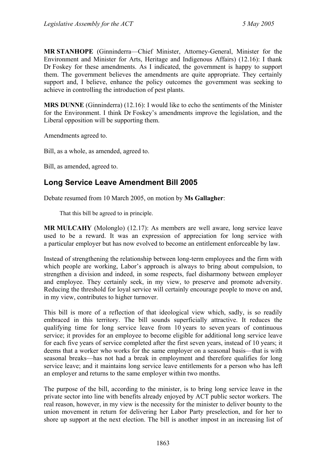**MR STANHOPE** (Ginninderra—Chief Minister, Attorney-General, Minister for the Environment and Minister for Arts, Heritage and Indigenous Affairs) (12.16): I thank Dr Foskey for these amendments. As I indicated, the government is happy to support them. The government believes the amendments are quite appropriate. They certainly support and, I believe, enhance the policy outcomes the government was seeking to achieve in controlling the introduction of pest plants.

**MRS DUNNE** (Ginninderra) (12.16): I would like to echo the sentiments of the Minister for the Environment. I think Dr Foskey's amendments improve the legislation, and the Liberal opposition will be supporting them.

Amendments agreed to.

Bill, as a whole, as amended, agreed to.

Bill, as amended, agreed to.

## <span id="page-30-0"></span>**Long Service Leave Amendment Bill 2005**

Debate resumed from 10 March 2005, on motion by **Ms Gallagher**:

That this bill be agreed to in principle.

**MR MULCAHY** (Molonglo) (12.17): As members are well aware, long service leave used to be a reward. It was an expression of appreciation for long service with a particular employer but has now evolved to become an entitlement enforceable by law.

Instead of strengthening the relationship between long-term employees and the firm with which people are working, Labor's approach is always to bring about compulsion, to strengthen a division and indeed, in some respects, fuel disharmony between employer and employee. They certainly seek, in my view, to preserve and promote adversity. Reducing the threshold for loyal service will certainly encourage people to move on and, in my view, contributes to higher turnover.

This bill is more of a reflection of that ideological view which, sadly, is so readily embraced in this territory. The bill sounds superficially attractive. It reduces the qualifying time for long service leave from 10 years to seven years of continuous service; it provides for an employee to become eligible for additional long service leave for each five years of service completed after the first seven years, instead of 10 years; it deems that a worker who works for the same employer on a seasonal basis—that is with seasonal breaks—has not had a break in employment and therefore qualifies for long service leave; and it maintains long service leave entitlements for a person who has left an employer and returns to the same employer within two months.

The purpose of the bill, according to the minister, is to bring long service leave in the private sector into line with benefits already enjoyed by ACT public sector workers. The real reason, however, in my view is the necessity for the minister to deliver bounty to the union movement in return for delivering her Labor Party preselection, and for her to shore up support at the next election. The bill is another impost in an increasing list of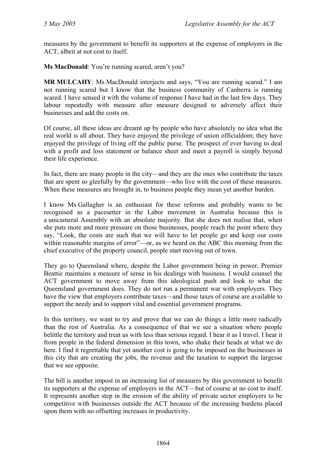measures by the government to benefit its supporters at the expense of employers in the ACT, albeit at not cost to itself.

**Ms MacDonald**: You're running scared, aren't you?

**MR MULCAHY**: Ms MacDonald interjects and says, "You are running scared." I am not running scared but I know that the business community of Canberra is running scared. I have sensed it with the volume of response I have had in the last few days. They labour repeatedly with measure after measure designed to adversely affect their businesses and add the costs on.

Of course, all these ideas are dreamt up by people who have absolutely no idea what the real world is all about. They have enjoyed the privilege of union officialdom; they have enjoyed the privilege of living off the public purse. The prospect of ever having to deal with a profit and loss statement or balance sheet and meet a payroll is simply beyond their life experience.

In fact, there are many people in the city—and they are the ones who contribute the taxes that are spent so gleefully by the government—who live with the cost of these measures. When these measures are brought in, to business people they mean yet another burden.

I know Ms Gallagher is an enthusiast for these reforms and probably wants to be recognised as a pacesetter in the Labor movement in Australia because this is a unicameral Assembly with an absolute majority. But she does not realise that, when she puts more and more pressure on those businesses, people reach the point where they say, "Look, the costs are such that we will have to let people go and keep our costs within reasonable margins of error"—or, as we heard on the ABC this morning from the chief executive of the property council, people start moving out of town.

They go to Queensland where, despite the Labor government being in power, Premier Beattie maintains a measure of sense in his dealings with business. I would counsel the ACT government to move away from this ideological push and look to what the Queensland government does. They do not run a permanent war with employers. They have the view that employers contribute taxes—and those taxes of course are available to support the needy and to support vital and essential government programs.

In this territory, we want to try and prove that we can do things a little more radically than the rest of Australia. As a consequence of that we see a situation where people belittle the territory and treat us with less than serious regard. I hear it as I travel. I hear it from people in the federal dimension in this town, who shake their heads at what we do here. I find it regrettable that yet another cost is going to be imposed on the businesses in this city that are creating the jobs, the revenue and the taxation to support the largesse that we see opposite.

The bill is another impost in an increasing list of measures by this government to benefit its supporters at the expense of employers in the ACT—but of course at no cost to itself. It represents another step in the erosion of the ability of private sector employers to be competitive with businesses outside the ACT because of the increasing burdens placed upon them with no offsetting increases in productivity.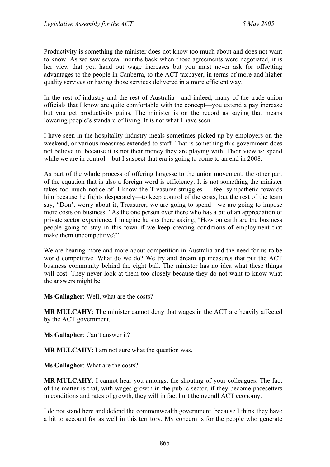Productivity is something the minister does not know too much about and does not want to know. As we saw several months back when those agreements were negotiated, it is her view that you hand out wage increases but you must never ask for offsetting advantages to the people in Canberra, to the ACT taxpayer, in terms of more and higher quality services or having those services delivered in a more efficient way.

In the rest of industry and the rest of Australia—and indeed, many of the trade union officials that I know are quite comfortable with the concept—you extend a pay increase but you get productivity gains. The minister is on the record as saying that means lowering people's standard of living. It is not what I have seen.

I have seen in the hospitality industry meals sometimes picked up by employers on the weekend, or various measures extended to staff. That is something this government does not believe in, because it is not their money they are playing with. Their view is: spend while we are in control—but I suspect that era is going to come to an end in 2008.

As part of the whole process of offering largesse to the union movement, the other part of the equation that is also a foreign word is efficiency. It is not something the minister takes too much notice of. I know the Treasurer struggles—I feel sympathetic towards him because he fights desperately—to keep control of the costs, but the rest of the team say, "Don't worry about it, Treasurer; we are going to spend—we are going to impose more costs on business." As the one person over there who has a bit of an appreciation of private sector experience, I imagine he sits there asking, "How on earth are the business people going to stay in this town if we keep creating conditions of employment that make them uncompetitive?"

We are hearing more and more about competition in Australia and the need for us to be world competitive. What do we do? We try and dream up measures that put the ACT business community behind the eight ball. The minister has no idea what these things will cost. They never look at them too closely because they do not want to know what the answers might be.

**Ms Gallagher**: Well, what are the costs?

**MR MULCAHY**: The minister cannot deny that wages in the ACT are heavily affected by the ACT government.

**Ms Gallagher**: Can't answer it?

**MR MULCAHY**: I am not sure what the question was.

**Ms Gallagher**: What are the costs?

**MR MULCAHY**: I cannot hear you amongst the shouting of your colleagues. The fact of the matter is that, with wages growth in the public sector, if they become pacesetters in conditions and rates of growth, they will in fact hurt the overall ACT economy.

I do not stand here and defend the commonwealth government, because I think they have a bit to account for as well in this territory. My concern is for the people who generate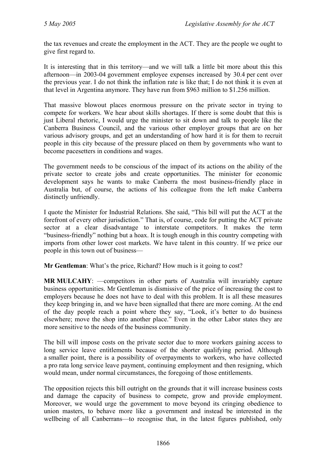the tax revenues and create the employment in the ACT. They are the people we ought to give first regard to.

It is interesting that in this territory—and we will talk a little bit more about this this afternoon—in 2003-04 government employee expenses increased by 30.4 per cent over the previous year. I do not think the inflation rate is like that; I do not think it is even at that level in Argentina anymore. They have run from \$963 million to \$1.256 million.

That massive blowout places enormous pressure on the private sector in trying to compete for workers. We hear about skills shortages. If there is some doubt that this is just Liberal rhetoric, I would urge the minister to sit down and talk to people like the Canberra Business Council, and the various other employer groups that are on her various advisory groups, and get an understanding of how hard it is for them to recruit people in this city because of the pressure placed on them by governments who want to become pacesetters in conditions and wages.

The government needs to be conscious of the impact of its actions on the ability of the private sector to create jobs and create opportunities. The minister for economic development says he wants to make Canberra the most business-friendly place in Australia but, of course, the actions of his colleague from the left make Canberra distinctly unfriendly.

I quote the Minister for Industrial Relations. She said, "This bill will put the ACT at the forefront of every other jurisdiction." That is, of course, code for putting the ACT private sector at a clear disadvantage to interstate competitors. It makes the term "business-friendly" nothing but a hoax. It is tough enough in this country competing with imports from other lower cost markets. We have talent in this country. If we price our people in this town out of business—

**Mr Gentleman**: What's the price, Richard? How much is it going to cost?

**MR MULCAHY**: —competitors in other parts of Australia will invariably capture business opportunities. Mr Gentleman is dismissive of the price of increasing the cost to employers because he does not have to deal with this problem. It is all these measures they keep bringing in, and we have been signalled that there are more coming. At the end of the day people reach a point where they say, "Look, it's better to do business elsewhere; move the shop into another place." Even in the other Labor states they are more sensitive to the needs of the business community.

The bill will impose costs on the private sector due to more workers gaining access to long service leave entitlements because of the shorter qualifying period. Although a smaller point, there is a possibility of overpayments to workers, who have collected a pro rata long service leave payment, continuing employment and then resigning, which would mean, under normal circumstances, the foregoing of those entitlements.

The opposition rejects this bill outright on the grounds that it will increase business costs and damage the capacity of business to compete, grow and provide employment. Moreover, we would urge the government to move beyond its cringing obedience to union masters, to behave more like a government and instead be interested in the wellbeing of all Canberrans—to recognise that, in the latest figures published, only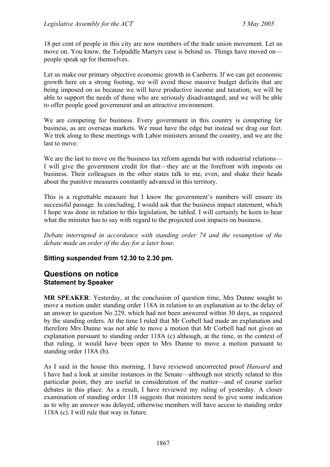18 per cent of people in this city are now members of the trade union movement. Let us move on. You know, the Tolpuddle Martyrs case is behind us. Things have moved on people speak up for themselves.

Let us make our primary objective economic growth in Canberra. If we can get economic growth here on a strong footing, we will avoid these massive budget deficits that are being imposed on us because we will have productive income and taxation; we will be able to support the needs of those who are seriously disadvantaged; and we will be able to offer people good government and an attractive environment.

We are competing for business. Every government in this country is competing for business, as are overseas markets. We must have the edge but instead we drag our feet. We trek along to these meetings with Labor ministers around the country, and we are the last to move.

We are the last to move on the business tax reform agenda but with industrial relations— I will give the government credit for that—they are at the forefront with imposts on business. Their colleagues in the other states talk to me, even, and shake their heads about the punitive measures constantly advanced in this territory.

This is a regrettable measure but I know the government's numbers will ensure its successful passage. In concluding, I would ask that the business impact statement, which I hope was done in relation to this legislation, be tabled. I will certainly be keen to hear what the minister has to say with regard to the projected cost impacts on business.

*Debate interrupted in accordance with standing order 74 and the resumption of the debate made an order of the day for a later hour.* 

#### **Sitting suspended from 12.30 to 2.30 pm.**

### <span id="page-34-0"></span>**Questions on notice Statement by Speaker**

**MR SPEAKER**: Yesterday, at the conclusion of question time, Mrs Dunne sought to move a motion under standing order 118A in relation to an explanation as to the delay of an answer to question No 229, which had not been answered within 30 days, as required by the standing orders. At the time I ruled that Mr Corbell had made an explanation and therefore Mrs Dunne was not able to move a motion that Mr Corbell had not given an explanation pursuant to standing order 118A (c) although, at the time, in the context of that ruling, it would have been open to Mrs Dunne to move a motion pursuant to standing order 118A (b).

As I said in the house this morning, I have reviewed uncorrected proof *Hansard* and I have had a look at similar instances in the Senate—although not strictly related to this particular point, they are useful in consideration of the matter—and of course earlier debates in this place. As a result, I have reviewed my ruling of yesterday. A closer examination of standing order 118 suggests that ministers need to give some indication as to why an answer was delayed, otherwise members will have access to standing order 118A (c). I will rule that way in future.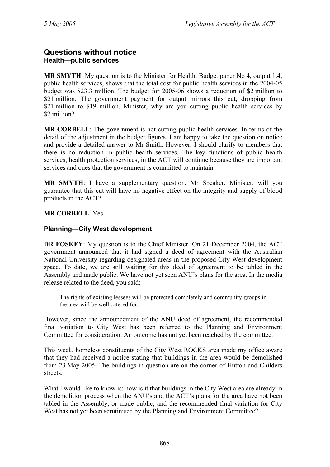### <span id="page-35-0"></span>**Questions without notice Health—public services**

**MR SMYTH**: My question is to the Minister for Health. Budget paper No 4, output 1.4, public health services, shows that the total cost for public health services in the 2004-05 budget was \$23.3 million. The budget for 2005-06 shows a reduction of \$2 million to \$21 million. The government payment for output mirrors this cut, dropping from \$21 million to \$19 million. Minister, why are you cutting public health services by \$2 million?

**MR CORBELL**: The government is not cutting public health services. In terms of the detail of the adjustment in the budget figures, I am happy to take the question on notice and provide a detailed answer to Mr Smith. However, I should clarify to members that there is no reduction in public health services. The key functions of public health services, health protection services, in the ACT will continue because they are important services and ones that the government is committed to maintain.

**MR SMYTH**: I have a supplementary question, Mr Speaker. Minister, will you guarantee that this cut will have no negative effect on the integrity and supply of blood products in the ACT?

**MR CORBELL**: Yes.

### <span id="page-35-1"></span>**Planning—City West development**

**DR FOSKEY**: My question is to the Chief Minister. On 21 December 2004, the ACT government announced that it had signed a deed of agreement with the Australian National University regarding designated areas in the proposed City West development space. To date, we are still waiting for this deed of agreement to be tabled in the Assembly and made public. We have not yet seen ANU's plans for the area. In the media release related to the deed, you said:

The rights of existing lessees will be protected completely and community groups in the area will be well catered for.

However, since the announcement of the ANU deed of agreement, the recommended final variation to City West has been referred to the Planning and Environment Committee for consideration. An outcome has not yet been reached by the committee.

This week, homeless constituents of the City West ROCKS area made my office aware that they had received a notice stating that buildings in the area would be demolished from 23 May 2005. The buildings in question are on the corner of Hutton and Childers streets.

What I would like to know is: how is it that buildings in the City West area are already in the demolition process when the ANU's and the ACT's plans for the area have not been tabled in the Assembly, or made public, and the recommended final variation for City West has not yet been scrutinised by the Planning and Environment Committee?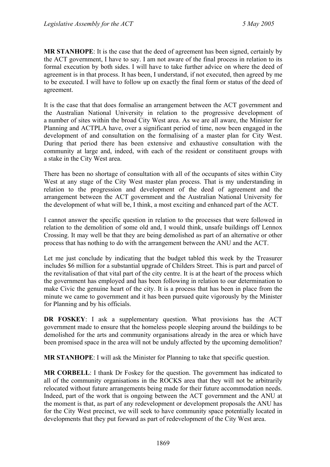**MR STANHOPE**: It is the case that the deed of agreement has been signed, certainly by the ACT government, I have to say. I am not aware of the final process in relation to its formal execution by both sides. I will have to take further advice on where the deed of agreement is in that process. It has been, I understand, if not executed, then agreed by me to be executed. I will have to follow up on exactly the final form or status of the deed of agreement.

It is the case that that does formalise an arrangement between the ACT government and the Australian National University in relation to the progressive development of a number of sites within the broad City West area. As we are all aware, the Minister for Planning and ACTPLA have, over a significant period of time, now been engaged in the development of and consultation on the formalising of a master plan for City West. During that period there has been extensive and exhaustive consultation with the community at large and, indeed, with each of the resident or constituent groups with a stake in the City West area.

There has been no shortage of consultation with all of the occupants of sites within City West at any stage of the City West master plan process. That is my understanding in relation to the progression and development of the deed of agreement and the arrangement between the ACT government and the Australian National University for the development of what will be, I think, a most exciting and enhanced part of the ACT.

I cannot answer the specific question in relation to the processes that were followed in relation to the demolition of some old and, I would think, unsafe buildings off Lennox Crossing. It may well be that they are being demolished as part of an alternative or other process that has nothing to do with the arrangement between the ANU and the ACT.

Let me just conclude by indicating that the budget tabled this week by the Treasurer includes \$6 million for a substantial upgrade of Childers Street. This is part and parcel of the revitalisation of that vital part of the city centre. It is at the heart of the process which the government has employed and has been following in relation to our determination to make Civic the genuine heart of the city. It is a process that has been in place from the minute we came to government and it has been pursued quite vigorously by the Minister for Planning and by his officials.

**DR FOSKEY**: I ask a supplementary question. What provisions has the ACT government made to ensure that the homeless people sleeping around the buildings to be demolished for the arts and community organisations already in the area or which have been promised space in the area will not be unduly affected by the upcoming demolition?

**MR STANHOPE**: I will ask the Minister for Planning to take that specific question.

**MR CORBELL:** I thank Dr Foskey for the question. The government has indicated to all of the community organisations in the ROCKS area that they will not be arbitrarily relocated without future arrangements being made for their future accommodation needs. Indeed, part of the work that is ongoing between the ACT government and the ANU at the moment is that, as part of any redevelopment or development proposals the ANU has for the City West precinct, we will seek to have community space potentially located in developments that they put forward as part of redevelopment of the City West area.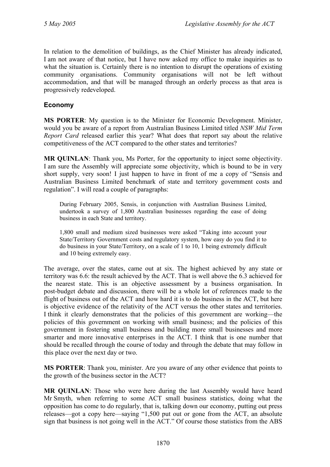In relation to the demolition of buildings, as the Chief Minister has already indicated, I am not aware of that notice, but I have now asked my office to make inquiries as to what the situation is. Certainly there is no intention to disrupt the operations of existing community organisations. Community organisations will not be left without accommodation, and that will be managed through an orderly process as that area is progressively redeveloped.

## **Economy**

**MS PORTER**: My question is to the Minister for Economic Development. Minister, would you be aware of a report from Australian Business Limited titled *NSW Mid Term Report Card* released earlier this year? What does that report say about the relative competitiveness of the ACT compared to the other states and territories?

**MR QUINLAN**: Thank you, Ms Porter, for the opportunity to inject some objectivity. I am sure the Assembly will appreciate some objectivity, which is bound to be in very short supply, very soon! I just happen to have in front of me a copy of "Sensis and Australian Business Limited benchmark of state and territory government costs and regulation". I will read a couple of paragraphs:

During February 2005, Sensis, in conjunction with Australian Business Limited, undertook a survey of 1,800 Australian businesses regarding the ease of doing business in each State and territory.

1,800 small and medium sized businesses were asked "Taking into account your State/Territory Government costs and regulatory system, how easy do you find it to do business in your State/Territory, on a scale of 1 to 10, 1 being extremely difficult and 10 being extremely easy.

The average, over the states, came out at six. The highest achieved by any state or territory was 6.6: the result achieved by the ACT. That is well above the 6.3 achieved for the nearest state. This is an objective assessment by a business organisation. In post-budget debate and discussion, there will be a whole lot of references made to the flight of business out of the ACT and how hard it is to do business in the ACT, but here is objective evidence of the relativity of the ACT versus the other states and territories. I think it clearly demonstrates that the policies of this government are working—the policies of this government on working with small business; and the policies of this government in fostering small business and building more small businesses and more smarter and more innovative enterprises in the ACT. I think that is one number that should be recalled through the course of today and through the debate that may follow in this place over the next day or two.

**MS PORTER**: Thank you, minister. Are you aware of any other evidence that points to the growth of the business sector in the ACT?

**MR QUINLAN**: Those who were here during the last Assembly would have heard Mr Smyth, when referring to some ACT small business statistics, doing what the opposition has come to do regularly, that is, talking down our economy, putting out press releases—got a copy here—saying "1,500 put out or gone from the ACT, an absolute sign that business is not going well in the ACT." Of course those statistics from the ABS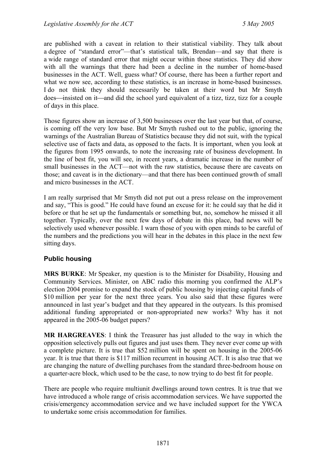are published with a caveat in relation to their statistical viability. They talk about a degree of "standard error"—that's statistical talk, Brendan—and say that there is a wide range of standard error that might occur within those statistics. They did show with all the warnings that there had been a decline in the number of home-based businesses in the ACT. Well, guess what? Of course, there has been a further report and what we now see, according to these statistics, is an increase in home-based businesses. I do not think they should necessarily be taken at their word but Mr Smyth does—insisted on it—and did the school yard equivalent of a tizz, tizz, tizz for a couple of days in this place.

Those figures show an increase of 3,500 businesses over the last year but that, of course, is coming off the very low base. But Mr Smyth rushed out to the public, ignoring the warnings of the Australian Bureau of Statistics because they did not suit, with the typical selective use of facts and data, as opposed to the facts. It is important, when you look at the figures from 1995 onwards, to note the increasing rate of business development. In the line of best fit, you will see, in recent years, a dramatic increase in the number of small businesses in the ACT—not with the raw statistics, because there are caveats on those; and caveat is in the dictionary—and that there has been continued growth of small and micro businesses in the ACT.

I am really surprised that Mr Smyth did not put out a press release on the improvement and say, "This is good." He could have found an excuse for it: he could say that he did it before or that he set up the fundamentals or something but, no, somehow he missed it all together. Typically, over the next few days of debate in this place, bad news will be selectively used whenever possible. I warn those of you with open minds to be careful of the numbers and the predictions you will hear in the debates in this place in the next few sitting days.

## **Public housing**

**MRS BURKE**: Mr Speaker, my question is to the Minister for Disability, Housing and Community Services. Minister, on ABC radio this morning you confirmed the ALP's election 2004 promise to expand the stock of public housing by injecting capital funds of \$10 million per year for the next three years. You also said that these figures were announced in last year's budget and that they appeared in the outyears. Is this promised additional funding appropriated or non-appropriated new works? Why has it not appeared in the 2005-06 budget papers?

**MR HARGREAVES**: I think the Treasurer has just alluded to the way in which the opposition selectively pulls out figures and just uses them. They never ever come up with a complete picture. It is true that \$52 million will be spent on housing in the 2005-06 year. It is true that there is \$117 million recurrent in housing ACT. It is also true that we are changing the nature of dwelling purchases from the standard three-bedroom house on a quarter-acre block, which used to be the case, to now trying to do best fit for people.

There are people who require multiunit dwellings around town centres. It is true that we have introduced a whole range of crisis accommodation services. We have supported the crisis/emergency accommodation service and we have included support for the YWCA to undertake some crisis accommodation for families.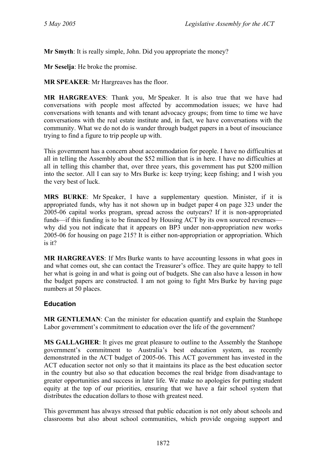**Mr Smyth**: It is really simple, John. Did you appropriate the money?

**Mr Seselja**: He broke the promise.

**MR SPEAKER**: Mr Hargreaves has the floor.

**MR HARGREAVES**: Thank you, Mr Speaker. It is also true that we have had conversations with people most affected by accommodation issues; we have had conversations with tenants and with tenant advocacy groups; from time to time we have conversations with the real estate institute and, in fact, we have conversations with the community. What we do not do is wander through budget papers in a bout of insouciance trying to find a figure to trip people up with.

This government has a concern about accommodation for people. I have no difficulties at all in telling the Assembly about the \$52 million that is in here. I have no difficulties at all in telling this chamber that, over three years, this government has put \$200 million into the sector. All I can say to Mrs Burke is: keep trying; keep fishing; and I wish you the very best of luck.

**MRS BURKE**: Mr Speaker, I have a supplementary question. Minister, if it is appropriated funds, why has it not shown up in budget paper 4 on page 323 under the 2005-06 capital works program, spread across the outyears? If it is non-appropriated funds—if this funding is to be financed by Housing ACT by its own sourced revenues why did you not indicate that it appears on BP3 under non-appropriation new works 2005-06 for housing on page 215? It is either non-appropriation or appropriation. Which is it?

**MR HARGREAVES**: If Mrs Burke wants to have accounting lessons in what goes in and what comes out, she can contact the Treasurer's office. They are quite happy to tell her what is going in and what is going out of budgets. She can also have a lesson in how the budget papers are constructed. I am not going to fight Mrs Burke by having page numbers at 50 places.

## **Education**

**MR GENTLEMAN:** Can the minister for education quantify and explain the Stanhope Labor government's commitment to education over the life of the government?

**MS GALLAGHER**: It gives me great pleasure to outline to the Assembly the Stanhope government's commitment to Australia's best education system, as recently demonstrated in the ACT budget of 2005-06. This ACT government has invested in the ACT education sector not only so that it maintains its place as the best education sector in the country but also so that education becomes the real bridge from disadvantage to greater opportunities and success in later life. We make no apologies for putting student equity at the top of our priorities, ensuring that we have a fair school system that distributes the education dollars to those with greatest need.

This government has always stressed that public education is not only about schools and classrooms but also about school communities, which provide ongoing support and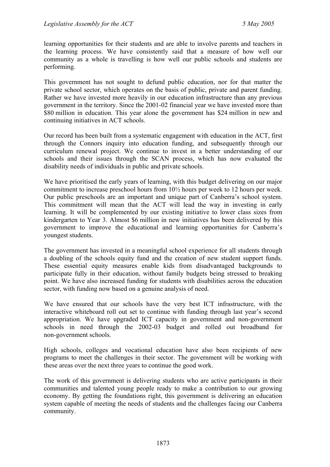learning opportunities for their students and are able to involve parents and teachers in the learning process. We have consistently said that a measure of how well our community as a whole is travelling is how well our public schools and students are performing.

This government has not sought to defund public education, nor for that matter the private school sector, which operates on the basis of public, private and parent funding. Rather we have invested more heavily in our education infrastructure than any previous government in the territory. Since the 2001-02 financial year we have invested more than \$80 million in education. This year alone the government has \$24 million in new and continuing initiatives in ACT schools.

Our record has been built from a systematic engagement with education in the ACT, first through the Connors inquiry into education funding, and subsequently through our curriculum renewal project. We continue to invest in a better understanding of our schools and their issues through the SCAN process, which has now evaluated the disability needs of individuals in public and private schools.

We have prioritised the early years of learning, with this budget delivering on our major commitment to increase preschool hours from 10½ hours per week to 12 hours per week. Our public preschools are an important and unique part of Canberra's school system. This commitment will mean that the ACT will lead the way in investing in early learning. It will be complemented by our existing initiative to lower class sizes from kindergarten to Year 3. Almost \$6 million in new initiatives has been delivered by this government to improve the educational and learning opportunities for Canberra's youngest students.

The government has invested in a meaningful school experience for all students through a doubling of the schools equity fund and the creation of new student support funds. These essential equity measures enable kids from disadvantaged backgrounds to participate fully in their education, without family budgets being stressed to breaking point. We have also increased funding for students with disabilities across the education sector, with funding now based on a genuine analysis of need.

We have ensured that our schools have the very best ICT infrastructure, with the interactive whiteboard roll out set to continue with funding through last year's second appropriation. We have upgraded ICT capacity in government and non-government schools in need through the 2002-03 budget and rolled out broadband for non-government schools.

High schools, colleges and vocational education have also been recipients of new programs to meet the challenges in their sector. The government will be working with these areas over the next three years to continue the good work.

The work of this government is delivering students who are active participants in their communities and talented young people ready to make a contribution to our growing economy. By getting the foundations right, this government is delivering an education system capable of meeting the needs of students and the challenges facing our Canberra community.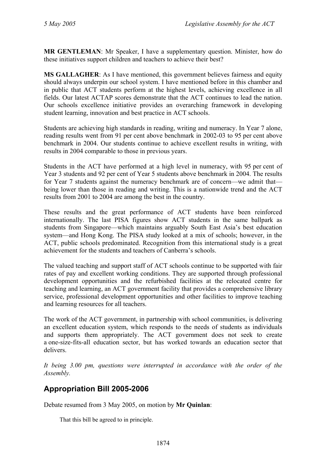**MR GENTLEMAN**: Mr Speaker, I have a supplementary question. Minister, how do these initiatives support children and teachers to achieve their best?

**MS GALLAGHER**: As I have mentioned, this government believes fairness and equity should always underpin our school system. I have mentioned before in this chamber and in public that ACT students perform at the highest levels, achieving excellence in all fields. Our latest ACTAP scores demonstrate that the ACT continues to lead the nation. Our schools excellence initiative provides an overarching framework in developing student learning, innovation and best practice in ACT schools.

Students are achieving high standards in reading, writing and numeracy. In Year 7 alone, reading results went from 91 per cent above benchmark in 2002-03 to 95 per cent above benchmark in 2004. Our students continue to achieve excellent results in writing, with results in 2004 comparable to those in previous years.

Students in the ACT have performed at a high level in numeracy, with 95 per cent of Year 3 students and 92 per cent of Year 5 students above benchmark in 2004. The results for Year 7 students against the numeracy benchmark are of concern—we admit that being lower than those in reading and writing. This is a nationwide trend and the ACT results from 2001 to 2004 are among the best in the country.

These results and the great performance of ACT students have been reinforced internationally. The last PISA figures show ACT students in the same ballpark as students from Singapore—which maintains arguably South East Asia's best education system—and Hong Kong. The PISA study looked at a mix of schools; however, in the ACT, public schools predominated. Recognition from this international study is a great achievement for the students and teachers of Canberra's schools.

The valued teaching and support staff of ACT schools continue to be supported with fair rates of pay and excellent working conditions. They are supported through professional development opportunities and the refurbished facilities at the relocated centre for teaching and learning, an ACT government facility that provides a comprehensive library service, professional development opportunities and other facilities to improve teaching and learning resources for all teachers.

The work of the ACT government, in partnership with school communities, is delivering an excellent education system, which responds to the needs of students as individuals and supports them appropriately. The ACT government does not seek to create a one-size-fits-all education sector, but has worked towards an education sector that delivers.

*It being 3.00 pm, questions were interrupted in accordance with the order of the Assembly.* 

# **Appropriation Bill 2005-2006**

Debate resumed from 3 May 2005, on motion by **Mr Quinlan**:

That this bill be agreed to in principle.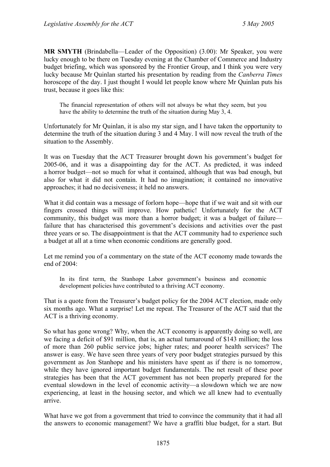**MR SMYTH** (Brindabella—Leader of the Opposition) (3.00): Mr Speaker, you were lucky enough to be there on Tuesday evening at the Chamber of Commerce and Industry budget briefing, which was sponsored by the Frontier Group, and I think you were very lucky because Mr Quinlan started his presentation by reading from the *Canberra Times* horoscope of the day. I just thought I would let people know where Mr Quinlan puts his trust, because it goes like this:

The financial representation of others will not always be what they seem, but you have the ability to determine the truth of the situation during May 3, 4.

Unfortunately for Mr Quinlan, it is also my star sign, and I have taken the opportunity to determine the truth of the situation during 3 and 4 May. I will now reveal the truth of the situation to the Assembly.

It was on Tuesday that the ACT Treasurer brought down his government's budget for 2005-06, and it was a disappointing day for the ACT. As predicted, it was indeed a horror budget—not so much for what it contained, although that was bad enough, but also for what it did not contain. It had no imagination; it contained no innovative approaches; it had no decisiveness; it held no answers.

What it did contain was a message of forlorn hope—hope that if we wait and sit with our fingers crossed things will improve. How pathetic! Unfortunately for the ACT community, this budget was more than a horror budget; it was a budget of failure failure that has characterised this government's decisions and activities over the past three years or so. The disappointment is that the ACT community had to experience such a budget at all at a time when economic conditions are generally good.

Let me remind you of a commentary on the state of the ACT economy made towards the end of 2004:

In its first term, the Stanhope Labor government's business and economic development policies have contributed to a thriving ACT economy.

That is a quote from the Treasurer's budget policy for the 2004 ACT election, made only six months ago. What a surprise! Let me repeat. The Treasurer of the ACT said that the ACT is a thriving economy.

So what has gone wrong? Why, when the ACT economy is apparently doing so well, are we facing a deficit of \$91 million, that is, an actual turnaround of \$143 million; the loss of more than 260 public service jobs; higher rates; and poorer health services? The answer is easy. We have seen three years of very poor budget strategies pursued by this government as Jon Stanhope and his ministers have spent as if there is no tomorrow, while they have ignored important budget fundamentals. The net result of these poor strategies has been that the ACT government has not been properly prepared for the eventual slowdown in the level of economic activity—a slowdown which we are now experiencing, at least in the housing sector, and which we all knew had to eventually arrive.

What have we got from a government that tried to convince the community that it had all the answers to economic management? We have a graffiti blue budget, for a start. But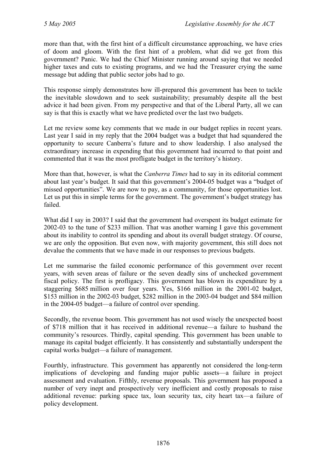more than that, with the first hint of a difficult circumstance approaching, we have cries of doom and gloom. With the first hint of a problem, what did we get from this government? Panic. We had the Chief Minister running around saying that we needed higher taxes and cuts to existing programs, and we had the Treasurer crying the same message but adding that public sector jobs had to go.

This response simply demonstrates how ill-prepared this government has been to tackle the inevitable slowdown and to seek sustainability; presumably despite all the best advice it had been given. From my perspective and that of the Liberal Party, all we can say is that this is exactly what we have predicted over the last two budgets.

Let me review some key comments that we made in our budget replies in recent years. Last year I said in my reply that the 2004 budget was a budget that had squandered the opportunity to secure Canberra's future and to show leadership. I also analysed the extraordinary increase in expending that this government had incurred to that point and commented that it was the most profligate budget in the territory's history.

More than that, however, is what the *Canberra Times* had to say in its editorial comment about last year's budget. It said that this government's 2004-05 budget was a "budget of missed opportunities". We are now to pay, as a community, for those opportunities lost. Let us put this in simple terms for the government. The government's budget strategy has failed.

What did I say in 2003? I said that the government had overspent its budget estimate for 2002-03 to the tune of \$233 million. That was another warning I gave this government about its inability to control its spending and about its overall budget strategy. Of course, we are only the opposition. But even now, with majority government, this still does not devalue the comments that we have made in our responses to previous budgets.

Let me summarise the failed economic performance of this government over recent years, with seven areas of failure or the seven deadly sins of unchecked government fiscal policy. The first is profligacy. This government has blown its expenditure by a staggering \$685 million over four years. Yes, \$166 million in the 2001-02 budget, \$153 million in the 2002-03 budget, \$282 million in the 2003-04 budget and \$84 million in the 2004-05 budget—a failure of control over spending.

Secondly, the revenue boom. This government has not used wisely the unexpected boost of \$718 million that it has received in additional revenue—a failure to husband the community's resources. Thirdly, capital spending. This government has been unable to manage its capital budget efficiently. It has consistently and substantially underspent the capital works budget—a failure of management.

Fourthly, infrastructure. This government has apparently not considered the long-term implications of developing and funding major public assets—a failure in project assessment and evaluation. Fifthly, revenue proposals. This government has proposed a number of very inept and prospectively very inefficient and costly proposals to raise additional revenue: parking space tax, loan security tax, city heart tax—a failure of policy development.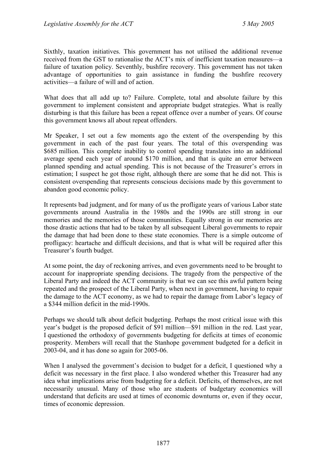Sixthly, taxation initiatives. This government has not utilised the additional revenue received from the GST to rationalise the ACT's mix of inefficient taxation measures—a failure of taxation policy. Seventhly, bushfire recovery. This government has not taken advantage of opportunities to gain assistance in funding the bushfire recovery activities—a failure of will and of action.

What does that all add up to? Failure. Complete, total and absolute failure by this government to implement consistent and appropriate budget strategies. What is really disturbing is that this failure has been a repeat offence over a number of years. Of course this government knows all about repeat offenders.

Mr Speaker, I set out a few moments ago the extent of the overspending by this government in each of the past four years. The total of this overspending was \$685 million. This complete inability to control spending translates into an additional average spend each year of around \$170 million, and that is quite an error between planned spending and actual spending. This is not because of the Treasurer's errors in estimation; I suspect he got those right, although there are some that he did not. This is consistent overspending that represents conscious decisions made by this government to abandon good economic policy.

It represents bad judgment, and for many of us the profligate years of various Labor state governments around Australia in the 1980s and the 1990s are still strong in our memories and the memories of those communities. Equally strong in our memories are those drastic actions that had to be taken by all subsequent Liberal governments to repair the damage that had been done to these state economies. There is a simple outcome of profligacy: heartache and difficult decisions, and that is what will be required after this Treasurer's fourth budget.

At some point, the day of reckoning arrives, and even governments need to be brought to account for inappropriate spending decisions. The tragedy from the perspective of the Liberal Party and indeed the ACT community is that we can see this awful pattern being repeated and the prospect of the Liberal Party, when next in government, having to repair the damage to the ACT economy, as we had to repair the damage from Labor's legacy of a \$344 million deficit in the mid-1990s.

Perhaps we should talk about deficit budgeting. Perhaps the most critical issue with this year's budget is the proposed deficit of \$91 million—\$91 million in the red. Last year, I questioned the orthodoxy of governments budgeting for deficits at times of economic prosperity. Members will recall that the Stanhope government budgeted for a deficit in 2003-04, and it has done so again for 2005-06.

When I analysed the government's decision to budget for a deficit, I questioned why a deficit was necessary in the first place. I also wondered whether this Treasurer had any idea what implications arise from budgeting for a deficit. Deficits, of themselves, are not necessarily unusual. Many of those who are students of budgetary economics will understand that deficits are used at times of economic downturns or, even if they occur, times of economic depression.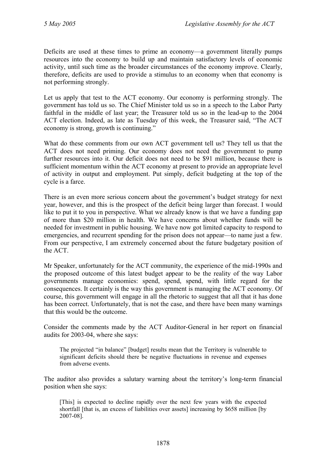Deficits are used at these times to prime an economy—a government literally pumps resources into the economy to build up and maintain satisfactory levels of economic activity, until such time as the broader circumstances of the economy improve. Clearly, therefore, deficits are used to provide a stimulus to an economy when that economy is not performing strongly.

Let us apply that test to the ACT economy. Our economy is performing strongly. The government has told us so. The Chief Minister told us so in a speech to the Labor Party faithful in the middle of last year; the Treasurer told us so in the lead-up to the 2004 ACT election. Indeed, as late as Tuesday of this week, the Treasurer said, "The ACT economy is strong, growth is continuing."

What do these comments from our own ACT government tell us? They tell us that the ACT does not need priming. Our economy does not need the government to pump further resources into it. Our deficit does not need to be \$91 million, because there is sufficient momentum within the ACT economy at present to provide an appropriate level of activity in output and employment. Put simply, deficit budgeting at the top of the cycle is a farce.

There is an even more serious concern about the government's budget strategy for next year, however, and this is the prospect of the deficit being larger than forecast. I would like to put it to you in perspective. What we already know is that we have a funding gap of more than \$20 million in health. We have concerns about whether funds will be needed for investment in public housing. We have now got limited capacity to respond to emergencies, and recurrent spending for the prison does not appear—to name just a few. From our perspective, I am extremely concerned about the future budgetary position of the ACT.

Mr Speaker, unfortunately for the ACT community, the experience of the mid-1990s and the proposed outcome of this latest budget appear to be the reality of the way Labor governments manage economies: spend, spend, spend, with little regard for the consequences. It certainly is the way this government is managing the ACT economy. Of course, this government will engage in all the rhetoric to suggest that all that it has done has been correct. Unfortunately, that is not the case, and there have been many warnings that this would be the outcome.

Consider the comments made by the ACT Auditor-General in her report on financial audits for 2003-04, where she says:

The projected "in balance" [budget] results mean that the Territory is vulnerable to significant deficits should there be negative fluctuations in revenue and expenses from adverse events.

The auditor also provides a salutary warning about the territory's long-term financial position when she says:

[This] is expected to decline rapidly over the next few years with the expected shortfall [that is, an excess of liabilities over assets] increasing by \$658 million [by 2007-08].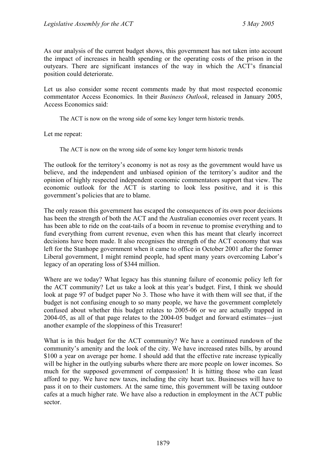As our analysis of the current budget shows, this government has not taken into account the impact of increases in health spending or the operating costs of the prison in the outyears. There are significant instances of the way in which the ACT's financial position could deteriorate.

Let us also consider some recent comments made by that most respected economic commentator Access Economics. In their *Business Outlook*, released in January 2005, Access Economics said:

The ACT is now on the wrong side of some key longer term historic trends.

Let me repeat:

The ACT is now on the wrong side of some key longer term historic trends

The outlook for the territory's economy is not as rosy as the government would have us believe, and the independent and unbiased opinion of the territory's auditor and the opinion of highly respected independent economic commentators support that view. The economic outlook for the ACT is starting to look less positive, and it is this government's policies that are to blame.

The only reason this government has escaped the consequences of its own poor decisions has been the strength of both the ACT and the Australian economies over recent years. It has been able to ride on the coat-tails of a boom in revenue to promise everything and to fund everything from current revenue, even when this has meant that clearly incorrect decisions have been made. It also recognises the strength of the ACT economy that was left for the Stanhope government when it came to office in October 2001 after the former Liberal government, I might remind people, had spent many years overcoming Labor's legacy of an operating loss of \$344 million.

Where are we today? What legacy has this stunning failure of economic policy left for the ACT community? Let us take a look at this year's budget. First, I think we should look at page 97 of budget paper No 3. Those who have it with them will see that, if the budget is not confusing enough to so many people, we have the government completely confused about whether this budget relates to 2005-06 or we are actually trapped in 2004-05, as all of that page relates to the 2004-05 budget and forward estimates—just another example of the sloppiness of this Treasurer!

What is in this budget for the ACT community? We have a continued rundown of the community's amenity and the look of the city. We have increased rates bills, by around \$100 a year on average per home. I should add that the effective rate increase typically will be higher in the outlying suburbs where there are more people on lower incomes. So much for the supposed government of compassion! It is hitting those who can least afford to pay. We have new taxes, including the city heart tax. Businesses will have to pass it on to their customers. At the same time, this government will be taxing outdoor cafes at a much higher rate. We have also a reduction in employment in the ACT public sector.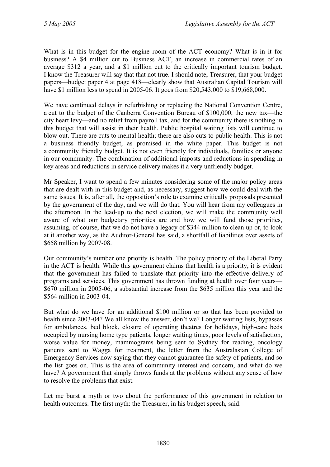What is in this budget for the engine room of the ACT economy? What is in it for business? A \$4 million cut to Business ACT, an increase in commercial rates of an average \$312 a year, and a \$1 million cut to the critically important tourism budget. I know the Treasurer will say that that not true. I should note, Treasurer, that your budget papers—budget paper 4 at page 418—clearly show that Australian Capital Tourism will have \$1 million less to spend in 2005-06. It goes from \$20,543,000 to \$19,668,000.

We have continued delays in refurbishing or replacing the National Convention Centre, a cut to the budget of the Canberra Convention Bureau of \$100,000, the new tax—the city heart levy—and no relief from payroll tax, and for the community there is nothing in this budget that will assist in their health. Public hospital waiting lists will continue to blow out. There are cuts to mental health; there are also cuts to public health. This is not a business friendly budget, as promised in the white paper. This budget is not a community friendly budget. It is not even friendly for individuals, families or anyone in our community. The combination of additional imposts and reductions in spending in key areas and reductions in service delivery makes it a very unfriendly budget.

Mr Speaker, I want to spend a few minutes considering some of the major policy areas that are dealt with in this budget and, as necessary, suggest how we could deal with the same issues. It is, after all, the opposition's role to examine critically proposals presented by the government of the day, and we will do that. You will hear from my colleagues in the afternoon. In the lead-up to the next election, we will make the community well aware of what our budgetary priorities are and how we will fund those priorities, assuming, of course, that we do not have a legacy of \$344 million to clean up or, to look at it another way, as the Auditor-General has said, a shortfall of liabilities over assets of \$658 million by 2007-08.

Our community's number one priority is health. The policy priority of the Liberal Party in the ACT is health. While this government claims that health is a priority, it is evident that the government has failed to translate that priority into the effective delivery of programs and services. This government has thrown funding at health over four years— \$670 million in 2005-06, a substantial increase from the \$635 million this year and the \$564 million in 2003-04.

But what do we have for an additional \$100 million or so that has been provided to health since 2003-04? We all know the answer, don't we? Longer waiting lists, bypasses for ambulances, bed block, closure of operating theatres for holidays, high-care beds occupied by nursing home type patients, longer waiting times, poor levels of satisfaction, worse value for money, mammograms being sent to Sydney for reading, oncology patients sent to Wagga for treatment, the letter from the Australasian College of Emergency Services now saying that they cannot guarantee the safety of patients, and so the list goes on. This is the area of community interest and concern, and what do we have? A government that simply throws funds at the problems without any sense of how to resolve the problems that exist.

Let me burst a myth or two about the performance of this government in relation to health outcomes. The first myth: the Treasurer, in his budget speech, said: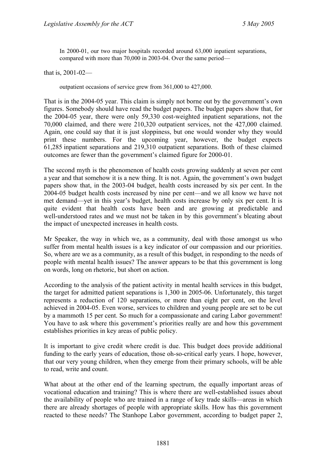In 2000-01, our two major hospitals recorded around 63,000 inpatient separations, compared with more than 70,000 in 2003-04. Over the same period—

that is, 2001-02—

outpatient occasions of service grew from 361,000 to 427,000.

That is in the 2004-05 year. This claim is simply not borne out by the government's own figures. Somebody should have read the budget papers. The budget papers show that, for the 2004-05 year, there were only 59,330 cost-weighted inpatient separations, not the 70,000 claimed, and there were 210,320 outpatient services, not the 427,000 claimed. Again, one could say that it is just sloppiness, but one would wonder why they would print these numbers. For the upcoming year, however, the budget expects 61,285 inpatient separations and 219,310 outpatient separations. Both of these claimed outcomes are fewer than the government's claimed figure for 2000-01.

The second myth is the phenomenon of health costs growing suddenly at seven per cent a year and that somehow it is a new thing. It is not. Again, the government's own budget papers show that, in the 2003-04 budget, health costs increased by six per cent. In the 2004-05 budget health costs increased by nine per cent—and we all know we have not met demand—yet in this year's budget, health costs increase by only six per cent. It is quite evident that health costs have been and are growing at predictable and well-understood rates and we must not be taken in by this government's bleating about the impact of unexpected increases in health costs.

Mr Speaker, the way in which we, as a community, deal with those amongst us who suffer from mental health issues is a key indicator of our compassion and our priorities. So, where are we as a community, as a result of this budget, in responding to the needs of people with mental health issues? The answer appears to be that this government is long on words, long on rhetoric, but short on action.

According to the analysis of the patient activity in mental health services in this budget, the target for admitted patient separations is 1,300 in 2005-06. Unfortunately, this target represents a reduction of 120 separations, or more than eight per cent, on the level achieved in 2004-05. Even worse, services to children and young people are set to be cut by a mammoth 15 per cent. So much for a compassionate and caring Labor government! You have to ask where this government's priorities really are and how this government establishes priorities in key areas of public policy.

It is important to give credit where credit is due. This budget does provide additional funding to the early years of education, those oh-so-critical early years. I hope, however, that our very young children, when they emerge from their primary schools, will be able to read, write and count.

What about at the other end of the learning spectrum, the equally important areas of vocational education and training? This is where there are well-established issues about the availability of people who are trained in a range of key trade skills—areas in which there are already shortages of people with appropriate skills. How has this government reacted to these needs? The Stanhope Labor government, according to budget paper 2,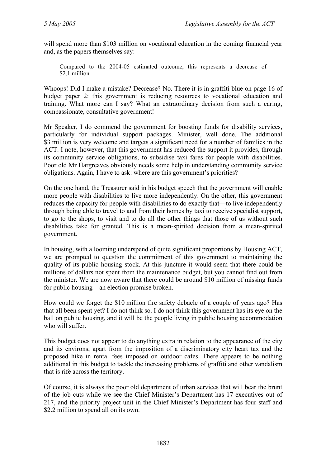will spend more than \$103 million on vocational education in the coming financial year and, as the papers themselves say:

Compared to the 2004-05 estimated outcome, this represents a decrease of \$2.1 million.

Whoops! Did I make a mistake? Decrease? No. There it is in graffiti blue on page 16 of budget paper 2: this government is reducing resources to vocational education and training. What more can I say? What an extraordinary decision from such a caring, compassionate, consultative government!

Mr Speaker, I do commend the government for boosting funds for disability services, particularly for individual support packages. Minister, well done. The additional \$3 million is very welcome and targets a significant need for a number of families in the ACT. I note, however, that this government has reduced the support it provides, through its community service obligations, to subsidise taxi fares for people with disabilities. Poor old Mr Hargreaves obviously needs some help in understanding community service obligations. Again, I have to ask: where are this government's priorities?

On the one hand, the Treasurer said in his budget speech that the government will enable more people with disabilities to live more independently. On the other, this government reduces the capacity for people with disabilities to do exactly that—to live independently through being able to travel to and from their homes by taxi to receive specialist support, to go to the shops, to visit and to do all the other things that those of us without such disabilities take for granted. This is a mean-spirited decision from a mean-spirited government.

In housing, with a looming underspend of quite significant proportions by Housing ACT, we are prompted to question the commitment of this government to maintaining the quality of its public housing stock. At this juncture it would seem that there could be millions of dollars not spent from the maintenance budget, but you cannot find out from the minister. We are now aware that there could be around \$10 million of missing funds for public housing—an election promise broken.

How could we forget the \$10 million fire safety debacle of a couple of years ago? Has that all been spent yet? I do not think so. I do not think this government has its eye on the ball on public housing, and it will be the people living in public housing accommodation who will suffer.

This budget does not appear to do anything extra in relation to the appearance of the city and its environs, apart from the imposition of a discriminatory city heart tax and the proposed hike in rental fees imposed on outdoor cafes. There appears to be nothing additional in this budget to tackle the increasing problems of graffiti and other vandalism that is rife across the territory.

Of course, it is always the poor old department of urban services that will bear the brunt of the job cuts while we see the Chief Minister's Department has 17 executives out of 217, and the priority project unit in the Chief Minister's Department has four staff and \$2.2 million to spend all on its own.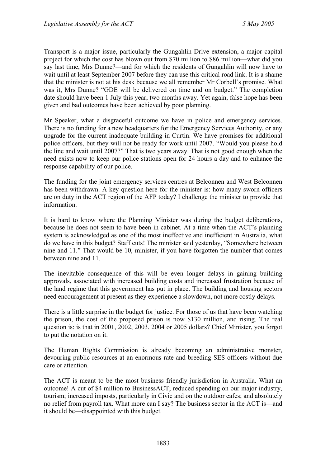Transport is a major issue, particularly the Gungahlin Drive extension, a major capital project for which the cost has blown out from \$70 million to \$86 million—what did you say last time, Mrs Dunne?—and for which the residents of Gungahlin will now have to wait until at least September 2007 before they can use this critical road link. It is a shame that the minister is not at his desk because we all remember Mr Corbell's promise. What was it, Mrs Dunne? "GDE will be delivered on time and on budget." The completion date should have been 1 July this year, two months away. Yet again, false hope has been given and bad outcomes have been achieved by poor planning.

Mr Speaker, what a disgraceful outcome we have in police and emergency services. There is no funding for a new headquarters for the Emergency Services Authority, or any upgrade for the current inadequate building in Curtin. We have promises for additional police officers, but they will not be ready for work until 2007. "Would you please hold the line and wait until 2007?" That is two years away. That is not good enough when the need exists now to keep our police stations open for 24 hours a day and to enhance the response capability of our police.

The funding for the joint emergency services centres at Belconnen and West Belconnen has been withdrawn. A key question here for the minister is: how many sworn officers are on duty in the ACT region of the AFP today? I challenge the minister to provide that information.

It is hard to know where the Planning Minister was during the budget deliberations, because he does not seem to have been in cabinet. At a time when the ACT's planning system is acknowledged as one of the most ineffective and inefficient in Australia, what do we have in this budget? Staff cuts! The minister said yesterday, "Somewhere between nine and 11." That would be 10, minister, if you have forgotten the number that comes between nine and 11.

The inevitable consequence of this will be even longer delays in gaining building approvals, associated with increased building costs and increased frustration because of the land regime that this government has put in place. The building and housing sectors need encouragement at present as they experience a slowdown, not more costly delays.

There is a little surprise in the budget for justice. For those of us that have been watching the prison, the cost of the proposed prison is now \$130 million, and rising. The real question is: is that in 2001, 2002, 2003, 2004 or 2005 dollars? Chief Minister, you forgot to put the notation on it.

The Human Rights Commission is already becoming an administrative monster, devouring public resources at an enormous rate and breeding SES officers without due care or attention.

The ACT is meant to be the most business friendly jurisdiction in Australia. What an outcome! A cut of \$4 million to BusinessACT; reduced spending on our major industry, tourism; increased imposts, particularly in Civic and on the outdoor cafes; and absolutely no relief from payroll tax. What more can I say? The business sector in the ACT is—and it should be—disappointed with this budget.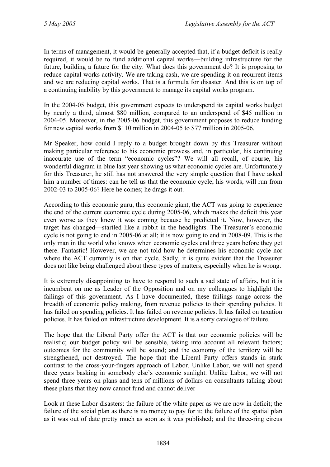In terms of management, it would be generally accepted that, if a budget deficit is really required, it would be to fund additional capital works—building infrastructure for the future, building a future for the city. What does this government do? It is proposing to reduce capital works activity. We are taking cash, we are spending it on recurrent items and we are reducing capital works. That is a formula for disaster. And this is on top of a continuing inability by this government to manage its capital works program.

In the 2004-05 budget, this government expects to underspend its capital works budget by nearly a third, almost \$80 million, compared to an underspend of \$45 million in 2004-05. Moreover, in the 2005-06 budget, this government proposes to reduce funding for new capital works from \$110 million in 2004-05 to \$77 million in 2005-06.

Mr Speaker, how could I reply to a budget brought down by this Treasurer without making particular reference to his economic prowess and, in particular, his continuing inaccurate use of the term "economic cycles"? We will all recall, of course, his wonderful diagram in blue last year showing us what economic cycles are. Unfortunately for this Treasurer, he still has not answered the very simple question that I have asked him a number of times: can he tell us that the economic cycle, his words, will run from 2002-03 to 2005-06? Here he comes; he drags it out.

According to this economic guru, this economic giant, the ACT was going to experience the end of the current economic cycle during 2005-06, which makes the deficit this year even worse as they knew it was coming because he predicted it. Now, however, the target has changed—startled like a rabbit in the headlights. The Treasurer's economic cycle is not going to end in 2005-06 at all; it is now going to end in 2008-09. This is the only man in the world who knows when economic cycles end three years before they get there. Fantastic! However, we are not told how he determines his economic cycle nor where the ACT currently is on that cycle. Sadly, it is quite evident that the Treasurer does not like being challenged about these types of matters, especially when he is wrong.

It is extremely disappointing to have to respond to such a sad state of affairs, but it is incumbent on me as Leader of the Opposition and on my colleagues to highlight the failings of this government. As I have documented, these failings range across the breadth of economic policy making, from revenue policies to their spending policies. It has failed on spending policies. It has failed on revenue policies. It has failed on taxation policies. It has failed on infrastructure development. It is a sorry catalogue of failure.

The hope that the Liberal Party offer the ACT is that our economic policies will be realistic; our budget policy will be sensible, taking into account all relevant factors; outcomes for the community will be sound; and the economy of the territory will be strengthened, not destroyed. The hope that the Liberal Party offers stands in stark contrast to the cross-your-fingers approach of Labor. Unlike Labor, we will not spend three years basking in somebody else's economic sunlight. Unlike Labor, we will not spend three years on plans and tens of millions of dollars on consultants talking about these plans that they now cannot fund and cannot deliver

Look at these Labor disasters: the failure of the white paper as we are now in deficit; the failure of the social plan as there is no money to pay for it; the failure of the spatial plan as it was out of date pretty much as soon as it was published; and the three-ring circus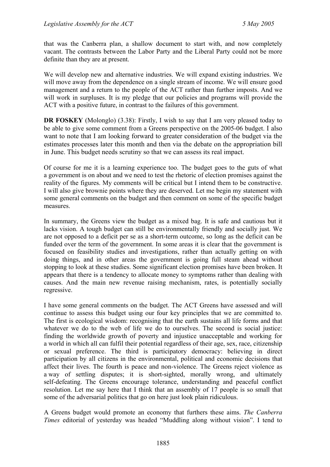that was the Canberra plan, a shallow document to start with, and now completely vacant. The contrasts between the Labor Party and the Liberal Party could not be more definite than they are at present.

We will develop new and alternative industries. We will expand existing industries. We will move away from the dependence on a single stream of income. We will ensure good management and a return to the people of the ACT rather than further imposts. And we will work in surpluses. It is my pledge that our policies and programs will provide the ACT with a positive future, in contrast to the failures of this government.

**DR FOSKEY** (Molonglo) (3.38): Firstly, I wish to say that I am very pleased today to be able to give some comment from a Greens perspective on the 2005-06 budget. I also want to note that I am looking forward to greater consideration of the budget via the estimates processes later this month and then via the debate on the appropriation bill in June. This budget needs scrutiny so that we can assess its real impact.

Of course for me it is a learning experience too. The budget goes to the guts of what a government is on about and we need to test the rhetoric of election promises against the reality of the figures. My comments will be critical but I intend them to be constructive. I will also give brownie points where they are deserved. Let me begin my statement with some general comments on the budget and then comment on some of the specific budget measures.

In summary, the Greens view the budget as a mixed bag. It is safe and cautious but it lacks vision. A tough budget can still be environmentally friendly and socially just. We are not opposed to a deficit per se as a short-term outcome, so long as the deficit can be funded over the term of the government. In some areas it is clear that the government is focused on feasibility studies and investigations, rather than actually getting on with doing things, and in other areas the government is going full steam ahead without stopping to look at these studies. Some significant election promises have been broken. It appears that there is a tendency to allocate money to symptoms rather than dealing with causes. And the main new revenue raising mechanism, rates, is potentially socially regressive.

I have some general comments on the budget. The ACT Greens have assessed and will continue to assess this budget using our four key principles that we are committed to. The first is ecological wisdom: recognising that the earth sustains all life forms and that whatever we do to the web of life we do to ourselves. The second is social justice: finding the worldwide growth of poverty and injustice unacceptable and working for a world in which all can fulfil their potential regardless of their age, sex, race, citizenship or sexual preference. The third is participatory democracy: believing in direct participation by all citizens in the environmental, political and economic decisions that affect their lives. The fourth is peace and non-violence. The Greens reject violence as a way of settling disputes; it is short-sighted, morally wrong, and ultimately self-defeating. The Greens encourage tolerance, understanding and peaceful conflict resolution. Let me say here that I think that an assembly of 17 people is so small that some of the adversarial politics that go on here just look plain ridiculous.

A Greens budget would promote an economy that furthers these aims. *The Canberra Times* editorial of yesterday was headed "Muddling along without vision". I tend to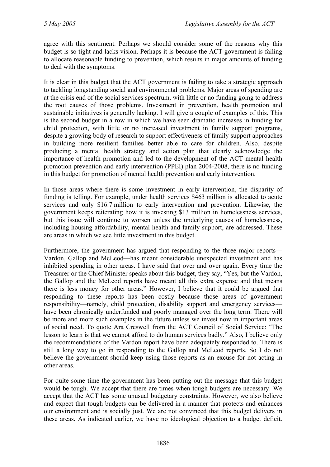agree with this sentiment. Perhaps we should consider some of the reasons why this budget is so tight and lacks vision. Perhaps it is because the ACT government is failing to allocate reasonable funding to prevention, which results in major amounts of funding to deal with the symptoms.

It is clear in this budget that the ACT government is failing to take a strategic approach to tackling longstanding social and environmental problems. Major areas of spending are at the crisis end of the social services spectrum, with little or no funding going to address the root causes of those problems. Investment in prevention, health promotion and sustainable initiatives is generally lacking. I will give a couple of examples of this. This is the second budget in a row in which we have seen dramatic increases in funding for child protection, with little or no increased investment in family support programs, despite a growing body of research to support effectiveness of family support approaches in building more resilient families better able to care for children. Also, despite producing a mental health strategy and action plan that clearly acknowledge the importance of health promotion and led to the development of the ACT mental health promotion prevention and early intervention (PPEI) plan 2004-2008, there is no funding in this budget for promotion of mental health prevention and early intervention.

In those areas where there is some investment in early intervention, the disparity of funding is telling. For example, under health services \$463 million is allocated to acute services and only \$16.7 million to early intervention and prevention. Likewise, the government keeps reiterating how it is investing \$13 million in homelessness services, but this issue will continue to worsen unless the underlying causes of homelessness, including housing affordability, mental health and family support, are addressed. These are areas in which we see little investment in this budget.

Furthermore, the government has argued that responding to the three major reports— Vardon, Gallop and McLeod—has meant considerable unexpected investment and has inhibited spending in other areas. I have said that over and over again. Every time the Treasurer or the Chief Minister speaks about this budget, they say, "Yes, but the Vardon, the Gallop and the McLeod reports have meant all this extra expense and that means there is less money for other areas." However, I believe that it could be argued that responding to these reports has been costly because those areas of government responsibility—namely, child protection, disability support and emergency services have been chronically underfunded and poorly managed over the long term. There will be more and more such examples in the future unless we invest now in important areas of social need. To quote Ara Creswell from the ACT Council of Social Service: "The lesson to learn is that we cannot afford to do human services badly." Also, I believe only the recommendations of the Vardon report have been adequately responded to. There is still a long way to go in responding to the Gallop and McLeod reports. So I do not believe the government should keep using those reports as an excuse for not acting in other areas.

For quite some time the government has been putting out the message that this budget would be tough. We accept that there are times when tough budgets are necessary. We accept that the ACT has some unusual budgetary constraints. However, we also believe and expect that tough budgets can be delivered in a manner that protects and enhances our environment and is socially just. We are not convinced that this budget delivers in these areas. As indicated earlier, we have no ideological objection to a budget deficit.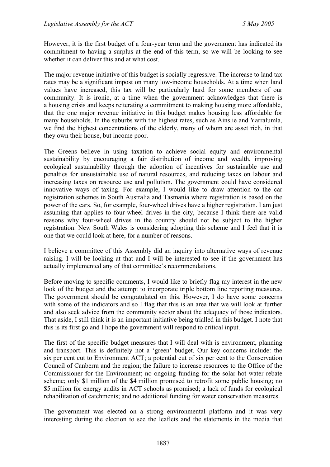However, it is the first budget of a four-year term and the government has indicated its commitment to having a surplus at the end of this term, so we will be looking to see whether it can deliver this and at what cost.

The major revenue initiative of this budget is socially regressive. The increase to land tax rates may be a significant impost on many low-income households. At a time when land values have increased, this tax will be particularly hard for some members of our community. It is ironic, at a time when the government acknowledges that there is a housing crisis and keeps reiterating a commitment to making housing more affordable, that the one major revenue initiative in this budget makes housing less affordable for many households. In the suburbs with the highest rates, such as Ainslie and Yarralumla, we find the highest concentrations of the elderly, many of whom are asset rich, in that they own their house, but income poor.

The Greens believe in using taxation to achieve social equity and environmental sustainability by encouraging a fair distribution of income and wealth, improving ecological sustainability through the adoption of incentives for sustainable use and penalties for unsustainable use of natural resources, and reducing taxes on labour and increasing taxes on resource use and pollution. The government could have considered innovative ways of taxing. For example, I would like to draw attention to the car registration schemes in South Australia and Tasmania where registration is based on the power of the cars. So, for example, four-wheel drives have a higher registration. I am just assuming that applies to four-wheel drives in the city, because I think there are valid reasons why four-wheel drives in the country should not be subject to the higher registration. New South Wales is considering adopting this scheme and I feel that it is one that we could look at here, for a number of reasons.

I believe a committee of this Assembly did an inquiry into alternative ways of revenue raising. I will be looking at that and I will be interested to see if the government has actually implemented any of that committee's recommendations.

Before moving to specific comments, I would like to briefly flag my interest in the new look of the budget and the attempt to incorporate triple bottom line reporting measures. The government should be congratulated on this. However, I do have some concerns with some of the indicators and so I flag that this is an area that we will look at further and also seek advice from the community sector about the adequacy of those indicators. That aside, I still think it is an important initiative being trialled in this budget. I note that this is its first go and I hope the government will respond to critical input.

The first of the specific budget measures that I will deal with is environment, planning and transport. This is definitely not a 'green' budget. Our key concerns include: the six per cent cut to Environment ACT; a potential cut of six per cent to the Conservation Council of Canberra and the region; the failure to increase resources to the Office of the Commissioner for the Environment; no ongoing funding for the solar hot water rebate scheme; only \$1 million of the \$4 million promised to retrofit some public housing; no \$5 million for energy audits in ACT schools as promised; a lack of funds for ecological rehabilitation of catchments; and no additional funding for water conservation measures.

The government was elected on a strong environmental platform and it was very interesting during the election to see the leaflets and the statements in the media that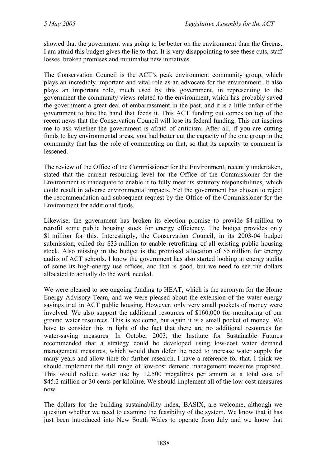showed that the government was going to be better on the environment than the Greens. I am afraid this budget gives the lie to that. It is very disappointing to see these cuts, staff losses, broken promises and minimalist new initiatives.

The Conservation Council is the ACT's peak environment community group, which plays an incredibly important and vital role as an advocate for the environment. It also plays an important role, much used by this government, in representing to the government the community views related to the environment, which has probably saved the government a great deal of embarrassment in the past, and it is a little unfair of the government to bite the hand that feeds it. This ACT funding cut comes on top of the recent news that the Conservation Council will lose its federal funding. This cut inspires me to ask whether the government is afraid of criticism. After all, if you are cutting funds to key environmental areas, you had better cut the capacity of the one group in the community that has the role of commenting on that, so that its capacity to comment is lessened.

The review of the Office of the Commissioner for the Environment, recently undertaken, stated that the current resourcing level for the Office of the Commissioner for the Environment is inadequate to enable it to fully meet its statutory responsibilities, which could result in adverse environmental impacts. Yet the government has chosen to reject the recommendation and subsequent request by the Office of the Commissioner for the Environment for additional funds.

Likewise, the government has broken its election promise to provide \$4 million to retrofit some public housing stock for energy efficiency. The budget provides only \$1 million for this. Interestingly, the Conservation Council, in its 2003-04 budget submission, called for \$33 million to enable retrofitting of all existing public housing stock. Also missing in the budget is the promised allocation of \$5 million for energy audits of ACT schools. I know the government has also started looking at energy audits of some its high-energy use offices, and that is good, but we need to see the dollars allocated to actually do the work needed.

We were pleased to see ongoing funding to HEAT, which is the acronym for the Home Energy Advisory Team, and we were pleased about the extension of the water energy savings trial in ACT public housing. However, only very small pockets of money were involved. We also support the additional resources of \$160,000 for monitoring of our ground water resources. This is welcome, but again it is a small pocket of money. We have to consider this in light of the fact that there are no additional resources for water-saving measures. In October 2003, the Institute for Sustainable Futures recommended that a strategy could be developed using low-cost water demand management measures, which would then defer the need to increase water supply for many years and allow time for further research. I have a reference for that. I think we should implement the full range of low-cost demand management measures proposed. This would reduce water use by 12,500 megalitres per annum at a total cost of \$45.2 million or 30 cents per kilolitre. We should implement all of the low-cost measures now.

The dollars for the building sustainability index, BASIX, are welcome, although we question whether we need to examine the feasibility of the system. We know that it has just been introduced into New South Wales to operate from July and we know that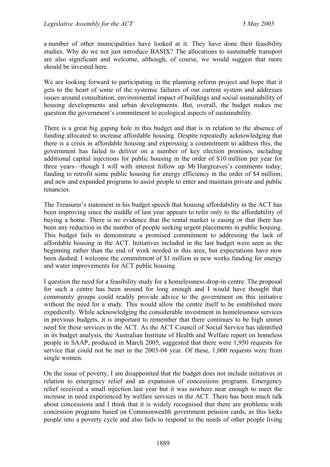a number of other municipalities have looked at it. They have done their feasibility studies. Why do we not just introduce BASIX? The allocations to sustainable transport are also significant and welcome, although, of course, we would suggest that more should be invested here.

We are looking forward to participating in the planning reform project and hope that it gets to the heart of some of the systemic failures of our current system and addresses issues around consultation, environmental impact of buildings and social sustainability of housing developments and urban developments. But, overall, the budget makes me question the government's commitment to ecological aspects of sustainability.

There is a great big gaping hole in this budget and that is in relation to the absence of funding allocated to increase affordable housing. Despite repeatedly acknowledging that there is a crisis in affordable housing and expressing a commitment to address this, the government has failed to deliver on a number of key election promises, including additional capital injections for public housing in the order of \$10 million per year for three years—though I will with interest follow up Mr Hargreaves's comments today; funding to retrofit some public housing for energy efficiency in the order of \$4 million; and new and expanded programs to assist people to enter and maintain private and public tenancies.

The Treasurer's statement in his budget speech that housing affordability in the ACT has been improving since the middle of last year appears to refer only to the affordability of buying a home. There is no evidence that the rental market is easing or that there has been any reduction in the number of people seeking urgent placements in public housing. This budget fails to demonstrate a promised commitment to addressing the lack of affordable housing in the ACT. Initiatives included in the last budget were seen as the beginning rather than the end of work needed in this area, but expectations have now been dashed. I welcome the commitment of \$1 million in new works funding for energy and water improvements for ACT public housing.

I question the need for a feasibility study for a homelessness drop-in centre. The proposal for such a centre has been around for long enough and I would have thought that community groups could readily provide advice to the government on this initiative without the need for a study. This would allow the centre itself to be established more expediently. While acknowledging the considerable investment in homelessness services in previous budgets, it is important to remember that there continues to be high unmet need for these services in the ACT. As the ACT Council of Social Service has identified in its budget analysis, the Australian Institute of Health and Welfare report on homeless people in SAAP, produced in March 2005, suggested that there were 1,950 requests for service that could not be met in the 2003-04 year. Of these, 1,000 requests were from single women.

On the issue of poverty, I am disappointed that the budget does not include initiatives in relation to emergency relief and an expansion of concessions programs. Emergency relief received a small injection last year but it was nowhere near enough to meet the increase in need experienced by welfare services in the ACT. There has been much talk about concessions and I think that it is widely recognised that there are problems with concession programs based on Commonwealth government pension cards, as this locks people into a poverty cycle and also fails to respond to the needs of other people living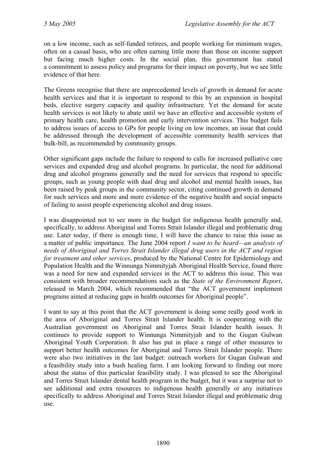on a low income, such as self-funded retirees, and people working for minimum wages, often on a casual basis, who are often earning little more than those on income support but facing much higher costs. In the social plan, this government has stated a commitment to assess policy and programs for their impact on poverty, but we see little evidence of that here.

The Greens recognise that there are unprecedented levels of growth in demand for acute health services and that it is important to respond to this by an expansion in hospital beds, elective surgery capacity and quality infrastructure. Yet the demand for acute health services is not likely to abate until we have an effective and accessible system of primary health care, health promotion and early intervention services. This budget fails to address issues of access to GPs for people living on low incomes, an issue that could be addressed through the development of accessible community health services that bulk-bill, as recommended by community groups.

Other significant gaps include the failure to respond to calls for increased palliative care services and expanded drug and alcohol programs. In particular, the need for additional drug and alcohol programs generally and the need for services that respond to specific groups, such as young people with dual drug and alcohol and mental health issues, has been raised by peak groups in the community sector, citing continued growth in demand for such services and more and more evidence of the negative health and social impacts of failing to assist people experiencing alcohol and drug issues.

I was disappointed not to see more in the budget for indigenous health generally and, specifically, to address Aboriginal and Torres Strait Islander illegal and problematic drug use. Later today, if there is enough time, I will have the chance to raise this issue as a matter of public importance. The June 2004 report *I want to be heard—an analysis of needs of Aboriginal and Torres Strait Islander illegal drug users in the ACT and region for treatment and other services*, produced by the National Centre for Epidemiology and Population Health and the Winnunga Nimmityjah Aboriginal Health Service, found there was a need for new and expanded services in the ACT to address this issue. This was consistent with broader recommendations such as the *State of the Environment Report*, released in March 2004, which recommended that "the ACT government implement programs aimed at reducing gaps in health outcomes for Aboriginal people".

I want to say at this point that the ACT government is doing some really good work in the area of Aboriginal and Torres Strait Islander health. It is cooperating with the Australian government on Aboriginal and Torres Strait Islander health issues. It continues to provide support to Winnunga Nimmityjah and to the Gugan Gulwan Aboriginal Youth Corporation. It also has put in place a range of other measures to support better health outcomes for Aboriginal and Torres Strait Islander people. There were also two initiatives in the last budget: outreach workers for Gugan Gulwan and a feasibility study into a bush healing farm. I am looking forward to finding out more about the status of this particular feasibility study. I was pleased to see the Aboriginal and Torres Strait Islander dental health program in the budget, but it was a surprise not to see additional and extra resources to indigenous health generally or any initiatives specifically to address Aboriginal and Torres Strait Islander illegal and problematic drug use.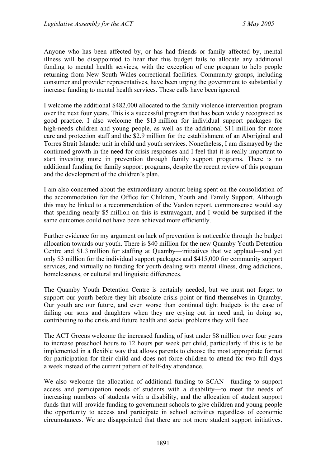Anyone who has been affected by, or has had friends or family affected by, mental illness will be disappointed to hear that this budget fails to allocate any additional funding to mental health services, with the exception of one program to help people returning from New South Wales correctional facilities. Community groups, including consumer and provider representatives, have been urging the government to substantially increase funding to mental health services. These calls have been ignored.

I welcome the additional \$482,000 allocated to the family violence intervention program over the next four years. This is a successful program that has been widely recognised as good practice. I also welcome the \$13 million for individual support packages for high-needs children and young people, as well as the additional \$11 million for more care and protection staff and the \$2.9 million for the establishment of an Aboriginal and Torres Strait Islander unit in child and youth services. Nonetheless, I am dismayed by the continued growth in the need for crisis responses and I feel that it is really important to start investing more in prevention through family support programs. There is no additional funding for family support programs, despite the recent review of this program and the development of the children's plan.

I am also concerned about the extraordinary amount being spent on the consolidation of the accommodation for the Office for Children, Youth and Family Support. Although this may be linked to a recommendation of the Vardon report, commonsense would say that spending nearly \$5 million on this is extravagant, and I would be surprised if the same outcomes could not have been achieved more efficiently.

Further evidence for my argument on lack of prevention is noticeable through the budget allocation towards our youth. There is \$40 million for the new Quamby Youth Detention Centre and \$1.3 million for staffing at Quamby—initiatives that we applaud—and yet only \$3 million for the individual support packages and \$415,000 for community support services, and virtually no funding for youth dealing with mental illness, drug addictions, homelessness, or cultural and linguistic differences.

The Quamby Youth Detention Centre is certainly needed, but we must not forget to support our youth before they hit absolute crisis point or find themselves in Quamby. Our youth are our future, and even worse than continual tight budgets is the case of failing our sons and daughters when they are crying out in need and, in doing so, contributing to the crisis and future health and social problems they will face.

The ACT Greens welcome the increased funding of just under \$8 million over four years to increase preschool hours to 12 hours per week per child, particularly if this is to be implemented in a flexible way that allows parents to choose the most appropriate format for participation for their child and does not force children to attend for two full days a week instead of the current pattern of half-day attendance.

We also welcome the allocation of additional funding to SCAN—funding to support access and participation needs of students with a disability—to meet the needs of increasing numbers of students with a disability, and the allocation of student support funds that will provide funding to government schools to give children and young people the opportunity to access and participate in school activities regardless of economic circumstances. We are disappointed that there are not more student support initiatives.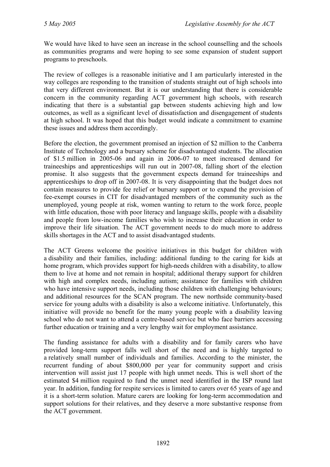We would have liked to have seen an increase in the school counselling and the schools as communities programs and were hoping to see some expansion of student support programs to preschools.

The review of colleges is a reasonable initiative and I am particularly interested in the way colleges are responding to the transition of students straight out of high schools into that very different environment. But it is our understanding that there is considerable concern in the community regarding ACT government high schools, with research indicating that there is a substantial gap between students achieving high and low outcomes, as well as a significant level of dissatisfaction and disengagement of students at high school. It was hoped that this budget would indicate a commitment to examine these issues and address them accordingly.

Before the election, the government promised an injection of \$2 million to the Canberra Institute of Technology and a bursary scheme for disadvantaged students. The allocation of \$1.5 million in 2005-06 and again in 2006-07 to meet increased demand for traineeships and apprenticeships will run out in 2007-08, falling short of the election promise. It also suggests that the government expects demand for traineeships and apprenticeships to drop off in 2007-08. It is very disappointing that the budget does not contain measures to provide fee relief or bursary support or to expand the provision of fee-exempt courses in CIT for disadvantaged members of the community such as the unemployed, young people at risk, women wanting to return to the work force, people with little education, those with poor literacy and language skills, people with a disability and people from low-income families who wish to increase their education in order to improve their life situation. The ACT government needs to do much more to address skills shortages in the ACT and to assist disadvantaged students.

The ACT Greens welcome the positive initiatives in this budget for children with a disability and their families, including: additional funding to the caring for kids at home program, which provides support for high-needs children with a disability, to allow them to live at home and not remain in hospital; additional therapy support for children with high and complex needs, including autism; assistance for families with children who have intensive support needs, including those children with challenging behaviours; and additional resources for the SCAN program. The new northside community-based service for young adults with a disability is also a welcome initiative. Unfortunately, this initiative will provide no benefit for the many young people with a disability leaving school who do not want to attend a centre-based service but who face barriers accessing further education or training and a very lengthy wait for employment assistance.

The funding assistance for adults with a disability and for family carers who have provided long-term support falls well short of the need and is highly targeted to a relatively small number of individuals and families. According to the minister, the recurrent funding of about \$800,000 per year for community support and crisis intervention will assist just 17 people with high unmet needs. This is well short of the estimated \$4 million required to fund the unmet need identified in the ISP round last year. In addition, funding for respite services is limited to carers over 65 years of age and it is a short-term solution. Mature carers are looking for long-term accommodation and support solutions for their relatives, and they deserve a more substantive response from the ACT government.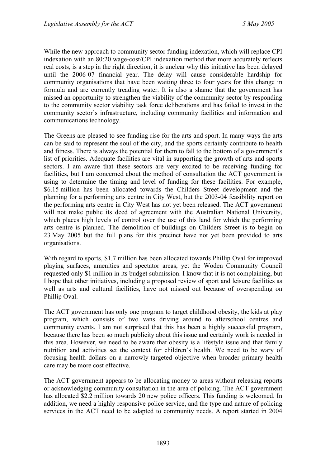While the new approach to community sector funding indexation, which will replace CPI indexation with an 80:20 wage-cost/CPI indexation method that more accurately reflects real costs, is a step in the right direction, it is unclear why this initiative has been delayed until the 2006-07 financial year. The delay will cause considerable hardship for community organisations that have been waiting three to four years for this change in formula and are currently treading water. It is also a shame that the government has missed an opportunity to strengthen the viability of the community sector by responding to the community sector viability task force deliberations and has failed to invest in the community sector's infrastructure, including community facilities and information and communications technology.

The Greens are pleased to see funding rise for the arts and sport. In many ways the arts can be said to represent the soul of the city, and the sports certainly contribute to health and fitness. There is always the potential for them to fall to the bottom of a government's list of priorities. Adequate facilities are vital in supporting the growth of arts and sports sectors. I am aware that these sectors are very excited to be receiving funding for facilities, but I am concerned about the method of consultation the ACT government is using to determine the timing and level of funding for these facilities. For example, \$6.15 million has been allocated towards the Childers Street development and the planning for a performing arts centre in City West, but the 2003-04 feasibility report on the performing arts centre in City West has not yet been released. The ACT government will not make public its deed of agreement with the Australian National University, which places high levels of control over the use of this land for which the performing arts centre is planned. The demolition of buildings on Childers Street is to begin on 23 May 2005 but the full plans for this precinct have not yet been provided to arts organisations.

With regard to sports, \$1.7 million has been allocated towards Phillip Oval for improved playing surfaces, amenities and spectator areas, yet the Woden Community Council requested only \$1 million in its budget submission. I know that it is not complaining, but I hope that other initiatives, including a proposed review of sport and leisure facilities as well as arts and cultural facilities, have not missed out because of overspending on Phillip Oval.

The ACT government has only one program to target childhood obesity, the kids at play program, which consists of two vans driving around to afterschool centres and community events. I am not surprised that this has been a highly successful program, because there has been so much publicity about this issue and certainly work is needed in this area. However, we need to be aware that obesity is a lifestyle issue and that family nutrition and activities set the context for children's health. We need to be wary of focusing health dollars on a narrowly-targeted objective when broader primary health care may be more cost effective.

The ACT government appears to be allocating money to areas without releasing reports or acknowledging community consultation in the area of policing. The ACT government has allocated \$2.2 million towards 20 new police officers. This funding is welcomed. In addition, we need a highly responsive police service, and the type and nature of policing services in the ACT need to be adapted to community needs. A report started in 2004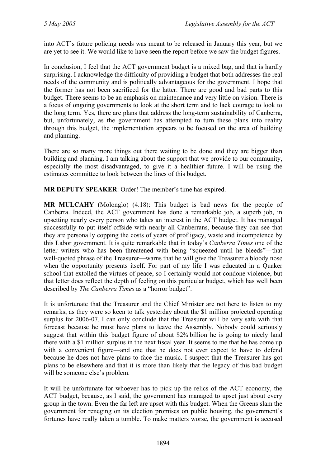into ACT's future policing needs was meant to be released in January this year, but we are yet to see it. We would like to have seen the report before we saw the budget figures.

In conclusion, I feel that the ACT government budget is a mixed bag, and that is hardly surprising. I acknowledge the difficulty of providing a budget that both addresses the real needs of the community and is politically advantageous for the government. I hope that the former has not been sacrificed for the latter. There are good and bad parts to this budget. There seems to be an emphasis on maintenance and very little on vision. There is a focus of ongoing governments to look at the short term and to lack courage to look to the long term. Yes, there are plans that address the long-term sustainability of Canberra, but, unfortunately, as the government has attempted to turn these plans into reality through this budget, the implementation appears to be focused on the area of building and planning.

There are so many more things out there waiting to be done and they are bigger than building and planning. I am talking about the support that we provide to our community, especially the most disadvantaged, to give it a healthier future. I will be using the estimates committee to look between the lines of this budget.

**MR DEPUTY SPEAKER**: Order! The member's time has expired.

**MR MULCAHY** (Molonglo) (4.18): This budget is bad news for the people of Canberra. Indeed, the ACT government has done a remarkable job, a superb job, in upsetting nearly every person who takes an interest in the ACT budget. It has managed successfully to put itself offside with nearly all Canberrans, because they can see that they are personally copping the costs of years of profligacy, waste and incompetence by this Labor government. It is quite remarkable that in today's *Canberra Times* one of the letter writers who has been threatened with being "squeezed until he bleeds"—that well-quoted phrase of the Treasurer—warns that he will give the Treasurer a bloody nose when the opportunity presents itself. For part of my life I was educated in a Quaker school that extolled the virtues of peace, so I certainly would not condone violence, but that letter does reflect the depth of feeling on this particular budget, which has well been described by *The Canberra Times* as a "horror budget".

It is unfortunate that the Treasurer and the Chief Minister are not here to listen to my remarks, as they were so keen to talk yesterday about the \$1 million projected operating surplus for 2006-07. I can only conclude that the Treasurer will be very safe with that forecast because he must have plans to leave the Assembly. Nobody could seriously suggest that within this budget figure of about \$2¾ billion he is going to nicely land there with a \$1 million surplus in the next fiscal year. It seems to me that he has come up with a convenient figure—and one that he does not ever expect to have to defend because he does not have plans to face the music. I suspect that the Treasurer has got plans to be elsewhere and that it is more than likely that the legacy of this bad budget will be someone else's problem.

It will be unfortunate for whoever has to pick up the relics of the ACT economy, the ACT budget, because, as I said, the government has managed to upset just about every group in the town. Even the far left are upset with this budget. When the Greens slam the government for reneging on its election promises on public housing, the government's fortunes have really taken a tumble. To make matters worse, the government is accused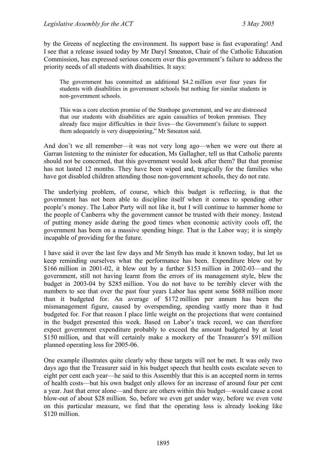by the Greens of neglecting the environment. Its support base is fast evaporating! And I see that a release issued today by Mr Daryl Smeaton, Chair of the Catholic Education Commission, has expressed serious concern over this government's failure to address the priority needs of all students with disabilities. It says:

The government has committed an additional \$4.2 million over four years for students with disabilities in government schools but nothing for similar students in non-government schools.

This was a core election promise of the Stanhope government, and we are distressed that our students with disabilities are again casualties of broken promises. They already face major difficulties in their lives—the Government's failure to support them adequately is very disappointing," Mr Smeaton said.

And don't we all remember—it was not very long ago—when we were out there at Garran listening to the minister for education, Ms Gallagher, tell us that Catholic parents should not be concerned, that this government would look after them? But that promise has not lasted 12 months. They have been wiped and, tragically for the families who have got disabled children attending those non-government schools, they do not rate.

The underlying problem, of course, which this budget is reflecting, is that the government has not been able to discipline itself when it comes to spending other people's money. The Labor Party will not like it, but I will continue to hammer home to the people of Canberra why the government cannot be trusted with their money. Instead of putting money aside during the good times when economic activity cools off, the government has been on a massive spending binge. That is the Labor way; it is simply incapable of providing for the future.

I have said it over the last few days and Mr Smyth has made it known today, but let us keep reminding ourselves what the performance has been. Expenditure blew out by \$166 million in 2001-02, it blew out by a further \$153 million in 2002-03—and the government, still not having learnt from the errors of its management style, blew the budget in 2003-04 by \$285 million. You do not have to be terribly clever with the numbers to see that over the past four years Labor has spent some \$688 million more than it budgeted for. An average of \$172 million per annum has been the mismanagement figure, caused by overspending, spending vastly more than it had budgeted for. For that reason I place little weight on the projections that were contained in the budget presented this week. Based on Labor's track record, we can therefore expect government expenditure probably to exceed the amount budgeted by at least \$150 million, and that will certainly make a mockery of the Treasurer's \$91 million planned operating loss for 2005-06.

One example illustrates quite clearly why these targets will not be met. It was only two days ago that the Treasurer said in his budget speech that health costs escalate seven to eight per cent each year—he said to this Assembly that this is an accepted norm in terms of health costs—but his own budget only allows for an increase of around four per cent a year. Just that error alone—and there are others within this budget—would cause a cost blow-out of about \$28 million. So, before we even get under way, before we even vote on this particular measure, we find that the operating loss is already looking like \$120 million.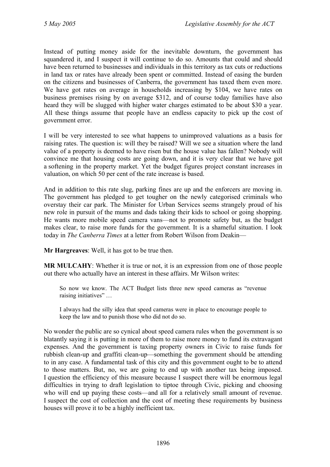Instead of putting money aside for the inevitable downturn, the government has squandered it, and I suspect it will continue to do so. Amounts that could and should have been returned to businesses and individuals in this territory as tax cuts or reductions in land tax or rates have already been spent or committed. Instead of easing the burden on the citizens and businesses of Canberra, the government has taxed them even more. We have got rates on average in households increasing by \$104, we have rates on business premises rising by on average \$312, and of course today families have also heard they will be slugged with higher water charges estimated to be about \$30 a year. All these things assume that people have an endless capacity to pick up the cost of government error.

I will be very interested to see what happens to unimproved valuations as a basis for raising rates. The question is: will they be raised? Will we see a situation where the land value of a property is deemed to have risen but the house value has fallen? Nobody will convince me that housing costs are going down, and it is very clear that we have got a softening in the property market. Yet the budget figures project constant increases in valuation, on which 50 per cent of the rate increase is based.

And in addition to this rate slug, parking fines are up and the enforcers are moving in. The government has pledged to get tougher on the newly categorised criminals who overstay their car park. The Minister for Urban Services seems strangely proud of his new role in pursuit of the mums and dads taking their kids to school or going shopping. He wants more mobile speed camera vans—not to promote safety but, as the budget makes clear, to raise more funds for the government. It is a shameful situation. I look today in *The Canberra Times* at a letter from Robert Wilson from Deakin—

**Mr Hargreaves**: Well, it has got to be true then.

**MR MULCAHY**: Whether it is true or not, it is an expression from one of those people out there who actually have an interest in these affairs. Mr Wilson writes:

So now we know. The ACT Budget lists three new speed cameras as "revenue raising initiatives" …

I always had the silly idea that speed cameras were in place to encourage people to keep the law and to punish those who did not do so.

No wonder the public are so cynical about speed camera rules when the government is so blatantly saying it is putting in more of them to raise more money to fund its extravagant expenses. And the government is taxing property owners in Civic to raise funds for rubbish clean-up and graffiti clean-up—something the government should be attending to in any case. A fundamental task of this city and this government ought to be to attend to those matters. But, no, we are going to end up with another tax being imposed. I question the efficiency of this measure because I suspect there will be enormous legal difficulties in trying to draft legislation to tiptoe through Civic, picking and choosing who will end up paying these costs—and all for a relatively small amount of revenue. I suspect the cost of collection and the cost of meeting these requirements by business houses will prove it to be a highly inefficient tax.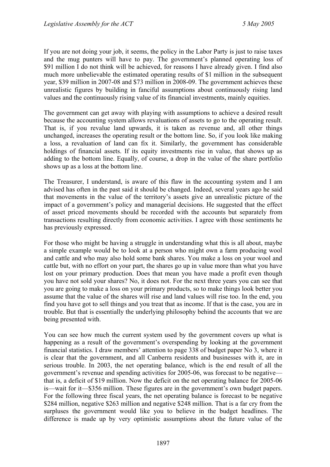If you are not doing your job, it seems, the policy in the Labor Party is just to raise taxes and the mug punters will have to pay. The government's planned operating loss of \$91 million I do not think will be achieved, for reasons I have already given. I find also much more unbelievable the estimated operating results of \$1 million in the subsequent year, \$39 million in 2007-08 and \$73 million in 2008-09. The government achieves these unrealistic figures by building in fanciful assumptions about continuously rising land values and the continuously rising value of its financial investments, mainly equities.

The government can get away with playing with assumptions to achieve a desired result because the accounting system allows revaluations of assets to go to the operating result. That is, if you revalue land upwards, it is taken as revenue and, all other things unchanged, increases the operating result or the bottom line. So, if you look like making a loss, a revaluation of land can fix it. Similarly, the government has considerable holdings of financial assets. If its equity investments rise in value, that shows up as adding to the bottom line. Equally, of course, a drop in the value of the share portfolio shows up as a loss at the bottom line.

The Treasurer, I understand, is aware of this flaw in the accounting system and I am advised has often in the past said it should be changed. Indeed, several years ago he said that movements in the value of the territory's assets give an unrealistic picture of the impact of a government's policy and managerial decisions. He suggested that the effect of asset priced movements should be recorded with the accounts but separately from transactions resulting directly from economic activities. I agree with those sentiments he has previously expressed.

For those who might be having a struggle in understanding what this is all about, maybe a simple example would be to look at a person who might own a farm producing wool and cattle and who may also hold some bank shares. You make a loss on your wool and cattle but, with no effort on your part, the shares go up in value more than what you have lost on your primary production. Does that mean you have made a profit even though you have not sold your shares? No, it does not. For the next three years you can see that you are going to make a loss on your primary products, so to make things look better you assume that the value of the shares will rise and land values will rise too. In the end, you find you have got to sell things and you treat that as income. If that is the case, you are in trouble. But that is essentially the underlying philosophy behind the accounts that we are being presented with.

You can see how much the current system used by the government covers up what is happening as a result of the government's overspending by looking at the government financial statistics. I draw members' attention to page 338 of budget paper No 3, where it is clear that the government, and all Canberra residents and businesses with it, are in serious trouble. In 2003, the net operating balance, which is the end result of all the government's revenue and spending activities for 2005-06, was forecast to be negative that is, a deficit of \$19 million. Now the deficit on the net operating balance for 2005-06 is—wait for it—\$356 million. These figures are in the government's own budget papers. For the following three fiscal years, the net operating balance is forecast to be negative \$284 million, negative \$263 million and negative \$248 million. That is a far cry from the surpluses the government would like you to believe in the budget headlines. The difference is made up by very optimistic assumptions about the future value of the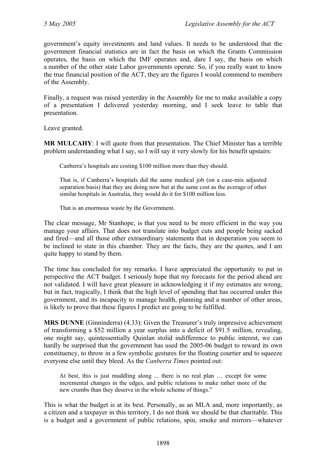government's equity investments and land values. It needs to be understood that the government financial statistics are in fact the basis on which the Grants Commission operates, the basis on which the IMF operates and, dare I say, the basis on which a number of the other state Labor governments operate. So, if you really want to know the true financial position of the ACT, they are the figures I would commend to members of the Assembly.

Finally, a request was raised yesterday in the Assembly for me to make available a copy of a presentation I delivered yesterday morning, and I seek leave to table that presentation.

Leave granted.

**MR MULCAHY**: I will quote from that presentation. The Chief Minister has a terrible problem understanding what I say, so I will say it very slowly for his benefit upstairs:

Canberra's hospitals are costing \$100 million more than they should.

That is, if Canberra's hospitals did the same medical job (on a case-mix adjusted separation basis) that they are doing now but at the same cost as the average of other similar hospitals in Australia, they would do it for \$100 million less.

That is an enormous waste by the Government.

The clear message, Mr Stanhope, is that you need to be more efficient in the way you manage your affairs. That does not translate into budget cuts and people being sacked and fired—and all those other extraordinary statements that in desperation you seem to be inclined to state in this chamber. They are the facts, they are the quotes, and I am quite happy to stand by them.

The time has concluded for my remarks. I have appreciated the opportunity to put in perspective the ACT budget. I seriously hope that my forecasts for the period ahead are not validated. I will have great pleasure in acknowledging it if my estimates are wrong, but in fact, tragically, I think that the high level of spending that has occurred under this government, and its incapacity to manage health, planning and a number of other areas, is likely to prove that these figures I predict are going to be fulfilled.

**MRS DUNNE** (Ginninderra) (4.33): Given the Treasurer's truly impressive achievement of transforming a \$52 million a year surplus into a deficit of \$91.5 million, revealing, one might say, quintessentially Quinlan stolid indifference to public interest, we can hardly be surprised that the government has used the 2005-06 budget to reward its own constituency, to throw in a few symbolic gestures for the floating courtier and to squeeze everyone else until they bleed. As the *Canberra Times* pointed out:

At best, this is just muddling along ... there is no real plan … except for some incremental changes in the edges, and public relations to make rather more of the new crumbs than they deserve in the whole scheme of things."

This is what the budget is at its best. Personally, as an MLA and, more importantly, as a citizen and a taxpayer in this territory, I do not think we should be that charitable. This is a budget and a government of public relations, spin, smoke and mirrors—whatever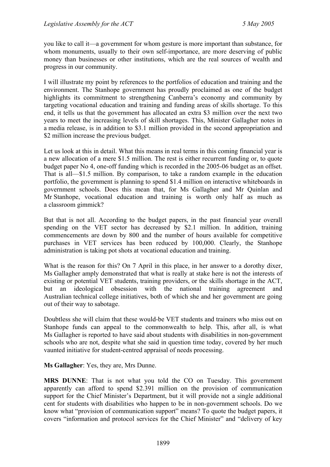you like to call it—a government for whom gesture is more important than substance, for whom monuments, usually to their own self-importance, are more deserving of public money than businesses or other institutions, which are the real sources of wealth and progress in our community.

I will illustrate my point by references to the portfolios of education and training and the environment. The Stanhope government has proudly proclaimed as one of the budget highlights its commitment to strengthening Canberra's economy and community by targeting vocational education and training and funding areas of skills shortage. To this end, it tells us that the government has allocated an extra \$3 million over the next two years to meet the increasing levels of skill shortages. This, Minister Gallagher notes in a media release, is in addition to \$3.1 million provided in the second appropriation and \$2 million increase the previous budget.

Let us look at this in detail. What this means in real terms in this coming financial year is a new allocation of a mere \$1.5 million. The rest is either recurrent funding or, to quote budget paper No 4, one-off funding which is recorded in the 2005-06 budget as an offset. That is all—\$1.5 million. By comparison, to take a random example in the education portfolio, the government is planning to spend \$1.4 million on interactive whiteboards in government schools. Does this mean that, for Ms Gallagher and Mr Quinlan and Mr Stanhope, vocational education and training is worth only half as much as a classroom gimmick?

But that is not all. According to the budget papers, in the past financial year overall spending on the VET sector has decreased by \$2.1 million. In addition, training commencements are down by 800 and the number of hours available for competitive purchases in VET services has been reduced by 100,000. Clearly, the Stanhope administration is taking pot shots at vocational education and training.

What is the reason for this? On 7 April in this place, in her answer to a dorothy dixer, Ms Gallagher amply demonstrated that what is really at stake here is not the interests of existing or potential VET students, training providers, or the skills shortage in the ACT, but an ideological obsession with the national training agreement and Australian technical college initiatives, both of which she and her government are going out of their way to sabotage.

Doubtless she will claim that these would-be VET students and trainers who miss out on Stanhope funds can appeal to the commonwealth to help. This, after all, is what Ms Gallagher is reported to have said about students with disabilities in non-government schools who are not, despite what she said in question time today, covered by her much vaunted initiative for student-centred appraisal of needs processing.

### **Ms Gallagher**: Yes, they are, Mrs Dunne.

**MRS DUNNE**: That is not what you told the CO on Tuesday. This government apparently can afford to spend \$2.391 million on the provision of communication support for the Chief Minister's Department, but it will provide not a single additional cent for students with disabilities who happen to be in non-government schools. Do we know what "provision of communication support" means? To quote the budget papers, it covers "information and protocol services for the Chief Minister" and "delivery of key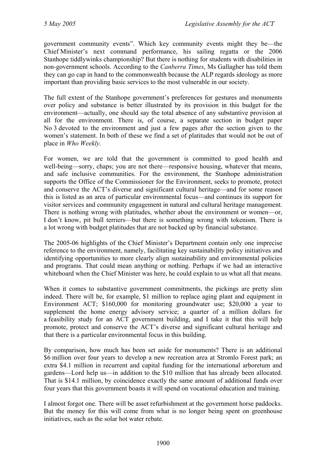government community events". Which key community events might they be—the Chief Minister's next command performance, his sailing regatta or the 2006 Stanhope tiddlywinks championship? But there is nothing for students with disabilities in non-government schools. According to the *Canberra Times*, Ms Gallagher has told them they can go cap in hand to the commonwealth because the ALP regards ideology as more important than providing basic services to the most vulnerable in our society.

The full extent of the Stanhope government's preferences for gestures and monuments over policy and substance is better illustrated by its provision in this budget for the environment—actually, one should say the total absence of any substantive provision at all for the environment. There is, of course, a separate section in budget paper No 3 devoted to the environment and just a few pages after the section given to the women's statement. In both of these we find a set of platitudes that would not be out of place in *Who Weekly*.

For women, we are told that the government is committed to good health and well-being—sorry, chaps; you are not there—responsive housing, whatever that means, and safe inclusive communities. For the environment, the Stanhope administration supports the Office of the Commissioner for the Environment, seeks to promote, protect and conserve the ACT's diverse and significant cultural heritage—and for some reason this is listed as an area of particular environmental focus—and continues its support for visitor services and community engagement in natural and cultural heritage management. There is nothing wrong with platitudes, whether about the environment or women—or, I don't know, pit bull terriers—but there is something wrong with tokenism. There is a lot wrong with budget platitudes that are not backed up by financial substance.

The 2005-06 highlights of the Chief Minister's Department contain only one imprecise reference to the environment, namely, facilitating key sustainability policy initiatives and identifying opportunities to more clearly align sustainability and environmental policies and programs. That could mean anything or nothing. Perhaps if we had an interactive whiteboard when the Chief Minister was here, he could explain to us what all that means.

When it comes to substantive government commitments, the pickings are pretty slim indeed. There will be, for example, \$1 million to replace aging plant and equipment in Environment ACT; \$160,000 for monitoring groundwater use; \$20,000 a year to supplement the home energy advisory service; a quarter of a million dollars for a feasibility study for an ACT government building, and I take it that this will help promote, protect and conserve the ACT's diverse and significant cultural heritage and that there is a particular environmental focus in this building.

By comparison, how much has been set aside for monuments? There is an additional \$6 million over four years to develop a new recreation area at Stromlo Forest park; an extra \$4.1 million in recurrent and capital funding for the international arboretum and gardens—Lord help us—in addition to the \$10 million that has already been allocated. That is \$14.1 million, by coincidence exactly the same amount of additional funds over four years that this government boasts it will spend on vocational education and training.

I almost forgot one. There will be asset refurbishment at the government horse paddocks. But the money for this will come from what is no longer being spent on greenhouse initiatives, such as the solar hot water rebate.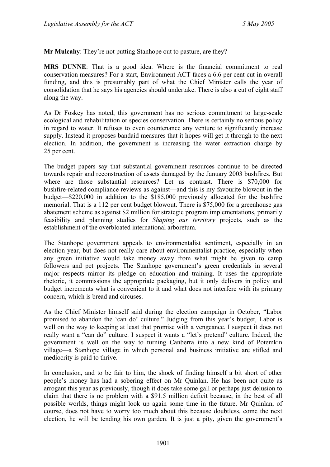**Mr Mulcahy**: They're not putting Stanhope out to pasture, are they?

**MRS DUNNE**: That is a good idea. Where is the financial commitment to real conservation measures? For a start, Environment ACT faces a 6.6 per cent cut in overall funding, and this is presumably part of what the Chief Minister calls the year of consolidation that he says his agencies should undertake. There is also a cut of eight staff along the way.

As Dr Foskey has noted, this government has no serious commitment to large-scale ecological and rehabilitation or species conservation. There is certainly no serious policy in regard to water. It refuses to even countenance any venture to significantly increase supply. Instead it proposes bandaid measures that it hopes will get it through to the next election. In addition, the government is increasing the water extraction charge by 25 per cent.

The budget papers say that substantial government resources continue to be directed towards repair and reconstruction of assets damaged by the January 2003 bushfires. But where are those substantial resources? Let us contrast. There is \$70,000 for bushfire-related compliance reviews as against—and this is my favourite blowout in the budget—\$220,000 in addition to the \$185,000 previously allocated for the bushfire memorial. That is a 112 per cent budget blowout. There is \$75,000 for a greenhouse gas abatement scheme as against \$2 million for strategic program implementations, primarily feasibility and planning studies for *Shaping our territory* projects, such as the establishment of the overbloated international arboretum.

The Stanhope government appeals to environmentalist sentiment, especially in an election year, but does not really care about environmentalist practice, especially when any green initiative would take money away from what might be given to camp followers and pet projects. The Stanhope government's green credentials in several major respects mirror its pledge on education and training. It uses the appropriate rhetoric, it commissions the appropriate packaging, but it only delivers in policy and budget increments what is convenient to it and what does not interfere with its primary concern, which is bread and circuses.

As the Chief Minister himself said during the election campaign in October, "Labor promised to abandon the 'can do' culture." Judging from this year's budget, Labor is well on the way to keeping at least that promise with a vengeance. I suspect it does not really want a "can do" culture. I suspect it wants a "let's pretend" culture. Indeed, the government is well on the way to turning Canberra into a new kind of Potemkin village—a Stanhope village in which personal and business initiative are stifled and mediocrity is paid to thrive.

In conclusion, and to be fair to him, the shock of finding himself a bit short of other people's money has had a sobering effect on Mr Quinlan. He has been not quite as arrogant this year as previously, though it does take some gall or perhaps just delusion to claim that there is no problem with a \$91.5 million deficit because, in the best of all possible worlds, things might look up again some time in the future. Mr Quinlan, of course, does not have to worry too much about this because doubtless, come the next election, he will be tending his own garden. It is just a pity, given the government's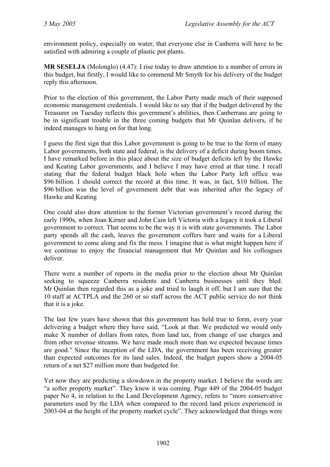environment policy, especially on water, that everyone else in Canberra will have to be satisfied with admiring a couple of plastic pot plants.

**MR SESELJA** (Molonglo) (4.47): I rise today to draw attention to a number of errors in this budget, but firstly, I would like to commend Mr Smyth for his delivery of the budget reply this afternoon.

Prior to the election of this government, the Labor Party made much of their supposed economic management credentials. I would like to say that if the budget delivered by the Treasurer on Tuesday reflects this government's abilities, then Canberrans are going to be in significant trouble in the three coming budgets that Mr Quinlan delivers, if he indeed manages to hang on for that long.

I guess the first sign that this Labor government is going to be true to the form of many Labor governments, both state and federal, is the delivery of a deficit during boom times. I have remarked before in this place about the size of budget deficits left by the Hawke and Keating Labor governments, and I believe I may have erred at that time. I recall stating that the federal budget black hole when the Labor Party left office was \$96 billion. I should correct the record at this time. It was, in fact, \$10 billion. The \$96 billion was the level of government debt that was inherited after the legacy of Hawke and Keating

One could also draw attention to the former Victorian government's record during the early 1990s, when Joan Kirner and John Cain left Victoria with a legacy it took a Liberal government to correct. That seems to be the way it is with state governments. The Labor party spends all the cash, leaves the government coffers bare and waits for a Liberal government to come along and fix the mess. I imagine that is what might happen here if we continue to enjoy the financial management that Mr Quinlan and his colleagues deliver.

There were a number of reports in the media prior to the election about Mr Quinlan seeking to squeeze Canberra residents and Canberra businesses until they bled. Mr Quinlan then regarded this as a joke and tried to laugh it off, but I am sure that the 10 staff at ACTPLA and the 260 or so staff across the ACT public service do not think that it is a joke.

The last few years have shown that this government has held true to form, every year delivering a budget where they have said, "Look at that. We predicted we would only make X number of dollars from rates, from land tax, from change of use charges and from other revenue streams. We have made much more than we expected because times are good." Since the inception of the LDA, the government has been receiving greater than expected outcomes for its land sales. Indeed, the budget papers show a 2004-05 return of a net \$27 million more than budgeted for.

Yet now they are predicting a slowdown in the property market. I believe the words are "a softer property market". They knew it was coming. Page 449 of the 2004-05 budget paper No 4, in relation to the Land Development Agency, refers to "more conservative parameters used by the LDA when compared to the record land prices experienced in 2003-04 at the height of the property market cycle". They acknowledged that things were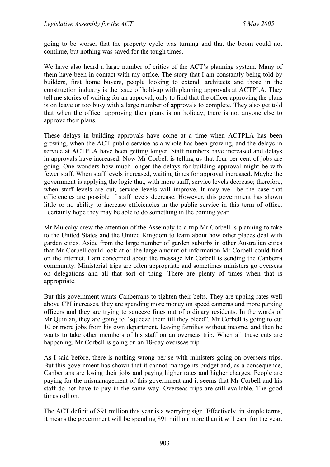going to be worse, that the property cycle was turning and that the boom could not continue, but nothing was saved for the tough times.

We have also heard a large number of critics of the ACT's planning system. Many of them have been in contact with my office. The story that I am constantly being told by builders, first home buyers, people looking to extend, architects and those in the construction industry is the issue of hold-up with planning approvals at ACTPLA. They tell me stories of waiting for an approval, only to find that the officer approving the plans is on leave or too busy with a large number of approvals to complete. They also get told that when the officer approving their plans is on holiday, there is not anyone else to approve their plans.

These delays in building approvals have come at a time when ACTPLA has been growing, when the ACT public service as a whole has been growing, and the delays in service at ACTPLA have been getting longer. Staff numbers have increased and delays in approvals have increased. Now Mr Corbell is telling us that four per cent of jobs are going. One wonders how much longer the delays for building approval might be with fewer staff. When staff levels increased, waiting times for approval increased. Maybe the government is applying the logic that, with more staff, service levels decrease; therefore, when staff levels are cut, service levels will improve. It may well be the case that efficiencies are possible if staff levels decrease. However, this government has shown little or no ability to increase efficiencies in the public service in this term of office. I certainly hope they may be able to do something in the coming year.

Mr Mulcahy drew the attention of the Assembly to a trip Mr Corbell is planning to take to the United States and the United Kingdom to learn about how other places deal with garden cities. Aside from the large number of garden suburbs in other Australian cities that Mr Corbell could look at or the large amount of information Mr Corbell could find on the internet, I am concerned about the message Mr Corbell is sending the Canberra community. Ministerial trips are often appropriate and sometimes ministers go overseas on delegations and all that sort of thing. There are plenty of times when that is appropriate.

But this government wants Canberrans to tighten their belts. They are upping rates well above CPI increases, they are spending more money on speed cameras and more parking officers and they are trying to squeeze fines out of ordinary residents. In the words of Mr Quinlan, they are going to "squeeze them till they bleed". Mr Corbell is going to cut 10 or more jobs from his own department, leaving families without income, and then he wants to take other members of his staff on an overseas trip. When all these cuts are happening, Mr Corbell is going on an 18-day overseas trip.

As I said before, there is nothing wrong per se with ministers going on overseas trips. But this government has shown that it cannot manage its budget and, as a consequence, Canberrans are losing their jobs and paying higher rates and higher charges. People are paying for the mismanagement of this government and it seems that Mr Corbell and his staff do not have to pay in the same way. Overseas trips are still available. The good times roll on.

The ACT deficit of \$91 million this year is a worrying sign. Effectively, in simple terms, it means the government will be spending \$91 million more than it will earn for the year.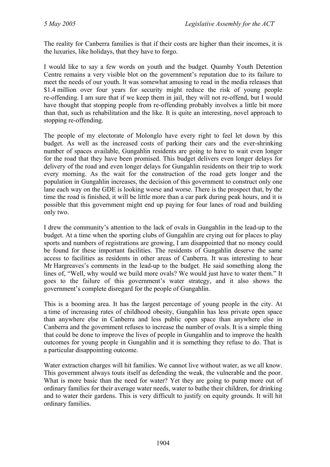The reality for Canberra families is that if their costs are higher than their incomes, it is the luxuries, like holidays, that they have to forgo.

I would like to say a few words on youth and the budget. Quamby Youth Detention Centre remains a very visible blot on the government's reputation due to its failure to meet the needs of our youth. It was somewhat amusing to read in the media releases that \$1.4 million over four years for security might reduce the risk of young people re-offending. I am sure that if we keep them in jail, they will not re-offend, but I would have thought that stopping people from re-offending probably involves a little bit more than that, such as rehabilitation and the like. It is quite an interesting, novel approach to stopping re-offending.

The people of my electorate of Molonglo have every right to feel let down by this budget. As well as the increased costs of parking their cars and the ever-shrinking number of spaces available, Gungahlin residents are going to have to wait even longer for the road that they have been promised. This budget delivers even longer delays for delivery of the road and even longer delays for Gungahlin residents on their trip to work every morning. As the wait for the construction of the road gets longer and the population in Gungahlin increases, the decision of this government to construct only one lane each way on the GDE is looking worse and worse. There is the prospect that, by the time the road is finished, it will be little more than a car park during peak hours, and it is possible that this government might end up paying for four lanes of road and building only two.

I drew the community's attention to the lack of ovals in Gungahlin in the lead-up to the budget. At a time when the sporting clubs of Gungahlin are crying out for places to play sports and numbers of registrations are growing, I am disappointed that no money could be found for these important facilities. The residents of Gungahlin deserve the same access to facilities as residents in other areas of Canberra. It was interesting to hear Mr Hargreaves's comments in the lead-up to the budget. He said something along the lines of, "Well, why would we build more ovals? We would just have to water them." It goes to the failure of this government's water strategy, and it also shows the government's complete disregard for the people of Gungahlin.

This is a booming area. It has the largest percentage of young people in the city. At a time of increasing rates of childhood obesity, Gungahlin has less private open space than anywhere else in Canberra and less public open space than anywhere else in Canberra and the government refuses to increase the number of ovals. It is a simple thing that could be done to improve the lives of people in Gungahlin and to improve the health outcomes for young people in Gungahlin and it is something they refuse to do. That is a particular disappointing outcome.

Water extraction charges will hit families. We cannot live without water, as we all know. This government always touts itself as defending the weak, the vulnerable and the poor. What is more basic than the need for water? Yet they are going to pump more out of ordinary families for their average water needs, water to bathe their children, for drinking and to water their gardens. This is very difficult to justify on equity grounds. It will hit ordinary families.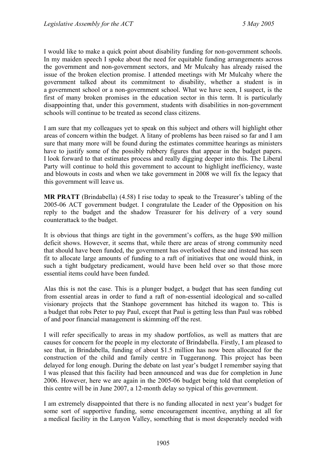I would like to make a quick point about disability funding for non-government schools. In my maiden speech I spoke about the need for equitable funding arrangements across the government and non-government sectors, and Mr Mulcahy has already raised the issue of the broken election promise. I attended meetings with Mr Mulcahy where the government talked about its commitment to disability, whether a student is in a government school or a non-government school. What we have seen, I suspect, is the first of many broken promises in the education sector in this term. It is particularly disappointing that, under this government, students with disabilities in non-government schools will continue to be treated as second class citizens.

I am sure that my colleagues yet to speak on this subject and others will highlight other areas of concern within the budget. A litany of problems has been raised so far and I am sure that many more will be found during the estimates committee hearings as ministers have to justify some of the possibly rubbery figures that appear in the budget papers. I look forward to that estimates process and really digging deeper into this. The Liberal Party will continue to hold this government to account to highlight inefficiency, waste and blowouts in costs and when we take government in 2008 we will fix the legacy that this government will leave us.

**MR PRATT** (Brindabella) (4.58) I rise today to speak to the Treasurer's tabling of the 2005-06 ACT government budget. I congratulate the Leader of the Opposition on his reply to the budget and the shadow Treasurer for his delivery of a very sound counterattack to the budget.

It is obvious that things are tight in the government's coffers, as the huge \$90 million deficit shows. However, it seems that, while there are areas of strong community need that should have been funded, the government has overlooked these and instead has seen fit to allocate large amounts of funding to a raft of initiatives that one would think, in such a tight budgetary predicament, would have been held over so that those more essential items could have been funded.

Alas this is not the case. This is a plunger budget, a budget that has seen funding cut from essential areas in order to fund a raft of non-essential ideological and so-called visionary projects that the Stanhope government has hitched its wagon to. This is a budget that robs Peter to pay Paul, except that Paul is getting less than Paul was robbed of and poor financial management is skimming off the rest.

I will refer specifically to areas in my shadow portfolios, as well as matters that are causes for concern for the people in my electorate of Brindabella. Firstly, I am pleased to see that, in Brindabella, funding of about \$1.5 million has now been allocated for the construction of the child and family centre in Tuggeranong. This project has been delayed for long enough. During the debate on last year's budget I remember saying that I was pleased that this facility had been announced and was due for completion in June 2006. However, here we are again in the 2005-06 budget being told that completion of this centre will be in June 2007, a 12-month delay so typical of this government.

I am extremely disappointed that there is no funding allocated in next year's budget for some sort of supportive funding, some encouragement incentive, anything at all for a medical facility in the Lanyon Valley, something that is most desperately needed with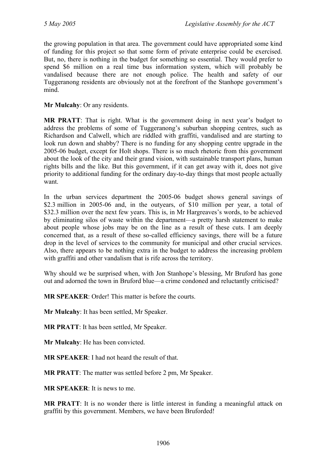the growing population in that area. The government could have appropriated some kind of funding for this project so that some form of private enterprise could be exercised. But, no, there is nothing in the budget for something so essential. They would prefer to spend \$6 million on a real time bus information system, which will probably be vandalised because there are not enough police. The health and safety of our Tuggeranong residents are obviously not at the forefront of the Stanhope government's mind.

**Mr Mulcahy**: Or any residents.

**MR PRATT**: That is right. What is the government doing in next year's budget to address the problems of some of Tuggeranong's suburban shopping centres, such as Richardson and Calwell, which are riddled with graffiti, vandalised and are starting to look run down and shabby? There is no funding for any shopping centre upgrade in the 2005-06 budget, except for Holt shops. There is so much rhetoric from this government about the look of the city and their grand vision, with sustainable transport plans, human rights bills and the like. But this government, if it can get away with it, does not give priority to additional funding for the ordinary day-to-day things that most people actually want.

In the urban services department the 2005-06 budget shows general savings of \$2.3 million in 2005-06 and, in the outyears, of \$10 million per year, a total of \$32.3 million over the next few years. This is, in Mr Hargreaves's words, to be achieved by eliminating silos of waste within the department—a pretty harsh statement to make about people whose jobs may be on the line as a result of these cuts. I am deeply concerned that, as a result of these so-called efficiency savings, there will be a future drop in the level of services to the community for municipal and other crucial services. Also, there appears to be nothing extra in the budget to address the increasing problem with graffiti and other vandalism that is rife across the territory.

Why should we be surprised when, with Jon Stanhope's blessing, Mr Bruford has gone out and adorned the town in Bruford blue—a crime condoned and reluctantly criticised?

**MR SPEAKER**: Order! This matter is before the courts.

**Mr Mulcahy**: It has been settled, Mr Speaker.

**MR PRATT**: It has been settled, Mr Speaker.

**Mr Mulcahy**: He has been convicted.

**MR SPEAKER**: I had not heard the result of that.

**MR PRATT**: The matter was settled before 2 pm, Mr Speaker.

**MR SPEAKER**: It is news to me.

**MR PRATT**: It is no wonder there is little interest in funding a meaningful attack on graffiti by this government. Members, we have been Bruforded!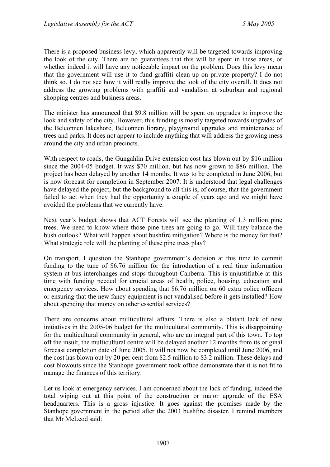There is a proposed business levy, which apparently will be targeted towards improving the look of the city. There are no guarantees that this will be spent in these areas, or whether indeed it will have any noticeable impact on the problem. Does this levy mean that the government will use it to fund graffiti clean-up on private property? I do not think so. I do not see how it will really improve the look of the city overall. It does not address the growing problems with graffiti and vandalism at suburban and regional shopping centres and business areas.

The minister has announced that \$9.8 million will be spent on upgrades to improve the look and safety of the city. However, this funding is mostly targeted towards upgrades of the Belconnen lakeshore, Belconnen library, playground upgrades and maintenance of trees and parks. It does not appear to include anything that will address the growing mess around the city and urban precincts.

With respect to roads, the Gungahlin Drive extension cost has blown out by \$16 million since the 2004-05 budget. It was \$70 million, but has now grown to \$86 million. The project has been delayed by another 14 months. It was to be completed in June 2006, but is now forecast for completion in September 2007. It is understood that legal challenges have delayed the project, but the background to all this is, of course, that the government failed to act when they had the opportunity a couple of years ago and we might have avoided the problems that we currently have.

Next year's budget shows that ACT Forests will see the planting of 1.3 million pine trees. We need to know where those pine trees are going to go. Will they balance the bush outlook? What will happen about bushfire mitigation? Where is the money for that? What strategic role will the planting of these pine trees play?

On transport, I question the Stanhope government's decision at this time to commit funding to the tune of \$6.76 million for the introduction of a real time information system at bus interchanges and stops throughout Canberra. This is unjustifiable at this time with funding needed for crucial areas of health, police, housing, education and emergency services. How about spending that \$6.76 million on 60 extra police officers or ensuring that the new fancy equipment is not vandalised before it gets installed? How about spending that money on other essential services?

There are concerns about multicultural affairs. There is also a blatant lack of new initiatives in the 2005-06 budget for the multicultural community. This is disappointing for the multicultural community in general, who are an integral part of this town. To top off the insult, the multicultural centre will be delayed another 12 months from its original forecast completion date of June 2005. It will not now be completed until June 2006, and the cost has blown out by 20 per cent from \$2.5 million to \$3.2 million. These delays and cost blowouts since the Stanhope government took office demonstrate that it is not fit to manage the finances of this territory.

Let us look at emergency services. I am concerned about the lack of funding, indeed the total wiping out at this point of the construction or major upgrade of the ESA headquarters. This is a gross injustice. It goes against the promises made by the Stanhope government in the period after the 2003 bushfire disaster. I remind members that Mr McLeod said: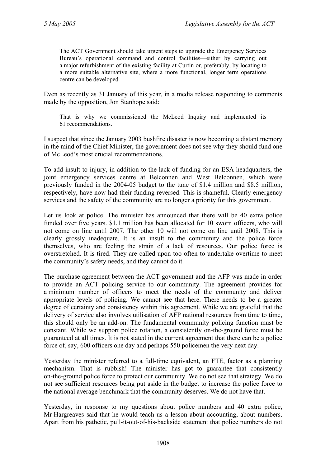The ACT Government should take urgent steps to upgrade the Emergency Services Bureau's operational command and control facilities—either by carrying out a major refurbishment of the existing facility at Curtin or, preferably, by locating to a more suitable alternative site, where a more functional, longer term operations centre can be developed.

Even as recently as 31 January of this year, in a media release responding to comments made by the opposition, Jon Stanhope said:

That is why we commissioned the McLeod Inquiry and implemented its 61 recommendations.

I suspect that since the January 2003 bushfire disaster is now becoming a distant memory in the mind of the Chief Minister, the government does not see why they should fund one of McLeod's most crucial recommendations.

To add insult to injury, in addition to the lack of funding for an ESA headquarters, the joint emergency services centre at Belconnen and West Belconnen, which were previously funded in the 2004-05 budget to the tune of \$1.4 million and \$8.5 million, respectively, have now had their funding reversed. This is shameful. Clearly emergency services and the safety of the community are no longer a priority for this government.

Let us look at police. The minister has announced that there will be 40 extra police funded over five years. \$1.1 million has been allocated for 10 sworn officers, who will not come on line until 2007. The other 10 will not come on line until 2008. This is clearly grossly inadequate. It is an insult to the community and the police force themselves, who are feeling the strain of a lack of resources. Our police force is overstretched. It is tired. They are called upon too often to undertake overtime to meet the community's safety needs, and they cannot do it.

The purchase agreement between the ACT government and the AFP was made in order to provide an ACT policing service to our community. The agreement provides for a minimum number of officers to meet the needs of the community and deliver appropriate levels of policing. We cannot see that here. There needs to be a greater degree of certainty and consistency within this agreement. While we are grateful that the delivery of service also involves utilisation of AFP national resources from time to time, this should only be an add-on. The fundamental community policing function must be constant. While we support police rotation, a consistently on-the-ground force must be guaranteed at all times. It is not stated in the current agreement that there can be a police force of, say, 600 officers one day and perhaps 550 policemen the very next day.

Yesterday the minister referred to a full-time equivalent, an FTE, factor as a planning mechanism. That is rubbish! The minister has got to guarantee that consistently on-the-ground police force to protect our community. We do not see that strategy. We do not see sufficient resources being put aside in the budget to increase the police force to the national average benchmark that the community deserves. We do not have that.

Yesterday, in response to my questions about police numbers and 40 extra police, Mr Hargreaves said that he would teach us a lesson about accounting, about numbers. Apart from his pathetic, pull-it-out-of-his-backside statement that police numbers do not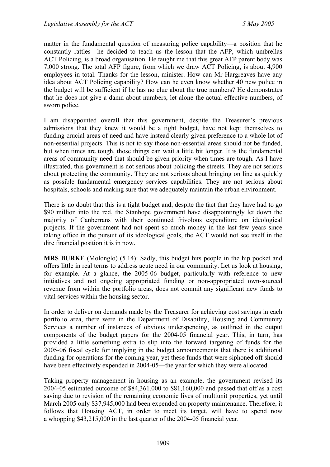matter in the fundamental question of measuring police capability—a position that he constantly rattles—he decided to teach us the lesson that the AFP, which umbrellas ACT Policing, is a broad organisation. He taught me that this great AFP parent body was 7,000 strong. The total AFP figure, from which we draw ACT Policing, is about 4,900 employees in total. Thanks for the lesson, minister. How can Mr Hargreaves have any idea about ACT Policing capability? How can he even know whether 40 new police in the budget will be sufficient if he has no clue about the true numbers? He demonstrates that he does not give a damn about numbers, let alone the actual effective numbers, of sworn police.

I am disappointed overall that this government, despite the Treasurer's previous admissions that they knew it would be a tight budget, have not kept themselves to funding crucial areas of need and have instead clearly given preference to a whole lot of non-essential projects. This is not to say those non-essential areas should not be funded, but when times are tough, those things can wait a little bit longer. It is the fundamental areas of community need that should be given priority when times are tough. As I have illustrated, this government is not serious about policing the streets. They are not serious about protecting the community. They are not serious about bringing on line as quickly as possible fundamental emergency services capabilities. They are not serious about hospitals, schools and making sure that we adequately maintain the urban environment.

There is no doubt that this is a tight budget and, despite the fact that they have had to go \$90 million into the red, the Stanhope government have disappointingly let down the majority of Canberrans with their continued frivolous expenditure on ideological projects. If the government had not spent so much money in the last few years since taking office in the pursuit of its ideological goals, the ACT would not see itself in the dire financial position it is in now.

**MRS BURKE** (Molonglo) (5.14): Sadly, this budget hits people in the hip pocket and offers little in real terms to address acute need in our community. Let us look at housing, for example. At a glance, the 2005-06 budget, particularly with reference to new initiatives and not ongoing appropriated funding or non-appropriated own-sourced revenue from within the portfolio areas, does not commit any significant new funds to vital services within the housing sector.

In order to deliver on demands made by the Treasurer for achieving cost savings in each portfolio area, there were in the Department of Disability, Housing and Community Services a number of instances of obvious underspending, as outlined in the output components of the budget papers for the 2004-05 financial year. This, in turn, has provided a little something extra to slip into the forward targeting of funds for the 2005-06 fiscal cycle for implying in the budget announcements that there is additional funding for operations for the coming year, yet these funds that were siphoned off should have been effectively expended in 2004-05—the year for which they were allocated.

Taking property management in housing as an example, the government revised its 2004-05 estimated outcome of \$84,361,000 to \$81,160,000 and passed that off as a cost saving due to revision of the remaining economic lives of multiunit properties, yet until March 2005 only \$37,945,000 had been expended on property maintenance. Therefore, it follows that Housing ACT, in order to meet its target, will have to spend now a whopping \$43,215,000 in the last quarter of the 2004-05 financial year.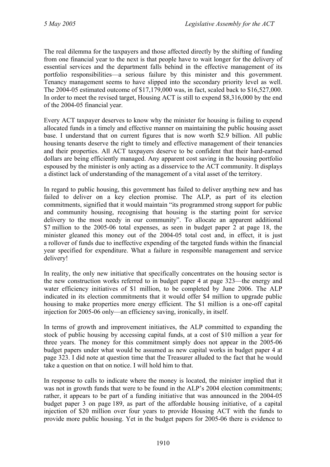The real dilemma for the taxpayers and those affected directly by the shifting of funding from one financial year to the next is that people have to wait longer for the delivery of essential services and the department falls behind in the effective management of its portfolio responsibilities—a serious failure by this minister and this government. Tenancy management seems to have slipped into the secondary priority level as well. The 2004-05 estimated outcome of \$17,179,000 was, in fact, scaled back to \$16,527,000. In order to meet the revised target, Housing ACT is still to expend \$8,316,000 by the end of the 2004-05 financial year.

Every ACT taxpayer deserves to know why the minister for housing is failing to expend allocated funds in a timely and effective manner on maintaining the public housing asset base. I understand that on current figures that is now worth \$2.9 billion. All public housing tenants deserve the right to timely and effective management of their tenancies and their properties. All ACT taxpayers deserve to be confident that their hard-earned dollars are being efficiently managed. Any apparent cost saving in the housing portfolio espoused by the minister is only acting as a disservice to the ACT community. It displays a distinct lack of understanding of the management of a vital asset of the territory.

In regard to public housing, this government has failed to deliver anything new and has failed to deliver on a key election promise. The ALP, as part of its election commitments, signified that it would maintain "its programmed strong support for public and community housing, recognising that housing is the starting point for service delivery to the most needy in our community". To allocate an apparent additional \$7 million to the 2005-06 total expenses, as seen in budget paper 2 at page 18, the minister gleaned this money out of the 2004-05 total cost and, in effect, it is just a rollover of funds due to ineffective expending of the targeted funds within the financial year specified for expenditure. What a failure in responsible management and service delivery!

In reality, the only new initiative that specifically concentrates on the housing sector is the new construction works referred to in budget paper 4 at page 323—the energy and water efficiency initiatives of \$1 million, to be completed by June 2006. The ALP indicated in its election commitments that it would offer \$4 million to upgrade public housing to make properties more energy efficient. The \$1 million is a one-off capital injection for 2005-06 only—an efficiency saving, ironically, in itself.

In terms of growth and improvement initiatives, the ALP committed to expanding the stock of public housing by accessing capital funds, at a cost of \$10 million a year for three years. The money for this commitment simply does not appear in the 2005-06 budget papers under what would be assumed as new capital works in budget paper 4 at page 323. I did note at question time that the Treasurer alluded to the fact that he would take a question on that on notice. I will hold him to that.

In response to calls to indicate where the money is located, the minister implied that it was not in growth funds that were to be found in the ALP's 2004 election commitments; rather, it appears to be part of a funding initiative that was announced in the 2004-05 budget paper 3 on page 189, as part of the affordable housing initiative, of a capital injection of \$20 million over four years to provide Housing ACT with the funds to provide more public housing. Yet in the budget papers for 2005-06 there is evidence to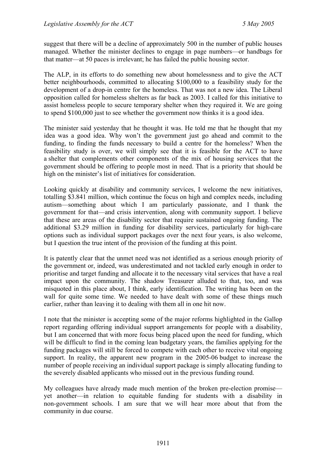suggest that there will be a decline of approximately 500 in the number of public houses managed. Whether the minister declines to engage in page numbers—or handbags for that matter—at 50 paces is irrelevant; he has failed the public housing sector.

The ALP, in its efforts to do something new about homelessness and to give the ACT better neighbourhoods, committed to allocating \$100,000 to a feasibility study for the development of a drop-in centre for the homeless. That was not a new idea. The Liberal opposition called for homeless shelters as far back as 2003. I called for this initiative to assist homeless people to secure temporary shelter when they required it. We are going to spend \$100,000 just to see whether the government now thinks it is a good idea.

The minister said yesterday that he thought it was. He told me that he thought that my idea was a good idea. Why won't the government just go ahead and commit to the funding, to finding the funds necessary to build a centre for the homeless? When the feasibility study is over, we will simply see that it is feasible for the ACT to have a shelter that complements other components of the mix of housing services that the government should be offering to people most in need. That is a priority that should be high on the minister's list of initiatives for consideration.

Looking quickly at disability and community services, I welcome the new initiatives, totalling \$3.841 million, which continue the focus on high and complex needs, including autism—something about which I am particularly passionate, and I thank the government for that—and crisis intervention, along with community support. I believe that these are areas of the disability sector that require sustained ongoing funding. The additional \$3.29 million in funding for disability services, particularly for high-care options such as individual support packages over the next four years, is also welcome, but I question the true intent of the provision of the funding at this point.

It is patently clear that the unmet need was not identified as a serious enough priority of the government or, indeed, was underestimated and not tackled early enough in order to prioritise and target funding and allocate it to the necessary vital services that have a real impact upon the community. The shadow Treasurer alluded to that, too, and was misquoted in this place about, I think, early identification. The writing has been on the wall for quite some time. We needed to have dealt with some of these things much earlier, rather than leaving it to dealing with them all in one hit now.

I note that the minister is accepting some of the major reforms highlighted in the Gallop report regarding offering individual support arrangements for people with a disability, but I am concerned that with more focus being placed upon the need for funding, which will be difficult to find in the coming lean budgetary years, the families applying for the funding packages will still be forced to compete with each other to receive vital ongoing support. In reality, the apparent new program in the 2005-06 budget to increase the number of people receiving an individual support package is simply allocating funding to the severely disabled applicants who missed out in the previous funding round.

My colleagues have already made much mention of the broken pre-election promise yet another—in relation to equitable funding for students with a disability in non-government schools. I am sure that we will hear more about that from the community in due course.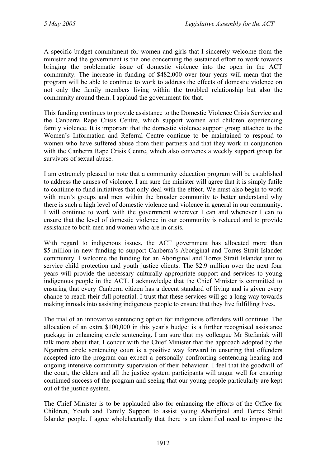A specific budget commitment for women and girls that I sincerely welcome from the minister and the government is the one concerning the sustained effort to work towards bringing the problematic issue of domestic violence into the open in the ACT community. The increase in funding of \$482,000 over four years will mean that the program will be able to continue to work to address the effects of domestic violence on not only the family members living within the troubled relationship but also the community around them. I applaud the government for that.

This funding continues to provide assistance to the Domestic Violence Crisis Service and the Canberra Rape Crisis Centre, which support women and children experiencing family violence. It is important that the domestic violence support group attached to the Women's Information and Referral Centre continue to be maintained to respond to women who have suffered abuse from their partners and that they work in conjunction with the Canberra Rape Crisis Centre, which also convenes a weekly support group for survivors of sexual abuse.

I am extremely pleased to note that a community education program will be established to address the causes of violence. I am sure the minister will agree that it is simply futile to continue to fund initiatives that only deal with the effect. We must also begin to work with men's groups and men within the broader community to better understand why there is such a high level of domestic violence and violence in general in our community. I will continue to work with the government wherever I can and whenever I can to ensure that the level of domestic violence in our community is reduced and to provide assistance to both men and women who are in crisis.

With regard to indigenous issues, the ACT government has allocated more than \$5 million in new funding to support Canberra's Aboriginal and Torres Strait Islander community. I welcome the funding for an Aboriginal and Torres Strait Islander unit to service child protection and youth justice clients. The \$2.9 million over the next four years will provide the necessary culturally appropriate support and services to young indigenous people in the ACT. I acknowledge that the Chief Minister is committed to ensuring that every Canberra citizen has a decent standard of living and is given every chance to reach their full potential. I trust that these services will go a long way towards making inroads into assisting indigenous people to ensure that they live fulfilling lives.

The trial of an innovative sentencing option for indigenous offenders will continue. The allocation of an extra \$100,000 in this year's budget is a further recognised assistance package in enhancing circle sentencing. I am sure that my colleague Mr Stefaniak will talk more about that. I concur with the Chief Minister that the approach adopted by the Ngambra circle sentencing court is a positive way forward in ensuring that offenders accepted into the program can expect a personally confronting sentencing hearing and ongoing intensive community supervision of their behaviour. I feel that the goodwill of the court, the elders and all the justice system participants will augur well for ensuring continued success of the program and seeing that our young people particularly are kept out of the justice system.

The Chief Minister is to be applauded also for enhancing the efforts of the Office for Children, Youth and Family Support to assist young Aboriginal and Torres Strait Islander people. I agree wholeheartedly that there is an identified need to improve the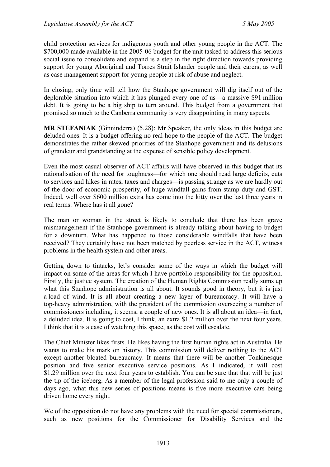child protection services for indigenous youth and other young people in the ACT. The \$700,000 made available in the 2005-06 budget for the unit tasked to address this serious social issue to consolidate and expand is a step in the right direction towards providing support for young Aboriginal and Torres Strait Islander people and their carers, as well as case management support for young people at risk of abuse and neglect.

In closing, only time will tell how the Stanhope government will dig itself out of the deplorable situation into which it has plunged every one of us—a massive \$91 million debt. It is going to be a big ship to turn around. This budget from a government that promised so much to the Canberra community is very disappointing in many aspects.

**MR STEFANIAK** (Ginninderra) (5.28): Mr Speaker, the only ideas in this budget are deluded ones. It is a budget offering no real hope to the people of the ACT. The budget demonstrates the rather skewed priorities of the Stanhope government and its delusions of grandeur and grandstanding at the expense of sensible policy development.

Even the most casual observer of ACT affairs will have observed in this budget that its rationalisation of the need for toughness—for which one should read large deficits, cuts to services and hikes in rates, taxes and charges—is passing strange as we are hardly out of the door of economic prosperity, of huge windfall gains from stamp duty and GST. Indeed, well over \$600 million extra has come into the kitty over the last three years in real terms. Where has it all gone?

The man or woman in the street is likely to conclude that there has been grave mismanagement if the Stanhope government is already talking about having to budget for a downturn. What has happened to those considerable windfalls that have been received? They certainly have not been matched by peerless service in the ACT, witness problems in the health system and other areas.

Getting down to tintacks, let's consider some of the ways in which the budget will impact on some of the areas for which I have portfolio responsibility for the opposition. Firstly, the justice system. The creation of the Human Rights Commission really sums up what this Stanhope administration is all about. It sounds good in theory, but it is just a load of wind. It is all about creating a new layer of bureaucracy. It will have a top-heavy administration, with the president of the commission overseeing a number of commissioners including, it seems, a couple of new ones. It is all about an idea—in fact, a deluded idea. It is going to cost, I think, an extra \$1.2 million over the next four years. I think that it is a case of watching this space, as the cost will escalate.

The Chief Minister likes firsts. He likes having the first human rights act in Australia. He wants to make his mark on history. This commission will deliver nothing to the ACT except another bloated bureaucracy. It means that there will be another Tonkinesque position and five senior executive service positions. As I indicated, it will cost \$1.29 million over the next four years to establish. You can be sure that that will be just the tip of the iceberg. As a member of the legal profession said to me only a couple of days ago, what this new series of positions means is five more executive cars being driven home every night.

We of the opposition do not have any problems with the need for special commissioners, such as new positions for the Commissioner for Disability Services and the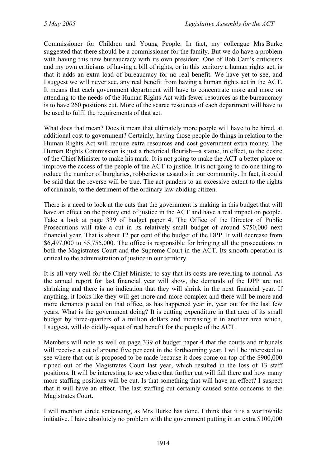Commissioner for Children and Young People. In fact, my colleague Mrs Burke suggested that there should be a commissioner for the family. But we do have a problem with having this new bureaucracy with its own president. One of Bob Carr's criticisms and my own criticisms of having a bill of rights, or in this territory a human rights act, is that it adds an extra load of bureaucracy for no real benefit. We have yet to see, and I suggest we will never see, any real benefit from having a human rights act in the ACT. It means that each government department will have to concentrate more and more on attending to the needs of the Human Rights Act with fewer resources as the bureaucracy is to have 260 positions cut. More of the scarce resources of each department will have to be used to fulfil the requirements of that act.

What does that mean? Does it mean that ultimately more people will have to be hired, at additional cost to government? Certainly, having those people do things in relation to the Human Rights Act will require extra resources and cost government extra money. The Human Rights Commission is just a rhetorical flourish—a statue, in effect, to the desire of the Chief Minister to make his mark. It is not going to make the ACT a better place or improve the access of the people of the ACT to justice. It is not going to do one thing to reduce the number of burglaries, robberies or assaults in our community. In fact, it could be said that the reverse will be true. The act panders to an excessive extent to the rights of criminals, to the detriment of the ordinary law-abiding citizen.

There is a need to look at the cuts that the government is making in this budget that will have an effect on the pointy end of justice in the ACT and have a real impact on people. Take a look at page 339 of budget paper 4. The Office of the Director of Public Prosecutions will take a cut in its relatively small budget of around \$750,000 next financial year. That is about 12 per cent of the budget of the DPP. It will decrease from \$6,497,000 to \$5,755,000. The office is responsible for bringing all the prosecutions in both the Magistrates Court and the Supreme Court in the ACT. Its smooth operation is critical to the administration of justice in our territory.

It is all very well for the Chief Minister to say that its costs are reverting to normal. As the annual report for last financial year will show, the demands of the DPP are not shrinking and there is no indication that they will shrink in the next financial year. If anything, it looks like they will get more and more complex and there will be more and more demands placed on that office, as has happened year in, year out for the last few years. What is the government doing? It is cutting expenditure in that area of its small budget by three-quarters of a million dollars and increasing it in another area which, I suggest, will do diddly-squat of real benefit for the people of the ACT.

Members will note as well on page 339 of budget paper 4 that the courts and tribunals will receive a cut of around five per cent in the forthcoming year. I will be interested to see where that cut is proposed to be made because it does come on top of the \$900,000 ripped out of the Magistrates Court last year, which resulted in the loss of 13 staff positions. It will be interesting to see where that further cut will fall there and how many more staffing positions will be cut. Is that something that will have an effect? I suspect that it will have an effect. The last staffing cut certainly caused some concerns to the Magistrates Court.

I will mention circle sentencing, as Mrs Burke has done. I think that it is a worthwhile initiative. I have absolutely no problem with the government putting in an extra \$100,000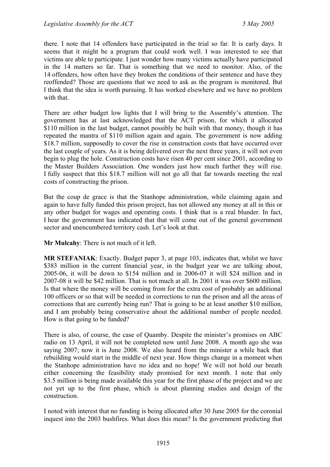there. I note that 14 offenders have participated in the trial so far. It is early days. It seems that it might be a program that could work well. I was interested to see that victims are able to participate. I just wonder how many victims actually have participated in the 14 matters so far. That is something that we need to monitor. Also, of the 14 offenders, how often have they broken the conditions of their sentence and have they reoffended? Those are questions that we need to ask as the program is monitored. But I think that the idea is worth pursuing. It has worked elsewhere and we have no problem with that.

There are other budget low lights that I will bring to the Assembly's attention. The government has at last acknowledged that the ACT prison, for which it allocated \$110 million in the last budget, cannot possibly be built with that money, though it has repeated the mantra of \$110 million again and again. The government is now adding \$18.7 million, supposedly to cover the rise in construction costs that have occurred over the last couple of years. As it is being delivered over the next three years, it will not even begin to plug the hole. Construction costs have risen 40 per cent since 2001, according to the Master Builders Association. One wonders just how much further they will rise. I fully suspect that this \$18.7 million will not go all that far towards meeting the real costs of constructing the prison.

But the coup de grace is that the Stanhope administration, while claiming again and again to have fully funded this prison project, has not allowed any money at all in this or any other budget for wages and operating costs. I think that is a real blunder. In fact, I hear the government has indicated that that will come out of the general government sector and unencumbered territory cash. Let's look at that.

**Mr Mulcahy**: There is not much of it left.

**MR STEFANIAK**: Exactly. Budget paper 3, at page 103, indicates that, whilst we have \$383 million in the current financial year, in the budget year we are talking about, 2005-06, it will be down to \$154 million and in 2006-07 it will \$24 million and in 2007-08 it will be \$42 million. That is not much at all. In 2001 it was over \$600 million. Is that where the money will be coming from for the extra cost of probably an additional 100 officers or so that will be needed in corrections to run the prison and all the areas of corrections that are currently being run? That is going to be at least another \$10 million, and I am probably being conservative about the additional number of people needed. How is that going to be funded?

There is also, of course, the case of Quamby. Despite the minister's promises on ABC radio on 13 April, it will not be completed now until June 2008. A month ago she was saying 2007; now it is June 2008. We also heard from the minister a while back that rebuilding would start in the middle of next year. How things change in a moment when the Stanhope administration have no idea and no hope! We will not hold our breath either concerning the feasibility study promised for next month. I note that only \$3.5 million is being made available this year for the first phase of the project and we are not yet up to the first phase, which is about planning studies and design of the construction.

I noted with interest that no funding is being allocated after 30 June 2005 for the coronial inquest into the 2003 bushfires. What does this mean? Is the government predicting that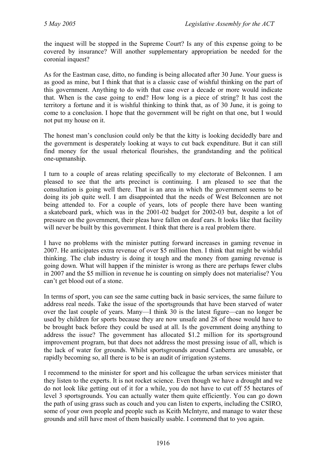the inquest will be stopped in the Supreme Court? Is any of this expense going to be covered by insurance? Will another supplementary appropriation be needed for the coronial inquest?

As for the Eastman case, ditto, no funding is being allocated after 30 June. Your guess is as good as mine, but I think that that is a classic case of wishful thinking on the part of this government. Anything to do with that case over a decade or more would indicate that. When is the case going to end? How long is a piece of string? It has cost the territory a fortune and it is wishful thinking to think that, as of 30 June, it is going to come to a conclusion. I hope that the government will be right on that one, but I would not put my house on it.

The honest man's conclusion could only be that the kitty is looking decidedly bare and the government is desperately looking at ways to cut back expenditure. But it can still find money for the usual rhetorical flourishes, the grandstanding and the political one-upmanship.

I turn to a couple of areas relating specifically to my electorate of Belconnen. I am pleased to see that the arts precinct is continuing. I am pleased to see that the consultation is going well there. That is an area in which the government seems to be doing its job quite well. I am disappointed that the needs of West Belconnen are not being attended to. For a couple of years, lots of people there have been wanting a skateboard park, which was in the 2001-02 budget for 2002-03 but, despite a lot of pressure on the government, their pleas have fallen on deaf ears. It looks like that facility will never be built by this government. I think that there is a real problem there.

I have no problems with the minister putting forward increases in gaming revenue in 2007. He anticipates extra revenue of over \$5 million then. I think that might be wishful thinking. The club industry is doing it tough and the money from gaming revenue is going down. What will happen if the minister is wrong as there are perhaps fewer clubs in 2007 and the \$5 million in revenue he is counting on simply does not materialise? You can't get blood out of a stone.

In terms of sport, you can see the same cutting back in basic services, the same failure to address real needs. Take the issue of the sportsgrounds that have been starved of water over the last couple of years. Many—I think 30 is the latest figure—can no longer be used by children for sports because they are now unsafe and 28 of those would have to be brought back before they could be used at all. Is the government doing anything to address the issue? The government has allocated \$1.2 million for its sportsground improvement program, but that does not address the most pressing issue of all, which is the lack of water for grounds. Whilst sportsgrounds around Canberra are unusable, or rapidly becoming so, all there is to be is an audit of irrigation systems.

I recommend to the minister for sport and his colleague the urban services minister that they listen to the experts. It is not rocket science. Even though we have a drought and we do not look like getting out of it for a while, you do not have to cut off 55 hectares of level 3 sportsgrounds. You can actually water them quite efficiently. You can go down the path of using grass such as couch and you can listen to experts, including the CSIRO, some of your own people and people such as Keith McIntyre, and manage to water these grounds and still have most of them basically usable. I commend that to you again.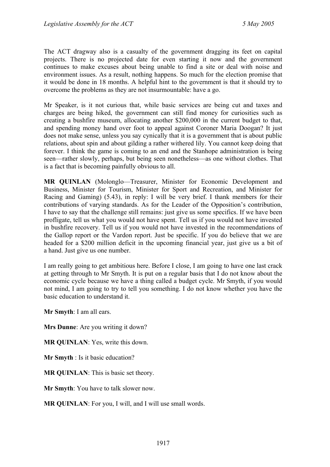The ACT dragway also is a casualty of the government dragging its feet on capital projects. There is no projected date for even starting it now and the government continues to make excuses about being unable to find a site or deal with noise and environment issues. As a result, nothing happens. So much for the election promise that it would be done in 18 months. A helpful hint to the government is that it should try to overcome the problems as they are not insurmountable: have a go.

Mr Speaker, is it not curious that, while basic services are being cut and taxes and charges are being hiked, the government can still find money for curiosities such as creating a bushfire museum, allocating another \$200,000 in the current budget to that, and spending money hand over foot to appeal against Coroner Maria Doogan? It just does not make sense, unless you say cynically that it is a government that is about public relations, about spin and about gilding a rather withered lily. You cannot keep doing that forever. I think the game is coming to an end and the Stanhope administration is being seen—rather slowly, perhaps, but being seen nonetheless—as one without clothes. That is a fact that is becoming painfully obvious to all.

**MR QUINLAN** (Molonglo—Treasurer, Minister for Economic Development and Business, Minister for Tourism, Minister for Sport and Recreation, and Minister for Racing and Gaming) (5.43), in reply: I will be very brief. I thank members for their contributions of varying standards. As for the Leader of the Opposition's contribution, I have to say that the challenge still remains: just give us some specifics. If we have been profligate, tell us what you would not have spent. Tell us if you would not have invested in bushfire recovery. Tell us if you would not have invested in the recommendations of the Gallop report or the Vardon report. Just be specific. If you do believe that we are headed for a \$200 million deficit in the upcoming financial year, just give us a bit of a hand. Just give us one number.

I am really going to get ambitious here. Before I close, I am going to have one last crack at getting through to Mr Smyth. It is put on a regular basis that I do not know about the economic cycle because we have a thing called a budget cycle. Mr Smyth, if you would not mind, I am going to try to tell you something. I do not know whether you have the basic education to understand it.

**Mr Smyth**: I am all ears.

**Mrs Dunne**: Are you writing it down?

**MR QUINLAN**: Yes, write this down.

**Mr Smyth** : Is it basic education?

**MR QUINLAN**: This is basic set theory.

**Mr Smyth**: You have to talk slower now.

**MR QUINLAN**: For you, I will, and I will use small words.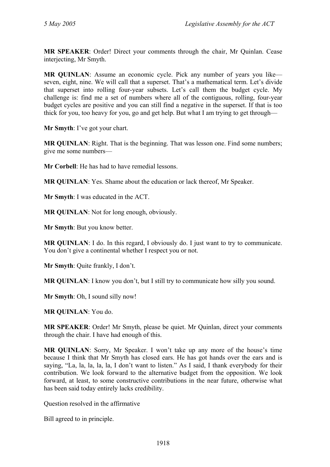**MR SPEAKER**: Order! Direct your comments through the chair, Mr Quinlan. Cease interjecting, Mr Smyth.

**MR QUINLAN**: Assume an economic cycle. Pick any number of years you like seven, eight, nine. We will call that a superset. That's a mathematical term. Let's divide that superset into rolling four-year subsets. Let's call them the budget cycle. My challenge is: find me a set of numbers where all of the contiguous, rolling, four-year budget cycles are positive and you can still find a negative in the superset. If that is too thick for you, too heavy for you, go and get help. But what I am trying to get through—

**Mr Smyth**: I've got your chart.

**MR QUINLAN:** Right. That is the beginning. That was lesson one. Find some numbers; give me some numbers—

**Mr Corbell**: He has had to have remedial lessons.

**MR QUINLAN**: Yes. Shame about the education or lack thereof, Mr Speaker.

**Mr Smyth**: I was educated in the ACT.

**MR QUINLAN**: Not for long enough, obviously.

**Mr Smyth**: But you know better.

**MR QUINLAN**: I do. In this regard, I obviously do. I just want to try to communicate. You don't give a continental whether I respect you or not.

**Mr Smyth**: Quite frankly, I don't.

**MR QUINLAN:** I know you don't, but I still try to communicate how silly you sound.

**Mr Smyth**: Oh, I sound silly now!

**MR QUINLAN**: You do.

**MR SPEAKER**: Order! Mr Smyth, please be quiet. Mr Quinlan, direct your comments through the chair. I have had enough of this.

**MR QUINLAN**: Sorry, Mr Speaker. I won't take up any more of the house's time because I think that Mr Smyth has closed ears. He has got hands over the ears and is saying, "La, la, la, la, la, I don't want to listen." As I said, I thank everybody for their contribution. We look forward to the alternative budget from the opposition. We look forward, at least, to some constructive contributions in the near future, otherwise what has been said today entirely lacks credibility.

Question resolved in the affirmative

Bill agreed to in principle.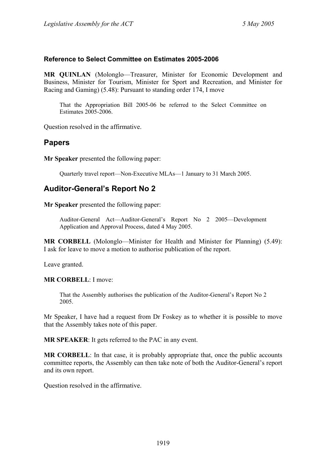### **Reference to Select Committee on Estimates 2005-2006**

**MR QUINLAN** (Molonglo—Treasurer, Minister for Economic Development and Business, Minister for Tourism, Minister for Sport and Recreation, and Minister for Racing and Gaming) (5.48): Pursuant to standing order 174, I move

That the Appropriation Bill 2005-06 be referred to the Select Committee on Estimates 2005-2006.

Question resolved in the affirmative.

# **Papers**

**Mr Speaker** presented the following paper:

Quarterly travel report—Non-Executive MLAs—1 January to 31 March 2005.

# **Auditor-General's Report No 2**

**Mr Speaker** presented the following paper:

Auditor-General Act—Auditor-General's Report No 2 2005—Development Application and Approval Process, dated 4 May 2005.

**MR CORBELL** (Molonglo—Minister for Health and Minister for Planning) (5.49): I ask for leave to move a motion to authorise publication of the report.

Leave granted.

**MR CORBELL**: I move:

That the Assembly authorises the publication of the Auditor-General's Report No 2 2005.

Mr Speaker, I have had a request from Dr Foskey as to whether it is possible to move that the Assembly takes note of this paper.

**MR SPEAKER**: It gets referred to the PAC in any event.

**MR CORBELL**: In that case, it is probably appropriate that, once the public accounts committee reports, the Assembly can then take note of both the Auditor-General's report and its own report.

Question resolved in the affirmative.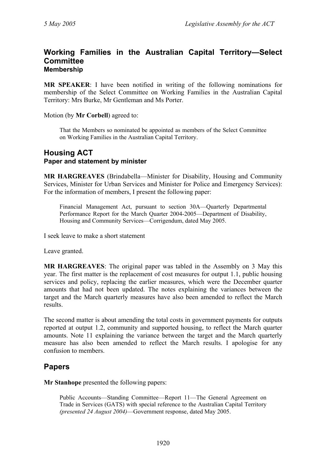### **Working Families in the Australian Capital Territory—Select Committee Membership**

**MR SPEAKER**: I have been notified in writing of the following nominations for membership of the Select Committee on Working Families in the Australian Capital Territory: Mrs Burke, Mr Gentleman and Ms Porter.

Motion (by **Mr Corbell**) agreed to:

That the Members so nominated be appointed as members of the Select Committee on Working Families in the Australian Capital Territory.

## **Housing ACT Paper and statement by minister**

**MR HARGREAVES** (Brindabella—Minister for Disability, Housing and Community Services, Minister for Urban Services and Minister for Police and Emergency Services): For the information of members, I present the following paper:

Financial Management Act, pursuant to section 30A—Quarterly Departmental Performance Report for the March Quarter 2004-2005—Department of Disability, Housing and Community Services—Corrigendum, dated May 2005.

I seek leave to make a short statement

Leave granted.

**MR HARGREAVES**: The original paper was tabled in the Assembly on 3 May this year. The first matter is the replacement of cost measures for output 1.1, public housing services and policy, replacing the earlier measures, which were the December quarter amounts that had not been updated. The notes explaining the variances between the target and the March quarterly measures have also been amended to reflect the March results.

The second matter is about amending the total costs in government payments for outputs reported at output 1.2, community and supported housing, to reflect the March quarter amounts. Note 11 explaining the variance between the target and the March quarterly measure has also been amended to reflect the March results. I apologise for any confusion to members.

# **Papers**

**Mr Stanhope** presented the following papers:

Public Accounts—Standing Committee—Report 11—The General Agreement on Trade in Services (GATS) with special reference to the Australian Capital Territory *(presented 24 August 2004)*—Government response, dated May 2005.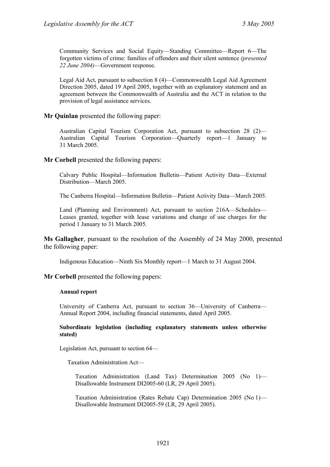Community Services and Social Equity—Standing Committee—Report 6—The forgotten victims of crime: families of offenders and their silent sentence *(presented 22 June 2004)*—Government response.

Legal Aid Act, pursuant to subsection 8 (4)—Commonwealth Legal Aid Agreement Direction 2005, dated 19 April 2005, together with an explanatory statement and an agreement between the Commonwealth of Australia and the ACT in relation to the provision of legal assistance services.

#### **Mr Quinlan** presented the following paper:

Australian Capital Tourism Corporation Act, pursuant to subsection 28 (2)— Australian Capital Tourism Corporation—Quarterly report—1 January to 31 March 2005.

**Mr Corbell** presented the following papers:

Calvary Public Hospital—Information Bulletin—Patient Activity Data—External Distribution—March 2005.

The Canberra Hospital—Information Bulletin—Patient Activity Data—March 2005.

Land (Planning and Environment) Act, pursuant to section 216A—Schedules— Leases granted, together with lease variations and change of use charges for the period 1 January to 31 March 2005.

**Ms Gallagher**, pursuant to the resolution of the Assembly of 24 May 2000, presented the following paper:

Indigenous Education—Ninth Six Monthly report—1 March to 31 August 2004.

**Mr Corbell** presented the following papers:

#### **Annual report**

University of Canberra Act, pursuant to section 36—University of Canberra— Annual Report 2004, including financial statements, dated April 2005.

#### **Subordinate legislation (including explanatory statements unless otherwise stated)**

Legislation Act, pursuant to section 64—

Taxation Administration Act—

Taxation Administration (Land Tax) Determination 2005 (No 1)— Disallowable Instrument DI2005-60 (LR, 29 April 2005).

Taxation Administration (Rates Rebate Cap) Determination 2005 (No 1)— Disallowable Instrument DI2005-59 (LR, 29 April 2005).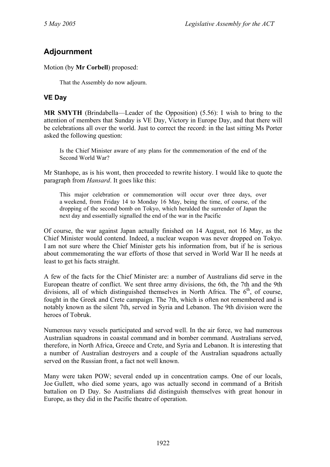# **Adjournment**

Motion (by **Mr Corbell**) proposed:

That the Assembly do now adjourn.

# **VE Day**

**MR SMYTH** (Brindabella—Leader of the Opposition) (5.56): I wish to bring to the attention of members that Sunday is VE Day, Victory in Europe Day, and that there will be celebrations all over the world. Just to correct the record: in the last sitting Ms Porter asked the following question:

Is the Chief Minister aware of any plans for the commemoration of the end of the Second World War?

Mr Stanhope, as is his wont, then proceeded to rewrite history. I would like to quote the paragraph from *Hansard*. It goes like this:

This major celebration or commemoration will occur over three days, over a weekend, from Friday 14 to Monday 16 May, being the time, of course, of the dropping of the second bomb on Tokyo, which heralded the surrender of Japan the next day and essentially signalled the end of the war in the Pacific

Of course, the war against Japan actually finished on 14 August, not 16 May, as the Chief Minister would contend. Indeed, a nuclear weapon was never dropped on Tokyo. I am not sure where the Chief Minister gets his information from, but if he is serious about commemorating the war efforts of those that served in World War II he needs at least to get his facts straight.

A few of the facts for the Chief Minister are: a number of Australians did serve in the European theatre of conflict. We sent three army divisions, the 6th, the 7th and the 9th divisions, all of which distinguished themselves in North Africa. The  $6<sup>th</sup>$ , of course, fought in the Greek and Crete campaign. The 7th, which is often not remembered and is notably known as the silent 7th, served in Syria and Lebanon. The 9th division were the heroes of Tobruk.

Numerous navy vessels participated and served well. In the air force, we had numerous Australian squadrons in coastal command and in bomber command. Australians served, therefore, in North Africa, Greece and Crete, and Syria and Lebanon. It is interesting that a number of Australian destroyers and a couple of the Australian squadrons actually served on the Russian front, a fact not well known.

Many were taken POW; several ended up in concentration camps. One of our locals, Joe Gullett, who died some years, ago was actually second in command of a British battalion on D Day. So Australians did distinguish themselves with great honour in Europe, as they did in the Pacific theatre of operation.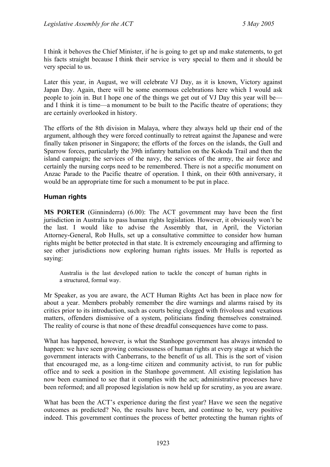I think it behoves the Chief Minister, if he is going to get up and make statements, to get his facts straight because I think their service is very special to them and it should be very special to us.

Later this year, in August, we will celebrate VJ Day, as it is known, Victory against Japan Day. Again, there will be some enormous celebrations here which I would ask people to join in. But I hope one of the things we get out of VJ Day this year will be and I think it is time—a monument to be built to the Pacific theatre of operations; they are certainly overlooked in history.

The efforts of the 8th division in Malaya, where they always held up their end of the argument, although they were forced continually to retreat against the Japanese and were finally taken prisoner in Singapore; the efforts of the forces on the islands, the Gull and Sparrow forces, particularly the 39th infantry battalion on the Kokoda Trail and then the island campaign; the services of the navy, the services of the army, the air force and certainly the nursing corps need to be remembered. There is not a specific monument on Anzac Parade to the Pacific theatre of operation. I think, on their 60th anniversary, it would be an appropriate time for such a monument to be put in place.

### **Human rights**

**MS PORTER** (Ginninderra) (6.00): The ACT government may have been the first jurisdiction in Australia to pass human rights legislation. However, it obviously won't be the last. I would like to advise the Assembly that, in April, the Victorian Attorney-General, Rob Hulls, set up a consultative committee to consider how human rights might be better protected in that state. It is extremely encouraging and affirming to see other jurisdictions now exploring human rights issues. Mr Hulls is reported as saying:

Australia is the last developed nation to tackle the concept of human rights in a structured, formal way.

Mr Speaker, as you are aware, the ACT Human Rights Act has been in place now for about a year. Members probably remember the dire warnings and alarms raised by its critics prior to its introduction, such as courts being clogged with frivolous and vexatious matters, offenders dismissive of a system, politicians finding themselves constrained. The reality of course is that none of these dreadful consequences have come to pass.

What has happened, however, is what the Stanhope government has always intended to happen: we have seen growing consciousness of human rights at every stage at which the government interacts with Canberrans, to the benefit of us all. This is the sort of vision that encouraged me, as a long-time citizen and community activist, to run for public office and to seek a position in the Stanhope government. All existing legislation has now been examined to see that it complies with the act; administrative processes have been reformed; and all proposed legislation is now held up for scrutiny, as you are aware.

What has been the ACT's experience during the first year? Have we seen the negative outcomes as predicted? No, the results have been, and continue to be, very positive indeed. This government continues the process of better protecting the human rights of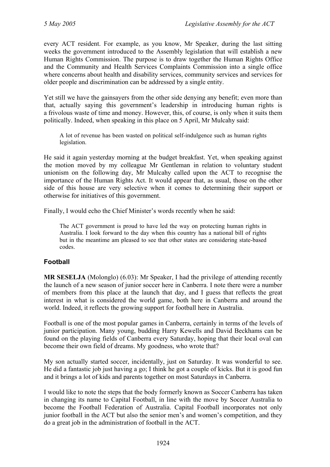every ACT resident. For example, as you know, Mr Speaker, during the last sitting weeks the government introduced to the Assembly legislation that will establish a new Human Rights Commission. The purpose is to draw together the Human Rights Office and the Community and Health Services Complaints Commission into a single office where concerns about health and disability services, community services and services for older people and discrimination can be addressed by a single entity.

Yet still we have the gainsayers from the other side denying any benefit; even more than that, actually saying this government's leadership in introducing human rights is a frivolous waste of time and money. However, this, of course, is only when it suits them politically. Indeed, when speaking in this place on 5 April, Mr Mulcahy said:

A lot of revenue has been wasted on political self-indulgence such as human rights legislation.

He said it again yesterday morning at the budget breakfast. Yet, when speaking against the motion moved by my colleague Mr Gentleman in relation to voluntary student unionism on the following day, Mr Mulcahy called upon the ACT to recognise the importance of the Human Rights Act. It would appear that, as usual, those on the other side of this house are very selective when it comes to determining their support or otherwise for initiatives of this government.

Finally, I would echo the Chief Minister's words recently when he said:

The ACT government is proud to have led the way on protecting human rights in Australia. I look forward to the day when this country has a national bill of rights but in the meantime am pleased to see that other states are considering state-based codes.

# **Football**

**MR SESELJA** (Molonglo) (6.03): Mr Speaker, I had the privilege of attending recently the launch of a new season of junior soccer here in Canberra. I note there were a number of members from this place at the launch that day, and I guess that reflects the great interest in what is considered the world game, both here in Canberra and around the world. Indeed, it reflects the growing support for football here in Australia.

Football is one of the most popular games in Canberra, certainly in terms of the levels of junior participation. Many young, budding Harry Kewells and David Beckhams can be found on the playing fields of Canberra every Saturday, hoping that their local oval can become their own field of dreams. My goodness, who wrote that?

My son actually started soccer, incidentally, just on Saturday. It was wonderful to see. He did a fantastic job just having a go; I think he got a couple of kicks. But it is good fun and it brings a lot of kids and parents together on most Saturdays in Canberra.

I would like to note the steps that the body formerly known as Soccer Canberra has taken in changing its name to Capital Football, in line with the move by Soccer Australia to become the Football Federation of Australia. Capital Football incorporates not only junior football in the ACT but also the senior men's and women's competition, and they do a great job in the administration of football in the ACT.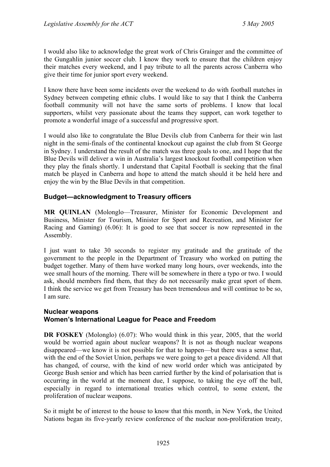I would also like to acknowledge the great work of Chris Grainger and the committee of the Gungahlin junior soccer club. I know they work to ensure that the children enjoy their matches every weekend, and I pay tribute to all the parents across Canberra who give their time for junior sport every weekend.

I know there have been some incidents over the weekend to do with football matches in Sydney between competing ethnic clubs. I would like to say that I think the Canberra football community will not have the same sorts of problems. I know that local supporters, whilst very passionate about the teams they support, can work together to promote a wonderful image of a successful and progressive sport.

I would also like to congratulate the Blue Devils club from Canberra for their win last night in the semi-finals of the continental knockout cup against the club from St George in Sydney. I understand the result of the match was three goals to one, and I hope that the Blue Devils will deliver a win in Australia's largest knockout football competition when they play the finals shortly. I understand that Capital Football is seeking that the final match be played in Canberra and hope to attend the match should it be held here and enjoy the win by the Blue Devils in that competition.

### **Budget—acknowledgment to Treasury officers**

**MR QUINLAN** (Molonglo—Treasurer, Minister for Economic Development and Business, Minister for Tourism, Minister for Sport and Recreation, and Minister for Racing and Gaming) (6.06): It is good to see that soccer is now represented in the Assembly.

I just want to take 30 seconds to register my gratitude and the gratitude of the government to the people in the Department of Treasury who worked on putting the budget together. Many of them have worked many long hours, over weekends, into the wee small hours of the morning. There will be somewhere in there a typo or two. I would ask, should members find them, that they do not necessarily make great sport of them. I think the service we get from Treasury has been tremendous and will continue to be so, I am sure.

### **Nuclear weapons Women's International League for Peace and Freedom**

**DR FOSKEY** (Molonglo) (6.07): Who would think in this year, 2005, that the world would be worried again about nuclear weapons? It is not as though nuclear weapons disappeared—we know it is not possible for that to happen—but there was a sense that, with the end of the Soviet Union, perhaps we were going to get a peace dividend. All that has changed, of course, with the kind of new world order which was anticipated by George Bush senior and which has been carried further by the kind of polarisation that is occurring in the world at the moment due, I suppose, to taking the eye off the ball, especially in regard to international treaties which control, to some extent, the proliferation of nuclear weapons.

So it might be of interest to the house to know that this month, in New York, the United Nations began its five-yearly review conference of the nuclear non-proliferation treaty,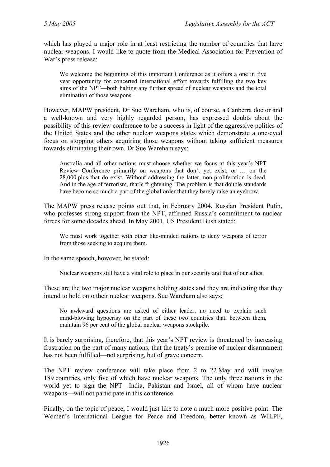which has played a major role in at least restricting the number of countries that have nuclear weapons. I would like to quote from the Medical Association for Prevention of War's press release:

We welcome the beginning of this important Conference as it offers a one in five year opportunity for concerted international effort towards fulfilling the two key aims of the NPT—both halting any further spread of nuclear weapons and the total elimination of those weapons.

However, MAPW president, Dr Sue Wareham, who is, of course, a Canberra doctor and a well-known and very highly regarded person, has expressed doubts about the possibility of this review conference to be a success in light of the aggressive politics of the United States and the other nuclear weapons states which demonstrate a one-eyed focus on stopping others acquiring those weapons without taking sufficient measures towards eliminating their own. Dr Sue Wareham says:

Australia and all other nations must choose whether we focus at this year's NPT Review Conference primarily on weapons that don't yet exist, or … on the 28,000 plus that do exist. Without addressing the latter, non-proliferation is dead. And in the age of terrorism, that's frightening. The problem is that double standards have become so much a part of the global order that they barely raise an eyebrow.

The MAPW press release points out that, in February 2004, Russian President Putin, who professes strong support from the NPT, affirmed Russia's commitment to nuclear forces for some decades ahead. In May 2001, US President Bush stated:

We must work together with other like-minded nations to deny weapons of terror from those seeking to acquire them.

In the same speech, however, he stated:

Nuclear weapons still have a vital role to place in our security and that of our allies.

These are the two major nuclear weapons holding states and they are indicating that they intend to hold onto their nuclear weapons. Sue Wareham also says:

No awkward questions are asked of either leader, no need to explain such mind-blowing hypocrisy on the part of these two countries that, between them, maintain 96 per cent of the global nuclear weapons stockpile.

It is barely surprising, therefore, that this year's NPT review is threatened by increasing frustration on the part of many nations, that the treaty's promise of nuclear disarmament has not been fulfilled—not surprising, but of grave concern.

The NPT review conference will take place from 2 to 22 May and will involve 189 countries, only five of which have nuclear weapons. The only three nations in the world yet to sign the NPT—India, Pakistan and Israel, all of whom have nuclear weapons—will not participate in this conference.

Finally, on the topic of peace, I would just like to note a much more positive point. The Women's International League for Peace and Freedom, better known as WILPF,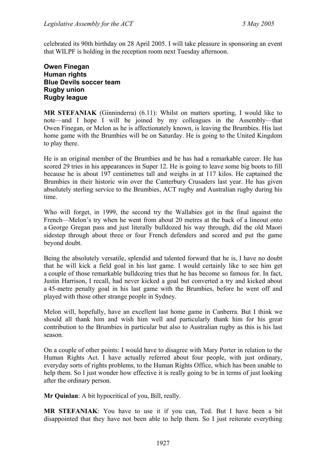celebrated its 90th birthday on 28 April 2005. I will take pleasure in sponsoring an event that WILPF is holding in the reception room next Tuesday afternoon.

### **Owen Finegan Human rights Blue Devils soccer team Rugby union Rugby league**

**MR STEFANIAK** (Ginninderra) (6.11): Whilst on matters sporting, I would like to note—and I hope I will be joined by my colleagues in the Assembly—that Owen Finegan, or Melon as he is affectionately known, is leaving the Brumbies. His last home game with the Brumbies will be on Saturday. He is going to the United Kingdom to play there.

He is an original member of the Brumbies and he has had a remarkable career. He has scored 29 tries in his appearances in Super 12. He is going to leave some big boots to fill because he is about 197 centimetres tall and weighs in at 117 kilos. He captained the Brumbies in their historic win over the Canterbury Crusaders last year. He has given absolutely sterling service to the Brumbies, ACT rugby and Australian rugby during his time.

Who will forget, in 1999, the second try the Wallabies got in the final against the French—Melon's try when he went from about 20 metres at the back of a lineout onto a George Gregan pass and just literally bulldozed his way through, did the old Maori sidestep through about three or four French defenders and scored and put the game beyond doubt.

Being the absolutely versatile, splendid and talented forward that he is, I have no doubt that he will kick a field goal in his last game. I would certainly like to see him get a couple of those remarkable bulldozing tries that he has become so famous for. In fact, Justin Harrison, I recall, had never kicked a goal but converted a try and kicked about a 45-metre penalty goal in his last game with the Brumbies, before he went off and played with those other strange people in Sydney.

Melon will, hopefully, have an excellent last home game in Canberra. But I think we should all thank him and wish him well and particularly thank him for his great contribution to the Brumbies in particular but also to Australian rugby as this is his last season.

On a couple of other points: I would have to disagree with Mary Porter in relation to the Human Rights Act. I have actually referred about four people, with just ordinary, everyday sorts of rights problems, to the Human Rights Office, which has been unable to help them. So I just wonder how effective it is really going to be in terms of just looking after the ordinary person.

**Mr Quinlan**: A bit hypocritical of you, Bill, really.

**MR STEFANIAK**: You have to use it if you can, Ted. But I have been a bit disappointed that they have not been able to help them. So I just reiterate everything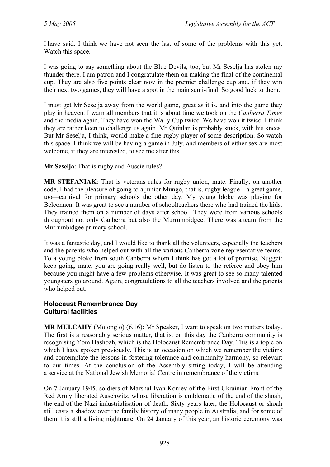I have said. I think we have not seen the last of some of the problems with this yet. Watch this space.

I was going to say something about the Blue Devils, too, but Mr Seselja has stolen my thunder there. I am patron and I congratulate them on making the final of the continental cup. They are also five points clear now in the premier challenge cup and, if they win their next two games, they will have a spot in the main semi-final. So good luck to them.

I must get Mr Seselja away from the world game, great as it is, and into the game they play in heaven. I warn all members that it is about time we took on the *Canberra Times* and the media again. They have won the Wally Cup twice. We have won it twice. I think they are rather keen to challenge us again. Mr Quinlan is probably stuck, with his knees. But Mr Seselja, I think, would make a fine rugby player of some description. So watch this space. I think we will be having a game in July, and members of either sex are most welcome, if they are interested, to see me after this.

**Mr Seselja**: That is rugby and Aussie rules?

**MR STEFANIAK**: That is veterans rules for rugby union, mate. Finally, on another code, I had the pleasure of going to a junior Mungo, that is, rugby league—a great game, too—carnival for primary schools the other day. My young bloke was playing for Belconnen. It was great to see a number of schoolteachers there who had trained the kids. They trained them on a number of days after school. They were from various schools throughout not only Canberra but also the Murrumbidgee. There was a team from the Murrumbidgee primary school.

It was a fantastic day, and I would like to thank all the volunteers, especially the teachers and the parents who helped out with all the various Canberra zone representative teams. To a young bloke from south Canberra whom I think has got a lot of promise, Nugget: keep going, mate, you are going really well, but do listen to the referee and obey him because you might have a few problems otherwise. It was great to see so many talented youngsters go around. Again, congratulations to all the teachers involved and the parents who helped out.

### **Holocaust Remembrance Day Cultural facilities**

**MR MULCAHY** (Molonglo) (6.16): Mr Speaker, I want to speak on two matters today. The first is a reasonably serious matter, that is, on this day the Canberra community is recognising Yom Hashoah, which is the Holocaust Remembrance Day. This is a topic on which I have spoken previously. This is an occasion on which we remember the victims and contemplate the lessons in fostering tolerance and community harmony, so relevant to our times. At the conclusion of the Assembly sitting today, I will be attending a service at the National Jewish Memorial Centre in remembrance of the victims.

On 7 January 1945, soldiers of Marshal Ivan Koniev of the First Ukrainian Front of the Red Army liberated Auschwitz, whose liberation is emblematic of the end of the shoah, the end of the Nazi industrialisation of death. Sixty years later, the Holocaust or shoah still casts a shadow over the family history of many people in Australia, and for some of them it is still a living nightmare. On 24 January of this year, an historic ceremony was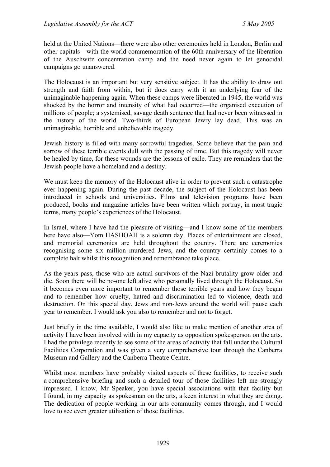held at the United Nations—there were also other ceremonies held in London, Berlin and other capitals—with the world commemoration of the 60th anniversary of the liberation of the Auschwitz concentration camp and the need never again to let genocidal campaigns go unanswered.

The Holocaust is an important but very sensitive subject. It has the ability to draw out strength and faith from within, but it does carry with it an underlying fear of the unimaginable happening again. When these camps were liberated in 1945, the world was shocked by the horror and intensity of what had occurred—the organised execution of millions of people; a systemised, savage death sentence that had never been witnessed in the history of the world. Two-thirds of European Jewry lay dead. This was an unimaginable, horrible and unbelievable tragedy.

Jewish history is filled with many sorrowful tragedies. Some believe that the pain and sorrow of these terrible events dull with the passing of time. But this tragedy will never be healed by time, for these wounds are the lessons of exile. They are reminders that the Jewish people have a homeland and a destiny.

We must keep the memory of the Holocaust alive in order to prevent such a catastrophe ever happening again. During the past decade, the subject of the Holocaust has been introduced in schools and universities. Films and television programs have been produced, books and magazine articles have been written which portray, in most tragic terms, many people's experiences of the Holocaust.

In Israel, where I have had the pleasure of visiting—and I know some of the members here have also—Yom HASHOAH is a solemn day. Places of entertainment are closed, and memorial ceremonies are held throughout the country. There are ceremonies recognising some six million murdered Jews, and the country certainly comes to a complete halt whilst this recognition and remembrance take place.

As the years pass, those who are actual survivors of the Nazi brutality grow older and die. Soon there will be no-one left alive who personally lived through the Holocaust. So it becomes even more important to remember those terrible years and how they began and to remember how cruelty, hatred and discrimination led to violence, death and destruction. On this special day, Jews and non-Jews around the world will pause each year to remember. I would ask you also to remember and not to forget.

Just briefly in the time available, I would also like to make mention of another area of activity I have been involved with in my capacity as opposition spokesperson on the arts. I had the privilege recently to see some of the areas of activity that fall under the Cultural Facilities Corporation and was given a very comprehensive tour through the Canberra Museum and Gallery and the Canberra Theatre Centre.

Whilst most members have probably visited aspects of these facilities, to receive such a comprehensive briefing and such a detailed tour of those facilities left me strongly impressed. I know, Mr Speaker, you have special associations with that facility but I found, in my capacity as spokesman on the arts, a keen interest in what they are doing. The dedication of people working in our arts community comes through, and I would love to see even greater utilisation of those facilities.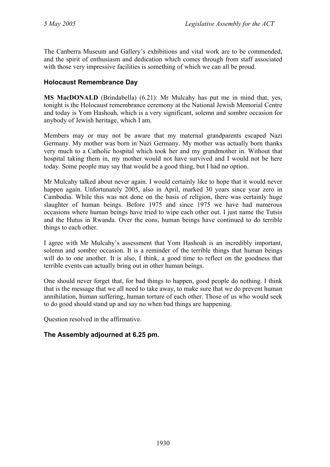The Canberra Museum and Gallery's exhibitions and vital work are to be commended, and the spirit of enthusiasm and dedication which comes through from staff associated with those very impressive facilities is something of which we can all be proud.

### **Holocaust Remembrance Day**

**MS MacDONALD** (Brindabella) (6.21): Mr Mulcahy has put me in mind that, yes, tonight is the Holocaust remembrance ceremony at the National Jewish Memorial Centre and today is Yom Hashoah, which is a very significant, solemn and sombre occasion for anybody of Jewish heritage, which I am.

Members may or may not be aware that my maternal grandparents escaped Nazi Germany. My mother was born in Nazi Germany. My mother was actually born thanks very much to a Catholic hospital which took her and my grandmother in. Without that hospital taking them in, my mother would not have survived and I would not be here today. Some people may say that would be a good thing, but I had no option.

Mr Mulcahy talked about never again. I would certainly like to hope that it would never happen again. Unfortunately 2005, also in April, marked 30 years since year zero in Cambodia. While this was not done on the basis of religion, there was certainly huge slaughter of human beings. Before 1975 and since 1975 we have had numerous occasions where human beings have tried to wipe each other out. I just name the Tutsis and the Hutus in Rwanda. Over the eons, human beings have continued to do terrible things to each other.

I agree with Mr Mulcahy's assessment that Yom Hashoah is an incredibly important, solemn and sombre occasion. It is a reminder of the terrible things that human beings will do to one another. It is also, I think, a good time to reflect on the goodness that terrible events can actually bring out in other human beings.

One should never forget that, for bad things to happen, good people do nothing. I think that is the message that we all need to take away, to make sure that we do prevent human annihilation, human suffering, human torture of each other. Those of us who would seek to do good should stand up and say no when bad things are happening.

Question resolved in the affirmative.

### **The Assembly adjourned at 6.25 pm.**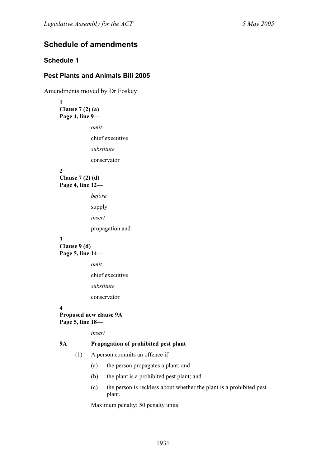# **Schedule of amendments**

### **Schedule 1**

### **Pest Plants and Animals Bill 2005**

Amendments moved by Dr Foskey

**1 Clause 7 (2) (a) Page 4, line 9—** 

*omit* 

chief executive

*substitute* 

conservator

**2** 

**Clause 7 (2) (d) Page 4, line 12—** 

*before* 

supply

*insert* 

propagation and

#### **3**

**Clause 9 (d) Page 5, line 14—** 

*omit* 

chief executive

*substitute* 

conservator

**4** 

**Proposed new clause 9A Page 5, line 18—** 

*insert* 

#### **9A Propagation of prohibited pest plant**

- (1) A person commits an offence if—
	- (a) the person propagates a plant; and
	- (b) the plant is a prohibited pest plant; and
	- (c) the person is reckless about whether the plant is a prohibited pest plant.

Maximum penalty: 50 penalty units.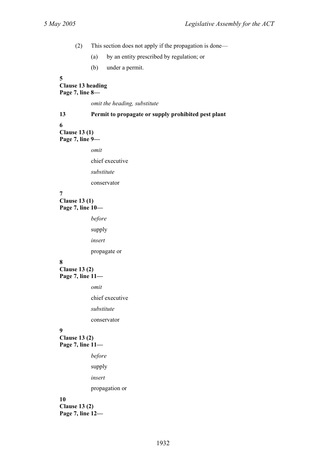(2) This section does not apply if the propagation is done—

(a) by an entity prescribed by regulation; or

(b) under a permit.

#### **5**

#### **Clause 13 heading Page 7, line 8—**

*omit the heading, substitute* 

# **13 Permit to propagate or supply prohibited pest plant**

#### **6**

**Clause 13 (1) Page 7, line 9—** 

*omit* 

chief executive

*substitute* 

conservator

#### **7**

**Clause 13 (1) Page 7, line 10—** 

*before* 

supply

*insert* 

propagate or

### **8**

**Clause 13 (2) Page 7, line 11—** 

*omit* 

chief executive

*substitute* 

conservator

#### **9**

**Clause 13 (2) Page 7, line 11—** 

*before* 

supply

*insert* 

propagation or

#### **10**

**Clause 13 (2) Page 7, line 12—**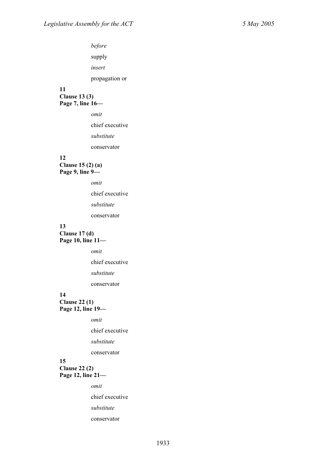#### **11**

**Clause 13 (3) Page 7, line 16—** 

*omit* 

chief executive

*substitute* 

conservator

#### **12**

**Clause 15 (2) (a) Page 9, line 9—** 

*omit* 

chief executive

*substitute* 

conservator

# **13**

**Clause 17 (d) Page 10, line 11—** 

*omit* 

chief executive

*substitute* 

conservator

### **14**

**Clause 22 (1) Page 12, line 19—** 

*omit* 

chief executive

*substitute* 

conservator

#### **15 Clause 22 (2) Page 12, line 21—**

*omit* 

chief executive

*substitute* 

conservator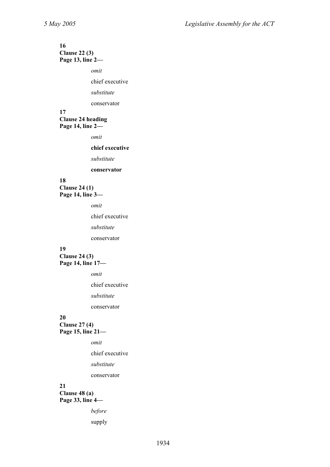#### **16 Clause 22 (3) Page 13, line 2—**

*omit* 

chief executive

*substitute* 

conservator

#### **17 Clause 24 heading Page 14, line 2—**

*omit* 

**chief executive** 

*substitute* 

**conservator** 

#### **18 Clause 24 (1) Page 14, line 3—**

*omit* 

chief executive

*substitute* 

conservator

#### **19**

**Clause 24 (3) Page 14, line 17—** 

*omit* 

chief executive

*substitute* 

conservator

#### **20**

**Clause 27 (4) Page 15, line 21—** 

*omit* 

chief executive

*substitute* 

conservator

#### **21**

**Clause 48 (a) Page 33, line 4—** 

*before* 

supply